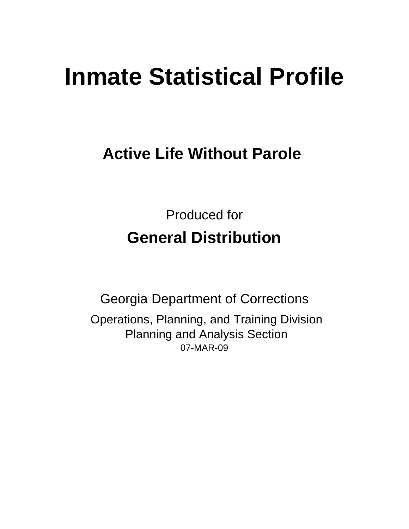# **Inmate Statistical Profile**

## **Active Life Without Parole**

Produced for **General Distribution**

07-MAR-09 Georgia Department of Corrections Operations, Planning, and Training Division Planning and Analysis Section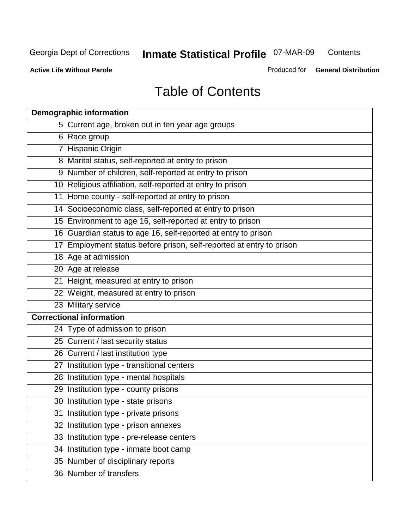**Contents** 

**Active Life Without Parole** 

Produced for **General Distribution**

## Table of Contents

| <b>Demographic information</b>                                       |
|----------------------------------------------------------------------|
| 5 Current age, broken out in ten year age groups                     |
| 6 Race group                                                         |
| 7 Hispanic Origin                                                    |
| 8 Marital status, self-reported at entry to prison                   |
| 9 Number of children, self-reported at entry to prison               |
| 10 Religious affiliation, self-reported at entry to prison           |
| 11 Home county - self-reported at entry to prison                    |
| 14 Socioeconomic class, self-reported at entry to prison             |
| 15 Environment to age 16, self-reported at entry to prison           |
| 16 Guardian status to age 16, self-reported at entry to prison       |
| 17 Employment status before prison, self-reported at entry to prison |
| 18 Age at admission                                                  |
| 20 Age at release                                                    |
| 21 Height, measured at entry to prison                               |
| 22 Weight, measured at entry to prison                               |
| 23 Military service                                                  |
| <b>Correctional information</b>                                      |
| 24 Type of admission to prison                                       |
| 25 Current / last security status                                    |
| 26 Current / last institution type                                   |
| 27 Institution type - transitional centers                           |
| 28 Institution type - mental hospitals                               |
| 29 Institution type - county prisons                                 |
| 30 Institution type - state prisons                                  |
| 31 Institution type - private prisons                                |
| 32 Institution type - prison annexes                                 |
| 33 Institution type - pre-release centers                            |
| 34 Institution type - inmate boot camp                               |
| 35 Number of disciplinary reports                                    |
| 36 Number of transfers                                               |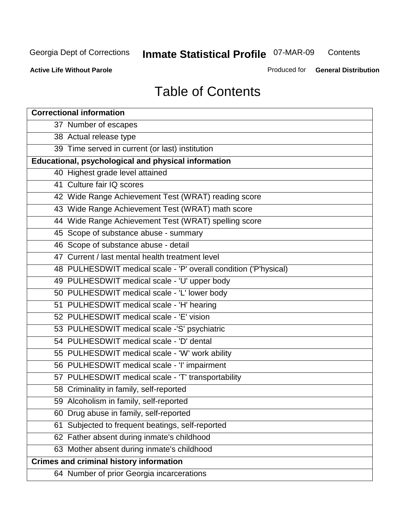**Contents** 

**Active Life Without Parole** 

Produced for **General Distribution**

## Table of Contents

| <b>Correctional information</b>                                  |
|------------------------------------------------------------------|
| 37 Number of escapes                                             |
| 38 Actual release type                                           |
| 39 Time served in current (or last) institution                  |
| Educational, psychological and physical information              |
| 40 Highest grade level attained                                  |
| 41 Culture fair IQ scores                                        |
| 42 Wide Range Achievement Test (WRAT) reading score              |
| 43 Wide Range Achievement Test (WRAT) math score                 |
| 44 Wide Range Achievement Test (WRAT) spelling score             |
| 45 Scope of substance abuse - summary                            |
| 46 Scope of substance abuse - detail                             |
| 47 Current / last mental health treatment level                  |
| 48 PULHESDWIT medical scale - 'P' overall condition ('P'hysical) |
| 49 PULHESDWIT medical scale - 'U' upper body                     |
| 50 PULHESDWIT medical scale - 'L' lower body                     |
| 51 PULHESDWIT medical scale - 'H' hearing                        |
| 52 PULHESDWIT medical scale - 'E' vision                         |
| 53 PULHESDWIT medical scale -'S' psychiatric                     |
| 54 PULHESDWIT medical scale - 'D' dental                         |
| 55 PULHESDWIT medical scale - 'W' work ability                   |
| 56 PULHESDWIT medical scale - 'I' impairment                     |
| 57 PULHESDWIT medical scale - 'T' transportability               |
| 58 Criminality in family, self-reported                          |
| 59 Alcoholism in family, self-reported                           |
| 60 Drug abuse in family, self-reported                           |
| Subjected to frequent beatings, self-reported<br>61              |
| 62 Father absent during inmate's childhood                       |
| 63 Mother absent during inmate's childhood                       |
| <b>Crimes and criminal history information</b>                   |
| 64 Number of prior Georgia incarcerations                        |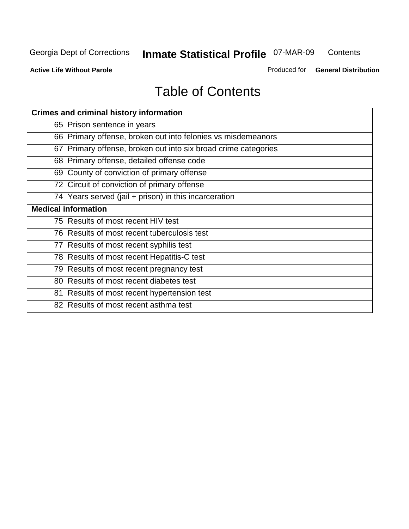**Contents** 

**Active Life Without Parole** 

Produced for **General Distribution**

## Table of Contents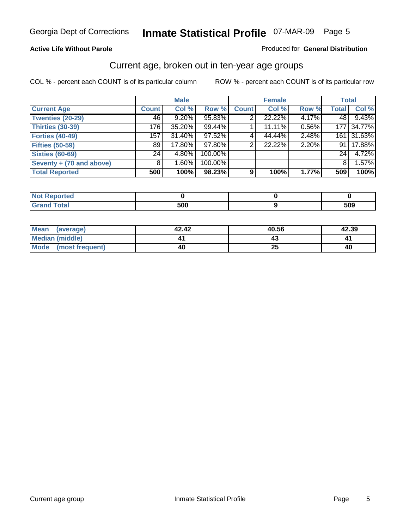#### **Active Life Without Parole**

#### Produced for **General Distribution**

#### Current age, broken out in ten-year age groups

|                          |                 | <b>Male</b> |         |              | <b>Female</b> |       |              | <b>Total</b> |
|--------------------------|-----------------|-------------|---------|--------------|---------------|-------|--------------|--------------|
| <b>Current Age</b>       | <b>Count</b>    | Col %       | Row %   | <b>Count</b> | Col %         | Row % | <b>Total</b> | Col %        |
| <b>Twenties (20-29)</b>  | 46              | $9.20\%$    | 95.83%  |              | 22.22%        | 4.17% | 48 l         | 9.43%        |
| <b>Thirties (30-39)</b>  | 176             | $35.20\%$   | 99.44%  |              | 11.11%        | 0.56% | 177          | 34.77%       |
| <b>Forties (40-49)</b>   | 157             | $31.40\%$   | 97.52%  | 4            | 44.44%        | 2.48% | 161          | 31.63%       |
| <b>Fifties (50-59)</b>   | 89              | 17.80%      | 97.80%  | 2            | 22.22%        | 2.20% | 91           | 17.88%       |
| <b>Sixties (60-69)</b>   | 24 <sub>1</sub> | 4.80%       | 100.00% |              |               |       | 24           | 4.72%        |
| Seventy + (70 and above) | 8               | 1.60%       | 100.00% |              |               |       | 8            | 1.57%        |
| <b>Total Reported</b>    | 500             | 100%        | 98.23%  | 9            | 100%          | 1.77% | 509          | 100%         |

| <b>Not Reported</b>              |     |     |
|----------------------------------|-----|-----|
| <b>Total</b><br>$\mathbf{v}$ and | 500 | 509 |

| Mean (average)       | 42.42 | 40.56     | 42.39 |
|----------------------|-------|-----------|-------|
| Median (middle)      |       |           |       |
| Mode (most frequent) | 40    | ን ቤ<br>2J | 40    |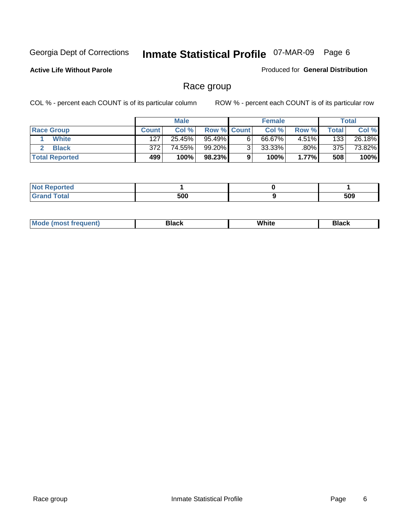**Active Life Without Parole** 

Produced for **General Distribution**

#### Race group

|                       |              | <b>Male</b> |                    |   | <b>Female</b> |          |       | <b>Total</b> |
|-----------------------|--------------|-------------|--------------------|---|---------------|----------|-------|--------------|
| <b>Race Group</b>     | <b>Count</b> | Col %       | <b>Row % Count</b> |   | Col %         | Row %    | Total | Col %        |
| <b>White</b>          | 127          | 25.45%      | 95.49%             | 6 | 66.67%        | $4.51\%$ | 133   | 26.18%       |
| <b>Black</b>          | 372          | 74.55%      | 99.20%             | ◠ | $33.33\%$     | $.80\%$  | 375   | 73.82%       |
| <b>Total Reported</b> | 499          | 100%        | 98.23%             |   | 100%          | 1.77%    | 508   | 100%         |

| Reported<br>. |     |     |
|---------------|-----|-----|
| <b>fotal</b>  | 500 | 509 |

| $^1$ Mo. | Rlack | White | 3lack |
|----------|-------|-------|-------|
| .        |       |       |       |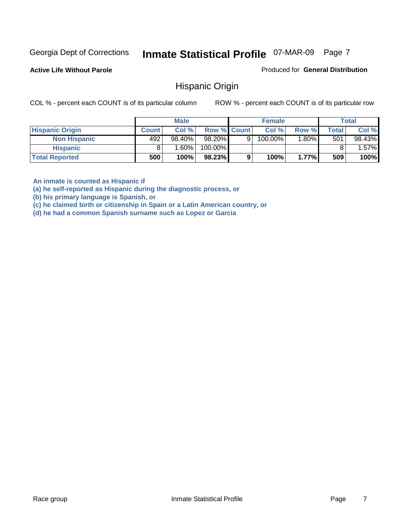**Active Life Without Parole** 

Produced for **General Distribution**

#### Hispanic Origin

COL % - percent each COUNT is of its particular column ROW % - percent each COUNT is of its particular row

|                        |              | <b>Male</b> |                    |   | <b>Female</b> |          |       | <b>Total</b> |
|------------------------|--------------|-------------|--------------------|---|---------------|----------|-------|--------------|
| <b>Hispanic Origin</b> | <b>Count</b> | Col %       | <b>Row % Count</b> |   | Col %         | Row %    | Total | Col %        |
| <b>Non Hispanic</b>    | 492          | $98.40\%$   | 98.20%             | 9 | 100.00%       | $1.80\%$ | 501   | 98.43%       |
| <b>Hispanic</b>        |              | 1.60% l     | 100.00%            |   |               |          |       | $.57\%$      |
| <b>Total Reported</b>  | 500          | 100%        | 98.23%             | 9 | 100%          | 1.77%    | 509   | 100%         |

**An inmate is counted as Hispanic if** 

**(a) he self-reported as Hispanic during the diagnostic process, or** 

**(b) his primary language is Spanish, or** 

**(c) he claimed birth or citizenship in Spain or a Latin American country, or** 

**(d) he had a common Spanish surname such as Lopez or Garcia**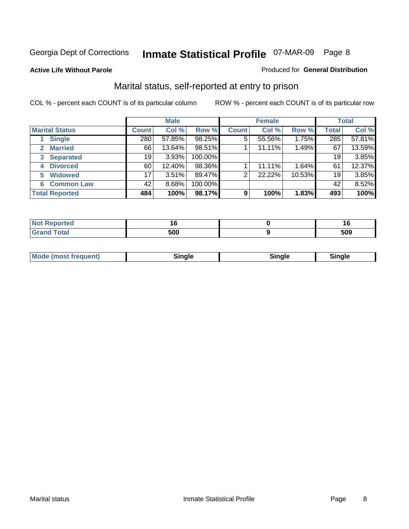#### **Active Life Without Parole**

#### Produced for **General Distribution**

#### Marital status, self-reported at entry to prison

|                                | <b>Male</b>  |          |         | <b>Female</b> |        |        | <b>Total</b> |        |
|--------------------------------|--------------|----------|---------|---------------|--------|--------|--------------|--------|
| <b>Marital Status</b>          | <b>Count</b> | Col %    | Row %   | <b>Count</b>  | Col %  | Row %  | <b>Total</b> | Col %  |
| <b>Single</b>                  | 280          | 57.85%   | 98.25%  | 5             | 55.56% | 1.75%  | 285          | 57.81% |
| <b>Married</b><br>$\mathbf{2}$ | 66           | 13.64%   | 98.51%  |               | 11.11% | 1.49%  | 67           | 13.59% |
| <b>Separated</b><br>3          | 19           | 3.93%    | 100.00% |               |        |        | 19           | 3.85%  |
| <b>Divorced</b><br>4           | 60           | 12.40%   | 98.36%  |               | 11.11% | 1.64%  | 61           | 12.37% |
| <b>Widowed</b><br>5            | 17           | $3.51\%$ | 89.47%  | 2             | 22.22% | 10.53% | 19           | 3.85%  |
| <b>Common Law</b><br>6         | 42           | 8.68%    | 100.00% |               |        |        | 42           | 8.52%  |
| <b>Total Reported</b>          | 484          | 100%     | 98.17%  | 9             | 100%   | 1.83%  | 493          | 100%   |

| 500<br>$  -$ | -00<br>____ |
|--------------|-------------|

| <b>Mode (most frequent)</b><br>Sinale<br>™ale |
|-----------------------------------------------|
|-----------------------------------------------|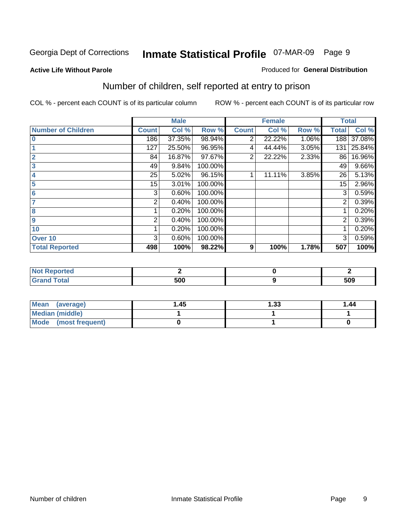#### **Active Life Without Parole**

#### Produced for **General Distribution**

## Number of children, self reported at entry to prison

|                           |              | <b>Male</b> |         |                | <b>Female</b> |       | <b>Total</b>   |        |
|---------------------------|--------------|-------------|---------|----------------|---------------|-------|----------------|--------|
| <b>Number of Children</b> | <b>Count</b> | Col %       | Row %   | <b>Count</b>   | Col %         | Row % | <b>Total</b>   | Col %  |
| $\bf{0}$                  | 186          | 37.35%      | 98.94%  | 2              | 22.22%        | 1.06% | 188            | 37.08% |
|                           | 127          | 25.50%      | 96.95%  | 4              | 44.44%        | 3.05% | 131            | 25.84% |
| $\overline{2}$            | 84           | 16.87%      | 97.67%  | $\overline{2}$ | 22.22%        | 2.33% | 86             | 16.96% |
| 3                         | 49           | 9.84%       | 100.00% |                |               |       | 49             | 9.66%  |
| 4                         | 25           | 5.02%       | 96.15%  |                | 11.11%        | 3.85% | 26             | 5.13%  |
| 5                         | 15           | 3.01%       | 100.00% |                |               |       | 15             | 2.96%  |
| $6\phantom{a}$            | 3            | 0.60%       | 100.00% |                |               |       | 3              | 0.59%  |
|                           | 2            | 0.40%       | 100.00% |                |               |       | 2              | 0.39%  |
| 8                         |              | 0.20%       | 100.00% |                |               |       |                | 0.20%  |
| 9                         | 2            | 0.40%       | 100.00% |                |               |       | $\overline{2}$ | 0.39%  |
| 10                        |              | 0.20%       | 100.00% |                |               |       |                | 0.20%  |
| Over 10                   | 3            | 0.60%       | 100.00% |                |               |       | 3              | 0.59%  |
| <b>Total Reported</b>     | 498          | 100%        | 98.22%  | 9              | 100%          | 1.78% | 507            | 100%   |

| ™rteu<br>.                              |     |     |
|-----------------------------------------|-----|-----|
| <b>otal</b><br>$\sim$ . $\sim$ . $\sim$ | EAN | 509 |

| <b>Mean</b><br>(average) | 45. ا | 1.33 | 1.44 |
|--------------------------|-------|------|------|
| <b>Median (middle)</b>   |       |      |      |
| Mode (most frequent)     |       |      |      |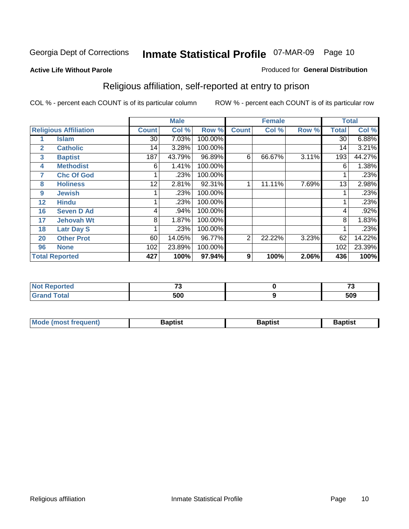#### **Active Life Without Parole**

#### Produced for **General Distribution**

## Religious affiliation, self-reported at entry to prison

|              |                              |              | <b>Male</b> |         |              | <b>Female</b> |       |              | <b>Total</b> |
|--------------|------------------------------|--------------|-------------|---------|--------------|---------------|-------|--------------|--------------|
|              | <b>Religious Affiliation</b> | <b>Count</b> | Col %       | Row %   | <b>Count</b> | Col %         | Row % | <b>Total</b> | Col %        |
|              | <b>Islam</b>                 | 30           | 7.03%       | 100.00% |              |               |       | 30           | 6.88%        |
| $\mathbf{2}$ | <b>Catholic</b>              | 14           | 3.28%       | 100.00% |              |               |       | 14           | 3.21%        |
| 3            | <b>Baptist</b>               | 187          | 43.79%      | 96.89%  | 6            | 66.67%        | 3.11% | 193          | 44.27%       |
| 4            | <b>Methodist</b>             | 6            | 1.41%       | 100.00% |              |               |       | 6            | 1.38%        |
| 7            | <b>Chc Of God</b>            |              | .23%        | 100.00% |              |               |       |              | .23%         |
| 8            | <b>Holiness</b>              | 12           | 2.81%       | 92.31%  |              | 11.11%        | 7.69% | 13           | 2.98%        |
| 9            | <b>Jewish</b>                |              | .23%        | 100.00% |              |               |       |              | .23%         |
| 12           | <b>Hindu</b>                 |              | .23%        | 100.00% |              |               |       |              | .23%         |
| 16           | <b>Seven D Ad</b>            | 4            | .94%        | 100.00% |              |               |       | 4            | .92%         |
| 17           | <b>Jehovah Wt</b>            | 8            | 1.87%       | 100.00% |              |               |       | 8            | 1.83%        |
| 18           | <b>Latr Day S</b>            |              | .23%        | 100.00% |              |               |       |              | .23%         |
| 20           | <b>Other Prot</b>            | 60           | 14.05%      | 96.77%  | 2            | 22.22%        | 3.23% | 62           | 14.22%       |
| 96           | <b>None</b>                  | 102          | 23.89%      | 100.00% |              |               |       | 102          | 23.39%       |
|              | <b>Total Reported</b>        | 427          | 100%        | 97.94%  | 9            | 100%          | 2.06% | 436          | 100%         |

| <b>Not Reported</b> | $-$ | --  |
|---------------------|-----|-----|
| <b>Total</b>        | 500 | 509 |

| <b>Mode (most frequent)</b><br><b>Baptist</b><br>Baptist | Baptist |
|----------------------------------------------------------|---------|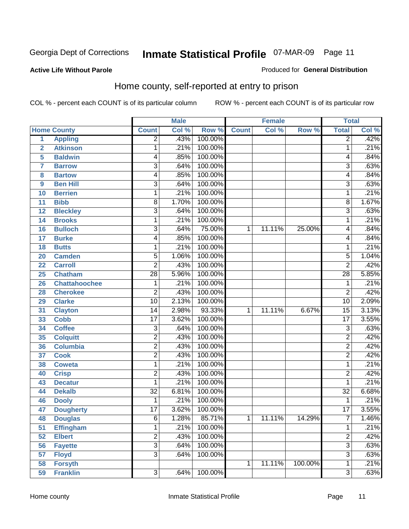Produced for **General Distribution**

#### **Active Life Without Parole**

#### Home county, self-reported at entry to prison

|                |                      |                 | <b>Male</b> |         |              | <b>Female</b> |         | <b>Total</b>    |       |
|----------------|----------------------|-----------------|-------------|---------|--------------|---------------|---------|-----------------|-------|
|                | <b>Home County</b>   | <b>Count</b>    | Col %       | Row %   | <b>Count</b> | Col %         | Row %   | <b>Total</b>    | Col % |
| $\overline{1}$ | <b>Appling</b>       | $\overline{2}$  | .43%        | 100.00% |              |               |         | $\overline{2}$  | .42%  |
| $\overline{2}$ | <b>Atkinson</b>      | 1               | .21%        | 100.00% |              |               |         | 1               | .21%  |
| 5              | <b>Baldwin</b>       | 4               | .85%        | 100.00% |              |               |         | 4               | .84%  |
| $\overline{7}$ | <b>Barrow</b>        | $\overline{3}$  | .64%        | 100.00% |              |               |         | $\overline{3}$  | .63%  |
| 8              | <b>Bartow</b>        | 4               | .85%        | 100.00% |              |               |         | 4               | .84%  |
| 9              | <b>Ben Hill</b>      | $\overline{3}$  | .64%        | 100.00% |              |               |         | $\overline{3}$  | .63%  |
| 10             | <b>Berrien</b>       | 1               | .21%        | 100.00% |              |               |         | 1               | .21%  |
| 11             | <b>Bibb</b>          | 8               | 1.70%       | 100.00% |              |               |         | 8               | 1.67% |
| 12             | <b>Bleckley</b>      | $\overline{3}$  | .64%        | 100.00% |              |               |         | $\overline{3}$  | .63%  |
| 14             | <b>Brooks</b>        | 1               | .21%        | 100.00% |              |               |         | 1               | .21%  |
| 16             | <b>Bulloch</b>       | $\overline{3}$  | .64%        | 75.00%  | 1            | 11.11%        | 25.00%  | 4               | .84%  |
| 17             | <b>Burke</b>         | 4               | .85%        | 100.00% |              |               |         | 4               | .84%  |
| 18             | <b>Butts</b>         | 1               | .21%        | 100.00% |              |               |         | 1               | .21%  |
| 20             | <b>Camden</b>        | $\overline{5}$  | 1.06%       | 100.00% |              |               |         | 5               | 1.04% |
| 22             | <b>Carroll</b>       | $\overline{2}$  | .43%        | 100.00% |              |               |         | $\overline{2}$  | .42%  |
| 25             | Chatham              | 28              | 5.96%       | 100.00% |              |               |         | $\overline{28}$ | 5.85% |
| 26             | <b>Chattahoochee</b> | 1               | .21%        | 100.00% |              |               |         | 1               | .21%  |
| 28             | <b>Cherokee</b>      | $\overline{2}$  | .43%        | 100.00% |              |               |         | $\overline{2}$  | .42%  |
| 29             | <b>Clarke</b>        | $\overline{10}$ | 2.13%       | 100.00% |              |               |         | 10              | 2.09% |
| 31             | <b>Clayton</b>       | $\overline{14}$ | 2.98%       | 93.33%  | 1            | 11.11%        | 6.67%   | $\overline{15}$ | 3.13% |
| 33             | <b>Cobb</b>          | $\overline{17}$ | 3.62%       | 100.00% |              |               |         | $\overline{17}$ | 3.55% |
| 34             | <b>Coffee</b>        | $\overline{3}$  | .64%        | 100.00% |              |               |         | $\overline{3}$  | .63%  |
| 35             | <b>Colquitt</b>      | $\overline{2}$  | .43%        | 100.00% |              |               |         | $\overline{2}$  | .42%  |
| 36             | <b>Columbia</b>      | $\overline{2}$  | .43%        | 100.00% |              |               |         | $\overline{2}$  | .42%  |
| 37             | <b>Cook</b>          | $\overline{2}$  | .43%        | 100.00% |              |               |         | $\overline{2}$  | .42%  |
| 38             | <b>Coweta</b>        | 1               | .21%        | 100.00% |              |               |         | 1               | .21%  |
| 40             | <b>Crisp</b>         | 2               | .43%        | 100.00% |              |               |         | $\overline{2}$  | .42%  |
| 43             | <b>Decatur</b>       | 1               | .21%        | 100.00% |              |               |         | 1               | .21%  |
| 44             | <b>Dekalb</b>        | $\overline{32}$ | 6.81%       | 100.00% |              |               |         | $\overline{32}$ | 6.68% |
| 46             | <b>Dooly</b>         | 1               | .21%        | 100.00% |              |               |         | 1               | .21%  |
| 47             | <b>Dougherty</b>     | $\overline{17}$ | 3.62%       | 100.00% |              |               |         | $\overline{17}$ | 3.55% |
| 48             | <b>Douglas</b>       | 6               | 1.28%       | 85.71%  | 1            | 11.11%        | 14.29%  | $\overline{7}$  | 1.46% |
| 51             | <b>Effingham</b>     | 1               | .21%        | 100.00% |              |               |         | 1               | .21%  |
| 52             | <b>Elbert</b>        | $\overline{2}$  | .43%        | 100.00% |              |               |         | $\overline{2}$  | .42%  |
| 56             | <b>Fayette</b>       | $\overline{3}$  | .64%        | 100.00% |              |               |         | $\overline{3}$  | .63%  |
| 57             | <b>Floyd</b>         | $\overline{3}$  | .64%        | 100.00% |              |               |         | $\overline{3}$  | .63%  |
| 58             | <b>Forsyth</b>       |                 |             |         | 1            | 11.11%        | 100.00% | 1               | .21%  |
| 59             | <b>Franklin</b>      | $\overline{3}$  | .64%        | 100.00% |              |               |         | $\overline{3}$  | .63%  |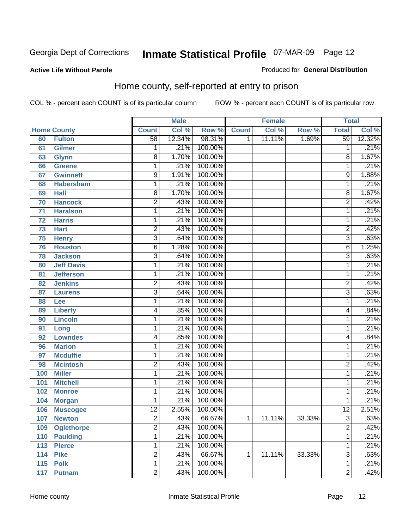#### **Active Life Without Parole**

#### Produced for **General Distribution**

#### Home county, self-reported at entry to prison

|     |                    |                 | <b>Male</b> |         |              | <b>Female</b> |        | <b>Total</b>    |        |
|-----|--------------------|-----------------|-------------|---------|--------------|---------------|--------|-----------------|--------|
|     | <b>Home County</b> | <b>Count</b>    | Col %       | Row %   | <b>Count</b> | Col %         | Row %  | <b>Total</b>    | Col %  |
| 60  | <b>Fulton</b>      | $\overline{58}$ | 12.34%      | 98.31%  | 1            | 11.11%        | 1.69%  | 59              | 12.32% |
| 61  | <b>Gilmer</b>      | 1               | .21%        | 100.00% |              |               |        | 1               | .21%   |
| 63  | <b>Glynn</b>       | $\overline{8}$  | 1.70%       | 100.00% |              |               |        | 8               | 1.67%  |
| 66  | <b>Greene</b>      | 1               | .21%        | 100.00% |              |               |        | 1               | .21%   |
| 67  | <b>Gwinnett</b>    | $\overline{9}$  | 1.91%       | 100.00% |              |               |        | 9               | 1.88%  |
| 68  | <b>Habersham</b>   | 1               | .21%        | 100.00% |              |               |        | 1               | .21%   |
| 69  | <b>Hall</b>        | $\overline{8}$  | 1.70%       | 100.00% |              |               |        | 8               | 1.67%  |
| 70  | <b>Hancock</b>     | $\overline{2}$  | .43%        | 100.00% |              |               |        | $\overline{2}$  | .42%   |
| 71  | <b>Haralson</b>    | 1               | .21%        | 100.00% |              |               |        | 1               | .21%   |
| 72  | <b>Harris</b>      | 1               | .21%        | 100.00% |              |               |        | 1               | .21%   |
| 73  | <b>Hart</b>        | $\overline{c}$  | .43%        | 100.00% |              |               |        | $\overline{2}$  | .42%   |
| 75  | <b>Henry</b>       | $\overline{3}$  | .64%        | 100.00% |              |               |        | $\overline{3}$  | .63%   |
| 76  | <b>Houston</b>     | 6               | 1.28%       | 100.00% |              |               |        | 6               | 1.25%  |
| 78  | <b>Jackson</b>     | $\overline{3}$  | .64%        | 100.00% |              |               |        | $\overline{3}$  | .63%   |
| 80  | <b>Jeff Davis</b>  | 1               | .21%        | 100.00% |              |               |        | 1               | .21%   |
| 81  | <b>Jefferson</b>   | 1               | .21%        | 100.00% |              |               |        | 1               | .21%   |
| 82  | <b>Jenkins</b>     | $\overline{2}$  | .43%        | 100.00% |              |               |        | 2               | .42%   |
| 87  | <b>Laurens</b>     | $\overline{3}$  | .64%        | 100.00% |              |               |        | $\overline{3}$  | .63%   |
| 88  | Lee                | $\mathbf{1}$    | .21%        | 100.00% |              |               |        | 1               | .21%   |
| 89  | <b>Liberty</b>     | 4               | .85%        | 100.00% |              |               |        | 4               | .84%   |
| 90  | <b>Lincoln</b>     | $\mathbf{1}$    | .21%        | 100.00% |              |               |        | 1               | .21%   |
| 91  | Long               | 1               | .21%        | 100.00% |              |               |        | 1               | .21%   |
| 92  | <b>Lowndes</b>     | 4               | .85%        | 100.00% |              |               |        | 4               | .84%   |
| 96  | <b>Marion</b>      | 1               | .21%        | 100.00% |              |               |        | 1               | .21%   |
| 97  | <b>Mcduffie</b>    | 1               | .21%        | 100.00% |              |               |        | 1               | .21%   |
| 98  | <b>Mcintosh</b>    | $\overline{2}$  | .43%        | 100.00% |              |               |        | $\overline{2}$  | .42%   |
| 100 | <b>Miller</b>      | $\mathbf{1}$    | .21%        | 100.00% |              |               |        | 1               | .21%   |
| 101 | <b>Mitchell</b>    | 1               | .21%        | 100.00% |              |               |        | 1               | .21%   |
| 102 | <b>Monroe</b>      | $\mathbf{1}$    | .21%        | 100.00% |              |               |        | 1               | .21%   |
| 104 | <b>Morgan</b>      | 1               | .21%        | 100.00% |              |               |        | 1               | .21%   |
| 106 | <b>Muscogee</b>    | $\overline{12}$ | 2.55%       | 100.00% |              |               |        | $\overline{12}$ | 2.51%  |
| 107 | <b>Newton</b>      | 2               | .43%        | 66.67%  | 1            | 11.11%        | 33.33% | 3               | .63%   |
| 109 | <b>Oglethorpe</b>  | $\overline{2}$  | .43%        | 100.00% |              |               |        | $\overline{2}$  | .42%   |
| 110 | <b>Paulding</b>    | 1               | .21%        | 100.00% |              |               |        | 1               | .21%   |
| 113 | <b>Pierce</b>      | $\mathbf{1}$    | .21%        | 100.00% |              |               |        | 1               | .21%   |
| 114 | <b>Pike</b>        | 2               | .43%        | 66.67%  | 1            | 11.11%        | 33.33% | 3               | .63%   |
| 115 | <b>Polk</b>        | 1               | .21%        | 100.00% |              |               |        | 1               | .21%   |
| 117 | <b>Putnam</b>      | $\overline{2}$  | .43%        | 100.00% |              |               |        | $\overline{2}$  | .42%   |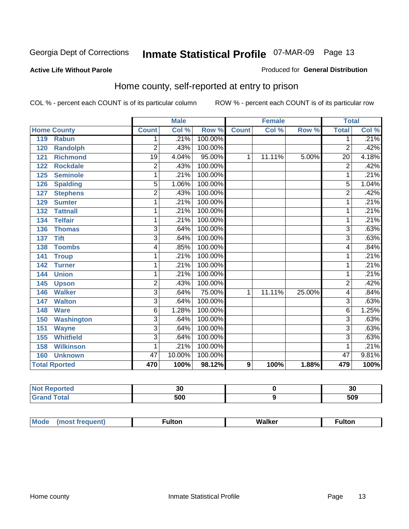#### **Active Life Without Parole**

#### Produced for **General Distribution**

#### Home county, self-reported at entry to prison

|     |                      |                 | <b>Male</b> |         |                | <b>Female</b> |        | <b>Total</b>    |       |
|-----|----------------------|-----------------|-------------|---------|----------------|---------------|--------|-----------------|-------|
|     | <b>Home County</b>   | <b>Count</b>    | Col %       | Row %   | <b>Count</b>   | Col %         | Row %  | <b>Total</b>    | Col % |
| 119 | <b>Rabun</b>         | 1               | .21%        | 100.00% |                |               |        | 1               | .21%  |
| 120 | <b>Randolph</b>      | $\overline{2}$  | .43%        | 100.00% |                |               |        | $\overline{2}$  | .42%  |
| 121 | <b>Richmond</b>      | $\overline{19}$ | 4.04%       | 95.00%  | 1              | 11.11%        | 5.00%  | $\overline{20}$ | 4.18% |
| 122 | <b>Rockdale</b>      | $\overline{2}$  | .43%        | 100.00% |                |               |        | $\overline{2}$  | .42%  |
| 125 | <b>Seminole</b>      | 1               | .21%        | 100.00% |                |               |        | 1               | .21%  |
| 126 | <b>Spalding</b>      | $\overline{5}$  | 1.06%       | 100.00% |                |               |        | $\overline{5}$  | 1.04% |
| 127 | <b>Stephens</b>      | $\overline{2}$  | .43%        | 100.00% |                |               |        | $\overline{2}$  | .42%  |
| 129 | <b>Sumter</b>        | 1               | .21%        | 100.00% |                |               |        | 1               | .21%  |
| 132 | <b>Tattnall</b>      | 1               | .21%        | 100.00% |                |               |        | 1               | .21%  |
| 134 | <b>Telfair</b>       | 1               | .21%        | 100.00% |                |               |        | 1               | .21%  |
| 136 | <b>Thomas</b>        | $\overline{3}$  | .64%        | 100.00% |                |               |        | 3               | .63%  |
| 137 | <b>Tift</b>          | $\overline{3}$  | .64%        | 100.00% |                |               |        | $\overline{3}$  | .63%  |
| 138 | <b>Toombs</b>        | 4               | .85%        | 100.00% |                |               |        | 4               | .84%  |
| 141 | <b>Troup</b>         | 1               | .21%        | 100.00% |                |               |        | 1               | .21%  |
| 142 | <b>Turner</b>        | 1               | .21%        | 100.00% |                |               |        | 1               | .21%  |
| 144 | <b>Union</b>         | 1               | .21%        | 100.00% |                |               |        | 1               | .21%  |
| 145 | <b>Upson</b>         | $\overline{2}$  | .43%        | 100.00% |                |               |        | $\overline{2}$  | .42%  |
| 146 | <b>Walker</b>        | 3               | .64%        | 75.00%  | 1              | 11.11%        | 25.00% | 4               | .84%  |
| 147 | <b>Walton</b>        | $\overline{3}$  | .64%        | 100.00% |                |               |        | $\overline{3}$  | .63%  |
| 148 | <b>Ware</b>          | 6               | 1.28%       | 100.00% |                |               |        | 6               | 1.25% |
| 150 | <b>Washington</b>    | $\overline{3}$  | .64%        | 100.00% |                |               |        | $\overline{3}$  | .63%  |
| 151 | <b>Wayne</b>         | $\overline{3}$  | .64%        | 100.00% |                |               |        | $\overline{3}$  | .63%  |
| 155 | <b>Whitfield</b>     | 3               | .64%        | 100.00% |                |               |        | 3               | .63%  |
| 158 | <b>Wilkinson</b>     | 1               | .21%        | 100.00% |                |               |        | 1               | .21%  |
| 160 | <b>Unknown</b>       | 47              | 10.00%      | 100.00% |                |               |        | 47              | 9.81% |
|     | <b>Total Rported</b> | 470             | 100%        | 98.12%  | $\overline{9}$ | 100%          | 1.88%  | 479             | 100%  |

| rteo | - -       | າດ  |
|------|-----------|-----|
| .    | υc        | งบ  |
| $-$  | 500<br>uu | 509 |

| Mode | <sup>∓</sup> ulton | Walker | con      |
|------|--------------------|--------|----------|
|      |                    |        | ________ |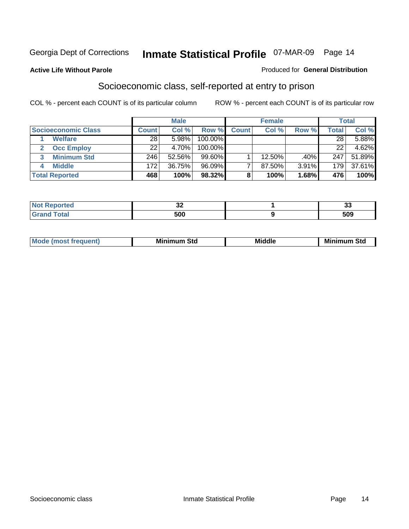#### **Active Life Without Parole**

#### Produced for **General Distribution**

#### Socioeconomic class, self-reported at entry to prison

|                            |              | <b>Male</b> |            |              | <b>Female</b> |       |              | <b>Total</b> |
|----------------------------|--------------|-------------|------------|--------------|---------------|-------|--------------|--------------|
| <b>Socioeconomic Class</b> | <b>Count</b> | Col %       | Row %      | <b>Count</b> | Col %         | Row % | <b>Total</b> | Col %        |
| <b>Welfare</b>             | 28           | 5.98%       | 100.00%    |              |               |       | 28           | 5.88%        |
| <b>Occ Employ</b>          | 22           | 4.70%       | $100.00\%$ |              |               |       | 22           | 4.62%        |
| <b>Minimum Std</b>         | 246          | 52.56%      | $99.60\%$  |              | 12.50%        | .40%  | 247          | 51.89%       |
| <b>Middle</b>              | 172          | 36.75%      | $96.09\%$  |              | 87.50%        | 3.91% | 179          | 37.61%       |
| <b>Total Reported</b>      | 468          | 100%        | 98.32%     |              | 100%          | 1.68% | 476          | 100%         |

| <b>Contractor</b>     | $\sim$ | $\sim$            |
|-----------------------|--------|-------------------|
| тес                   | ◡▵     |                   |
| $f \wedge f \wedge f$ | 500    | <b>FAQ</b><br>ວບວ |

| M<br>Mir<br>Mi<br><b>Middle</b><br><b>C</b> ta<br>Sta<br>oτu<br>.<br>the contract of the contract of the contract of the contract of the contract of the contract of the contract of<br>___ |
|---------------------------------------------------------------------------------------------------------------------------------------------------------------------------------------------|
|---------------------------------------------------------------------------------------------------------------------------------------------------------------------------------------------|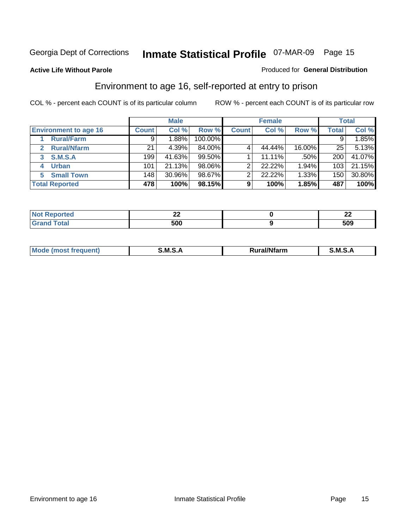#### **Active Life Without Parole**

#### Produced for **General Distribution**

#### Environment to age 16, self-reported at entry to prison

|                                    |              | <b>Male</b> |         |              | <b>Female</b> |        |              | <b>Total</b> |
|------------------------------------|--------------|-------------|---------|--------------|---------------|--------|--------------|--------------|
| <b>Environment to age 16</b>       | <b>Count</b> | Col %       | Row %   | <b>Count</b> | Col %         | Row %  | <b>Total</b> | Col %        |
| <b>Rural/Farm</b>                  | 9            | 1.88%       | 100.00% |              |               |        |              | 1.85%        |
| <b>Rural/Nfarm</b><br>$\mathbf{z}$ | 21           | 4.39%       | 84.00%  |              | 44.44%        | 16.00% | 25           | 5.13%        |
| <b>S.M.S.A</b><br>3                | 199          | 41.63%      | 99.50%  |              | 11.11%        | .50%   | 200          | 41.07%       |
| <b>Urban</b><br>4                  | 101          | 21.13%      | 98.06%  |              | 22.22%        | 1.94%  | 103          | 21.15%       |
| <b>Small Town</b><br>5             | 148          | 30.96%      | 98.67%  | ົ            | 22.22%        | 1.33%  | 150          | 30.80%       |
| <b>Total Reported</b>              | 478          | 100%        | 98.15%  | 9            | 100%          | 1.85%  | 487          | 100%         |

| <b>rted</b>           | ---        | $\sim$<br>-- |
|-----------------------|------------|--------------|
| <b>Total</b><br>Grand | EAN<br>uuu | 509          |

| Mo<br><b>CONTRACTOR</b><br>. M S<br>M<br>---<br>Nfarn<br>.<br>______<br>______ |  |  |
|--------------------------------------------------------------------------------|--|--|
|                                                                                |  |  |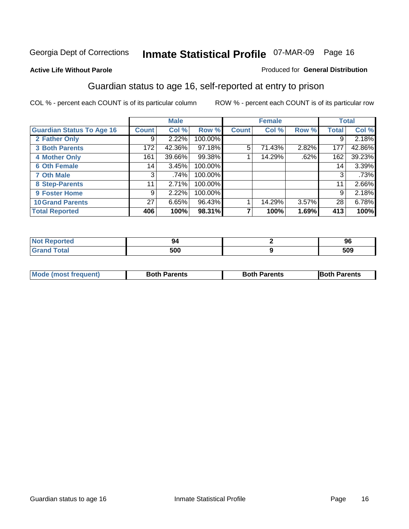#### **Active Life Without Parole**

#### Produced for **General Distribution**

#### Guardian status to age 16, self-reported at entry to prison

|                                  |              | <b>Male</b> |         |              | <b>Female</b> |       |              | <b>Total</b> |
|----------------------------------|--------------|-------------|---------|--------------|---------------|-------|--------------|--------------|
| <b>Guardian Status To Age 16</b> | <b>Count</b> | Col %       | Row %   | <b>Count</b> | Col %         | Row % | <b>Total</b> | Col %        |
| 2 Father Only                    | 9            | 2.22%       | 100.00% |              |               |       | 9            | 2.18%        |
| <b>3 Both Parents</b>            | 172          | 42.36%      | 97.18%  | 5            | 71.43%        | 2.82% | 177          | 42.86%       |
| <b>4 Mother Only</b>             | 161          | 39.66%      | 99.38%  |              | 14.29%        | .62%  | 162          | 39.23%       |
| <b>6 Oth Female</b>              | 14           | 3.45%       | 100.00% |              |               |       | 14           | 3.39%        |
| <b>7 Oth Male</b>                | 3            | .74%        | 100.00% |              |               |       | 3            | .73%         |
| 8 Step-Parents                   | 11           | 2.71%       | 100.00% |              |               |       | 11           | 2.66%        |
| 9 Foster Home                    | 9            | 2.22%       | 100.00% |              |               |       | 9            | 2.18%        |
| <b>10 Grand Parents</b>          | 27           | 6.65%       | 96.43%  |              | 14.29%        | 3.57% | 28           | 6.78%        |
| <b>Total Reported</b>            | 406          | 100%        | 98.31%  |              | 100%          | 1.69% | 413          | 100%         |

| morted mo    | чи  | 96  |
|--------------|-----|-----|
| <b>Total</b> | 500 | 509 |

| <b>Mode (most frequent)</b> | <b>Both Parents</b> | <b>Both Parents</b> | <b>IBoth Parents</b> |
|-----------------------------|---------------------|---------------------|----------------------|
|                             |                     |                     |                      |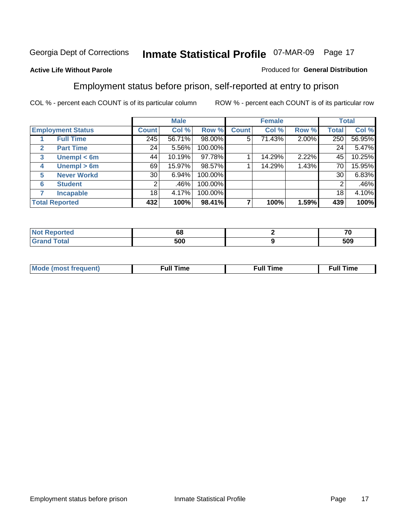#### **Active Life Without Parole**

#### Produced for **General Distribution**

#### Employment status before prison, self-reported at entry to prison

|                       |                          |              | <b>Male</b> |         |              | <b>Female</b> |          |       | <b>Total</b> |
|-----------------------|--------------------------|--------------|-------------|---------|--------------|---------------|----------|-------|--------------|
|                       | <b>Employment Status</b> | <b>Count</b> | Col %       | Row %   | <b>Count</b> | Col %         | Row %    | Total | Col %        |
|                       | <b>Full Time</b>         | 245          | 56.71%      | 98.00%  | 5            | 71.43%        | $2.00\%$ | 250   | 56.95%       |
| $\mathbf{2}$          | <b>Part Time</b>         | 24           | 5.56%       | 100.00% |              |               |          | 24    | 5.47%        |
| $\mathbf{3}$          | Unempl $<$ 6m            | 44           | 10.19%      | 97.78%  |              | 14.29%        | 2.22%    | 45    | 10.25%       |
| 4                     | Unempl > 6m              | 69           | 15.97%      | 98.57%  |              | 14.29%        | 1.43%    | 70    | 15.95%       |
| 5                     | <b>Never Workd</b>       | 30           | 6.94%       | 100.00% |              |               |          | 30    | 6.83%        |
| 6                     | <b>Student</b>           | 2            | .46%        | 100.00% |              |               |          | 2     | .46%         |
|                       | <b>Incapable</b>         | 18           | 4.17%       | 100.00% |              |               |          | 18    | 4.10%        |
| <b>Total Reported</b> |                          | 432          | 100%        | 98.41%  |              | 100%          | 1.59%    | 439   | 100%         |

| тес. | 68  | --  |
|------|-----|-----|
|      | 500 | 509 |

| <b>M</b> ດ | the contract of the contract of the contract of the contract of the contract of the contract of the contract of | the contract of the contract of the contract of the contract of the contract of the contract of the contract of | ----<br><b>Full Time</b> |
|------------|-----------------------------------------------------------------------------------------------------------------|-----------------------------------------------------------------------------------------------------------------|--------------------------|
|            |                                                                                                                 |                                                                                                                 |                          |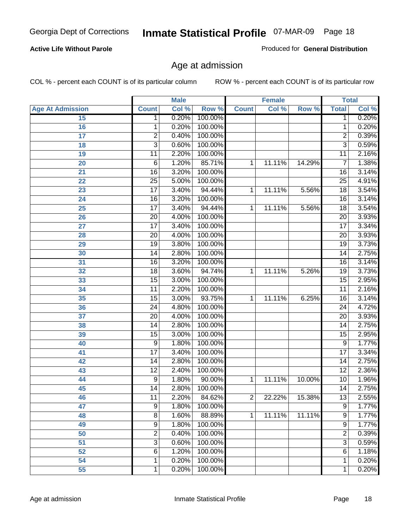#### **Active Life Without Parole**

Produced for **General Distribution**

#### Age at admission

|                         |                 | <b>Male</b> |         |              | <b>Female</b> |        |                 | <b>Total</b> |
|-------------------------|-----------------|-------------|---------|--------------|---------------|--------|-----------------|--------------|
| <b>Age At Admission</b> | <b>Count</b>    | Col %       | Row %   | <b>Count</b> | Col %         | Row %  | <b>Total</b>    | Col %        |
| 15                      | 1               | 0.20%       | 100.00% |              |               |        | 1               | 0.20%        |
| 16                      | 1               | 0.20%       | 100.00% |              |               |        | 1               | 0.20%        |
| 17                      | $\overline{2}$  | 0.40%       | 100.00% |              |               |        | $\overline{2}$  | 0.39%        |
| 18                      | $\overline{3}$  | 0.60%       | 100.00% |              |               |        | $\overline{3}$  | 0.59%        |
| 19                      | 11              | 2.20%       | 100.00% |              |               |        | 11              | 2.16%        |
| 20                      | $\overline{6}$  | 1.20%       | 85.71%  | 1            | 11.11%        | 14.29% | 7               | 1.38%        |
| 21                      | $\overline{16}$ | 3.20%       | 100.00% |              |               |        | $\overline{16}$ | 3.14%        |
| 22                      | $\overline{25}$ | 5.00%       | 100.00% |              |               |        | $\overline{25}$ | 4.91%        |
| 23                      | $\overline{17}$ | 3.40%       | 94.44%  | 1            | 11.11%        | 5.56%  | 18              | 3.54%        |
| 24                      | $\overline{16}$ | 3.20%       | 100.00% |              |               |        | 16              | 3.14%        |
| 25                      | $\overline{17}$ | 3.40%       | 94.44%  | 1            | 11.11%        | 5.56%  | $\overline{18}$ | 3.54%        |
| 26                      | $\overline{20}$ | 4.00%       | 100.00% |              |               |        | $\overline{20}$ | 3.93%        |
| $\overline{27}$         | $\overline{17}$ | 3.40%       | 100.00% |              |               |        | $\overline{17}$ | 3.34%        |
| 28                      | $\overline{20}$ | 4.00%       | 100.00% |              |               |        | $\overline{20}$ | 3.93%        |
| 29                      | $\overline{19}$ | 3.80%       | 100.00% |              |               |        | $\overline{19}$ | 3.73%        |
| 30                      | $\overline{14}$ | 2.80%       | 100.00% |              |               |        | $\overline{14}$ | 2.75%        |
| 31                      | $\overline{16}$ | 3.20%       | 100.00% |              |               |        | 16              | 3.14%        |
| 32                      | $\overline{18}$ | 3.60%       | 94.74%  | 1            | 11.11%        | 5.26%  | $\overline{19}$ | 3.73%        |
| 33                      | $\overline{15}$ | 3.00%       | 100.00% |              |               |        | $\overline{15}$ | 2.95%        |
| 34                      | $\overline{11}$ | 2.20%       | 100.00% |              |               |        | $\overline{11}$ | 2.16%        |
| 35                      | $\overline{15}$ | 3.00%       | 93.75%  | 1            | 11.11%        | 6.25%  | 16              | 3.14%        |
| 36                      | $\overline{24}$ | 4.80%       | 100.00% |              |               |        | $\overline{24}$ | 4.72%        |
| 37                      | $\overline{20}$ | 4.00%       | 100.00% |              |               |        | $\overline{20}$ | 3.93%        |
| 38                      | $\overline{14}$ | 2.80%       | 100.00% |              |               |        | $\overline{14}$ | 2.75%        |
| 39                      | 15              | 3.00%       | 100.00% |              |               |        | $\overline{15}$ | 2.95%        |
| 40                      | 9               | 1.80%       | 100.00% |              |               |        | 9               | 1.77%        |
| 41                      | $\overline{17}$ | 3.40%       | 100.00% |              |               |        | $\overline{17}$ | 3.34%        |
| 42                      | $\overline{14}$ | 2.80%       | 100.00% |              |               |        | $\overline{14}$ | 2.75%        |
| 43                      | $\overline{12}$ | 2.40%       | 100.00% |              |               |        | $\overline{12}$ | 2.36%        |
| 44                      | $\overline{9}$  | 1.80%       | 90.00%  | 1            | 11.11%        | 10.00% | $\overline{10}$ | 1.96%        |
| 45                      | $\overline{14}$ | 2.80%       | 100.00% |              |               |        | $\overline{14}$ | 2.75%        |
| 46                      | 11              | 2.20%       | 84.62%  | 2            | 22.22%        | 15.38% | 13              | 2.55%        |
| 47                      | 9               | 1.80%       | 100.00% |              |               |        | $\overline{9}$  | 1.77%        |
| 48                      | $\overline{8}$  | 1.60%       | 88.89%  | 1            | 11.11%        | 11.11% | 9               | 1.77%        |
| 49                      | $\overline{9}$  | 1.80%       | 100.00% |              |               |        | $\overline{9}$  | 1.77%        |
| 50                      | $\overline{2}$  | 0.40%       | 100.00% |              |               |        | $\overline{2}$  | 0.39%        |
| $\overline{51}$         | $\overline{3}$  | 0.60%       | 100.00% |              |               |        | $\overline{3}$  | 0.59%        |
| 52                      | $\overline{6}$  | 1.20%       | 100.00% |              |               |        | 6               | 1.18%        |
| 54                      | 1               | 0.20%       | 100.00% |              |               |        | 1               | 0.20%        |
| 55                      | 1               | 0.20%       | 100.00% |              |               |        | 1               | 0.20%        |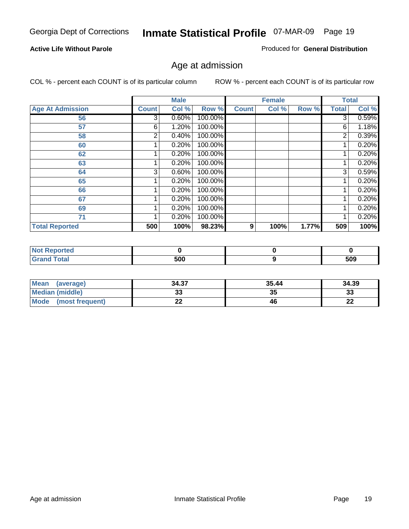#### **Active Life Without Parole**

Produced for **General Distribution**

#### Age at admission

|                         |              | <b>Male</b> |         |              | <b>Female</b> |       |                | <b>Total</b>        |
|-------------------------|--------------|-------------|---------|--------------|---------------|-------|----------------|---------------------|
| <b>Age At Admission</b> | <b>Count</b> | Col %       | Row %   | <b>Count</b> | Col %         | Row % | <b>Total</b>   | Col %               |
| 56                      | 3            | 0.60%       | 100.00% |              |               |       | 3              | 0.59%               |
| 57                      | 6            | 1.20%       | 100.00% |              |               |       | 6              | 1.18%               |
| 58                      | 2            | 0.40%       | 100.00% |              |               |       | $\overline{2}$ | $\overline{0.39\%}$ |
| 60                      |              | 0.20%       | 100.00% |              |               |       |                | 0.20%               |
| 62                      |              | 0.20%       | 100.00% |              |               |       |                | 0.20%               |
| 63                      |              | 0.20%       | 100.00% |              |               |       |                | 0.20%               |
| 64                      | 3            | 0.60%       | 100.00% |              |               |       | 3              | 0.59%               |
| 65                      |              | 0.20%       | 100.00% |              |               |       |                | 0.20%               |
| 66                      |              | 0.20%       | 100.00% |              |               |       |                | 0.20%               |
| 67                      |              | 0.20%       | 100.00% |              |               |       |                | 0.20%               |
| 69                      |              | 0.20%       | 100.00% |              |               |       | 1              | 0.20%               |
| 71                      |              | 0.20%       | 100.00% |              |               |       |                | 0.20%               |
| <b>Total Reported</b>   | 500          | 100%        | 98.23%  | 9            | 100%          | 1.77% | 509            | 100%                |

| тес             |     |     |
|-----------------|-----|-----|
| $\sim$<br>_____ | 500 | 509 |

| <b>Mean</b><br>(average)       | 34.37 | 35.44 | 34.39    |
|--------------------------------|-------|-------|----------|
| <b>Median (middle)</b>         |       | 35    | າາ<br>ند |
| <b>Mode</b><br>(most frequent) | --    | 46    | n,<br>LL |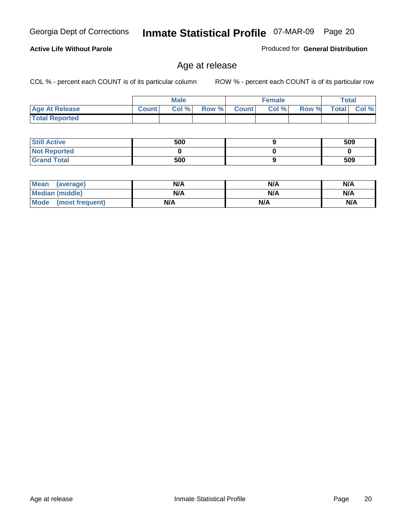#### **Active Life Without Parole**

Produced for **General Distribution**

#### Age at release

|                       |              | <b>Male</b> |       |                | <b>Female</b> |       | <b>Total</b> |       |
|-----------------------|--------------|-------------|-------|----------------|---------------|-------|--------------|-------|
| <b>Age At Release</b> | <b>Count</b> | Col%        | Row % | <b>Count</b> Ⅰ | Col %         | Row % | <b>Total</b> | Col % |
| <b>Total Reported</b> |              |             |       |                |               |       |              |       |

| <b>Still Active</b> | 500 | 509 |
|---------------------|-----|-----|
| <b>Not Reported</b> |     |     |
| <b>Grand Total</b>  | 500 | 509 |

| Mean<br>(average)      | N/A | N/A | N/A |
|------------------------|-----|-----|-----|
| <b>Median (middle)</b> | N/A | N/A | N/A |
| Mode (most frequent)   | N/A | N/A | N/A |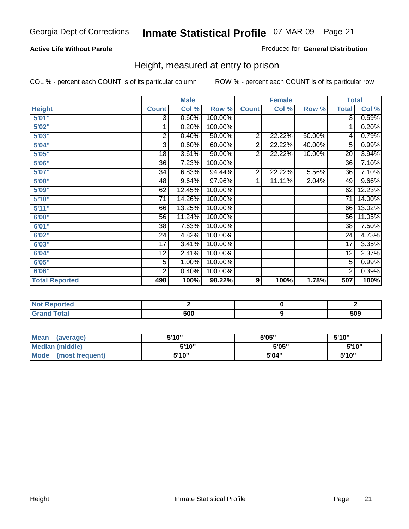#### **Active Life Without Parole**

#### Produced for **General Distribution**

#### Height, measured at entry to prison

|                       |                 | <b>Male</b> |         |                | <b>Female</b> |        | <b>Total</b>    |                     |
|-----------------------|-----------------|-------------|---------|----------------|---------------|--------|-----------------|---------------------|
| <b>Height</b>         | <b>Count</b>    | Col %       | Row %   | <b>Count</b>   | Col %         | Row %  | <b>Total</b>    | Col %               |
| 5'01''                | $\overline{3}$  | 0.60%       | 100.00% |                |               |        | $\overline{3}$  | 0.59%               |
| 5'02"                 | 1               | 0.20%       | 100.00% |                |               |        | 1               | 0.20%               |
| 5'03"                 | 2               | 0.40%       | 50.00%  | $\overline{2}$ | 22.22%        | 50.00% | 4               | 0.79%               |
| 5'04"                 | 3               | 0.60%       | 60.00%  | $\overline{2}$ | 22.22%        | 40.00% | 5               | 0.99%               |
| 5'05"                 | 18              | 3.61%       | 90.00%  | $\overline{2}$ | 22.22%        | 10.00% | 20              | 3.94%               |
| 5'06''                | 36              | 7.23%       | 100.00% |                |               |        | $\overline{36}$ | 7.10%               |
| 5'07''                | 34              | 6.83%       | 94.44%  | $\overline{2}$ | 22.22%        | 5.56%  | 36              | $7.10\%$            |
| 5'08''                | 48              | 9.64%       | 97.96%  | 1              | 11.11%        | 2.04%  | 49              | 9.66%               |
| 5'09"                 | 62              | 12.45%      | 100.00% |                |               |        | 62              | 12.23%              |
| 5'10''                | $\overline{71}$ | 14.26%      | 100.00% |                |               |        | $\overline{71}$ | 14.00%              |
| 5'11"                 | 66              | 13.25%      | 100.00% |                |               |        | 66              | 13.02%              |
| 6'00"                 | 56              | 11.24%      | 100.00% |                |               |        | 56              | 11.05%              |
| 6'01''                | 38              | 7.63%       | 100.00% |                |               |        | 38              | 7.50%               |
| 6'02"                 | 24              | 4.82%       | 100.00% |                |               |        | 24              | 4.73%               |
| 6'03"                 | 17              | 3.41%       | 100.00% |                |               |        | 17              | 3.35%               |
| 6'04"                 | 12              | 2.41%       | 100.00% |                |               |        | 12              | 2.37%               |
| 6'05"                 | 5               | 1.00%       | 100.00% |                |               |        | 5               | 0.99%               |
| 6'06"                 | $\overline{2}$  | 0.40%       | 100.00% |                |               |        | $\overline{2}$  | $\overline{0.39\%}$ |
| <b>Total Reported</b> | 498             | 100%        | 98.22%  | 9              | 100%          | 1.78%  | 507             | 100%                |

| τeα                    |     |     |
|------------------------|-----|-----|
| $\sim$ $\sim$<br>_____ | 500 | 509 |

| <b>Mean</b><br>(average)       | 5'10" | 5'05" | 5'10" |
|--------------------------------|-------|-------|-------|
| Median (middle)                | 5'10" | 5'05" | 5'10" |
| <b>Mode</b><br>(most frequent) | 5'10" | 5'04" | 5'10" |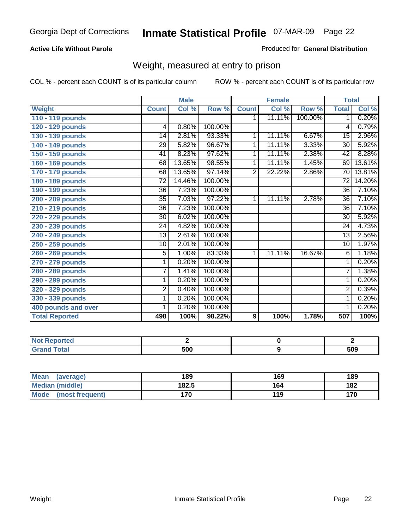#### **Active Life Without Parole**

#### Produced for **General Distribution**

#### Weight, measured at entry to prison

|                       |                 | <b>Male</b> |         |                | <b>Female</b> |         |                 | <b>Total</b> |
|-----------------------|-----------------|-------------|---------|----------------|---------------|---------|-----------------|--------------|
| <b>Weight</b>         | <b>Count</b>    | Col %       | Row %   | <b>Count</b>   | Col %         | Row %   | <b>Total</b>    | Col %        |
| 110 - 119 pounds      |                 |             |         | 1.             | 11.11%        | 100.00% | 1               | 0.20%        |
| 120 - 129 pounds      | 4               | 0.80%       | 100.00% |                |               |         | 4               | 0.79%        |
| 130 - 139 pounds      | 14              | 2.81%       | 93.33%  | 1              | 11.11%        | 6.67%   | 15              | 2.96%        |
| 140 - 149 pounds      | 29              | 5.82%       | 96.67%  | 1              | 11.11%        | 3.33%   | $\overline{30}$ | 5.92%        |
| 150 - 159 pounds      | 41              | 8.23%       | 97.62%  | 1              | 11.11%        | 2.38%   | 42              | 8.28%        |
| 160 - 169 pounds      | 68              | 13.65%      | 98.55%  | 1              | 11.11%        | 1.45%   | 69              | 13.61%       |
| 170 - 179 pounds      | 68              | 13.65%      | 97.14%  | $\overline{2}$ | 22.22%        | 2.86%   | 70              | 13.81%       |
| 180 - 189 pounds      | $\overline{72}$ | 14.46%      | 100.00% |                |               |         | $\overline{72}$ | 14.20%       |
| 190 - 199 pounds      | 36              | 7.23%       | 100.00% |                |               |         | 36              | 7.10%        |
| 200 - 209 pounds      | 35              | 7.03%       | 97.22%  | 1              | 11.11%        | 2.78%   | 36              | 7.10%        |
| 210 - 219 pounds      | 36              | 7.23%       | 100.00% |                |               |         | 36              | 7.10%        |
| 220 - 229 pounds      | 30              | 6.02%       | 100.00% |                |               |         | 30              | 5.92%        |
| 230 - 239 pounds      | 24              | 4.82%       | 100.00% |                |               |         | 24              | 4.73%        |
| 240 - 249 pounds      | 13              | 2.61%       | 100.00% |                |               |         | 13              | 2.56%        |
| 250 - 259 pounds      | 10              | 2.01%       | 100.00% |                |               |         | 10              | 1.97%        |
| 260 - 269 pounds      | $\overline{5}$  | 1.00%       | 83.33%  | 1              | 11.11%        | 16.67%  | 6               | 1.18%        |
| 270 - 279 pounds      | 1               | 0.20%       | 100.00% |                |               |         | 1               | 0.20%        |
| 280 - 289 pounds      | 7               | 1.41%       | 100.00% |                |               |         | $\overline{7}$  | 1.38%        |
| 290 - 299 pounds      | 1               | 0.20%       | 100.00% |                |               |         | $\overline{1}$  | 0.20%        |
| 320 - 329 pounds      | $\overline{2}$  | 0.40%       | 100.00% |                |               |         | 2               | 0.39%        |
| 330 - 339 pounds      | $\mathbf{1}$    | 0.20%       | 100.00% |                |               |         | 1               | 0.20%        |
| 400 pounds and over   | 1               | 0.20%       | 100.00% |                |               |         | 1               | 0.20%        |
| <b>Total Reported</b> | 498             | 100%        | 98.22%  | 9              | 100%          | 1.78%   | 507             | 100%         |

| oorted<br>NG.         |     |     |
|-----------------------|-----|-----|
| <b>otal</b><br>$\sim$ | 500 | 509 |

| <b>Mean</b><br>(average) | 189   | 169 | 189 |
|--------------------------|-------|-----|-----|
| Median (middle)          | 182.5 | 164 | 182 |
| Mode<br>(most frequent)  | 170   | 119 | 170 |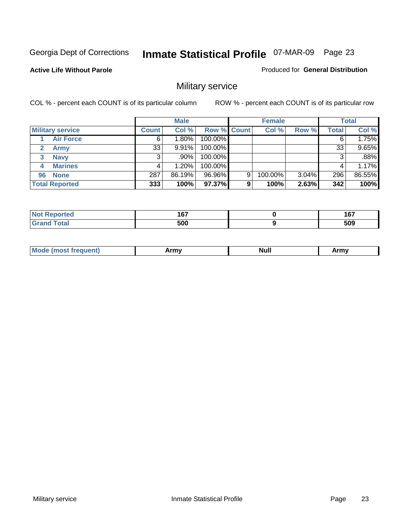**Active Life Without Parole** 

Produced for **General Distribution**

## Military service

|                         |              | <b>Male</b> |                    |   | <b>Female</b> |          |       | <b>Total</b> |
|-------------------------|--------------|-------------|--------------------|---|---------------|----------|-------|--------------|
| <b>Military service</b> | <b>Count</b> | Col %       | <b>Row % Count</b> |   | Col %         | Row %    | Total | Col %        |
| <b>Air Force</b>        | 6            | $1.80\%$    | 100.00%            |   |               |          |       | 1.75%        |
| <b>Army</b>             | 33           | 9.91%       | 100.00%            |   |               |          | 33    | 9.65%        |
| <b>Navy</b><br>3        |              | .90%        | 100.00%            |   |               |          |       | .88%         |
| <b>Marines</b><br>4     |              | $1.20\%$    | 100.00%            |   |               |          |       | 1.17%        |
| 96 None                 | 287          | 86.19%      | 96.96%             | 9 | 100.00%       | $3.04\%$ | 296   | 86.55%       |
| <b>Total Reported</b>   | 333          | 100%        | 97.37%             | 9 | 100%          | 2.63%    | 342   | 100%         |

| المستقصين<br>rero | 167<br>1 V 1<br>$\sim$ $\sim$ | - - -<br><br>$\sim$ |
|-------------------|-------------------------------|---------------------|
| Coto!             | 500                           | 509                 |

| M<br><b>IVUII</b><br>.<br>. |
|-----------------------------|
|-----------------------------|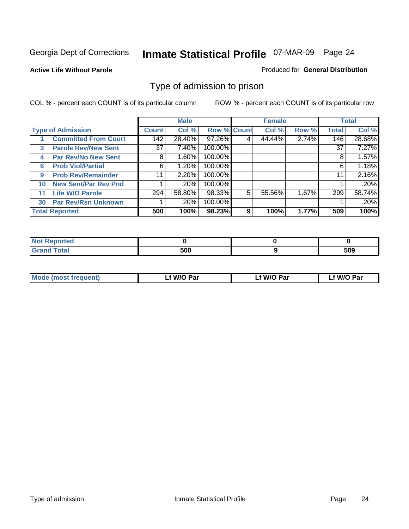#### **Active Life Without Parole**

#### Produced for **General Distribution**

#### Type of admission to prison

|    |                             |                 | <b>Male</b> |                    |   | <b>Female</b> |       |              | <b>Total</b> |
|----|-----------------------------|-----------------|-------------|--------------------|---|---------------|-------|--------------|--------------|
|    | <b>Type of Admission</b>    | <b>Count</b>    | Col %       | <b>Row % Count</b> |   | Col %         | Row % | <b>Total</b> | Col %        |
|    | <b>Committed From Court</b> | 142             | 28.40%      | 97.26%             |   | 44.44%        | 2.74% | 146          | 28.68%       |
| 3  | <b>Parole Rev/New Sent</b>  | 37 <sup>1</sup> | 7.40%       | 100.00%            |   |               |       | 37           | 7.27%        |
| 4  | <b>Par Rev/No New Sent</b>  | 8               | 1.60%       | 100.00%            |   |               |       | 8            | 1.57%        |
| 6  | <b>Prob Viol/Partial</b>    | 6               | 1.20%       | 100.00%            |   |               |       | 6            | 1.18%        |
| 9  | <b>Prob Rev/Remainder</b>   | 11              | 2.20%       | 100.00%            |   |               |       | 11           | 2.16%        |
| 10 | <b>New Sent/Par Rev Pnd</b> |                 | .20%        | 100.00%            |   |               |       |              | .20%         |
| 11 | <b>Life W/O Parole</b>      | 294             | 58.80%      | 98.33%             | 5 | 55.56%        | 1.67% | 299          | 58.74%       |
| 30 | <b>Par Rev/Rsn Unknown</b>  |                 | .20%        | 100.00%            |   |               |       |              | .20%         |
|    | <b>Total Reported</b>       | 500             | 100%        | 98.23%             | 9 | 100%          | 1.77% | 509          | 100%         |

| Reported<br><b>NOT</b>         |     |     |
|--------------------------------|-----|-----|
| <b>Total</b><br>Gra<br>oranu i | cnn | 509 |

| <b>Mode (most frequent)</b> | <b>W/O Par</b> | <b>W/O Par</b> | W/O Par |
|-----------------------------|----------------|----------------|---------|
|                             |                |                |         |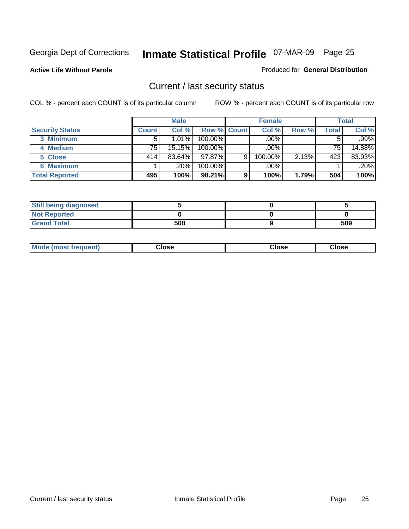**Active Life Without Parole** 

Produced for **General Distribution**

#### Current / last security status

|                        |              | <b>Male</b> |                    |   | <b>Female</b> |       |       | <b>Total</b> |
|------------------------|--------------|-------------|--------------------|---|---------------|-------|-------|--------------|
| <b>Security Status</b> | <b>Count</b> | Col %       | <b>Row % Count</b> |   | Col %         | Row % | Total | Col %        |
| 3 Minimum              |              | $1.01\%$    | $100.00\%$         |   | .00%          |       |       | .99%         |
| 4 Medium               | 75           | 15.15%      | $100.00\%$         |   | $.00\%$       |       | 75    | 14.88%       |
| 5 Close                | 414          | $83.64\%$   | $97.87\%$          | 9 | 100.00%       | 2.13% | 423   | 83.93%       |
| 6 Maximum              |              | $.20\%$     | 100.00%            |   | .00%          |       |       | .20%         |
| <b>Total Reported</b>  | 495          | 100%        | 98.21%             | 9 | 100%          | 1.79% | 504   | 100%         |

| <b>Still being diagnosed</b> |     |     |
|------------------------------|-----|-----|
| <b>Not Reported</b>          |     |     |
| <b>Grand Total</b>           | 500 | 509 |

|  | <b>Mode</b><br>frequent)<br>nst | ;lose<br>- - - - | วlose<br>. | lose<br>. |
|--|---------------------------------|------------------|------------|-----------|
|--|---------------------------------|------------------|------------|-----------|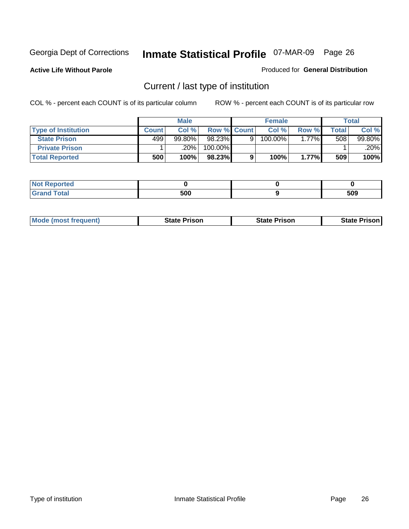**Active Life Without Parole** 

Produced for **General Distribution**

## Current / last type of institution

|                            |              | <b>Male</b> |             |   | <b>Female</b> |          |       | <b>Total</b> |
|----------------------------|--------------|-------------|-------------|---|---------------|----------|-------|--------------|
| <b>Type of Institution</b> | <b>Count</b> | Col%        | Row % Count |   | Col %         | Row %    | Total | Col %        |
| <b>State Prison</b>        | 499          | $99.80\%$   | 98.23%      | Q | 100.00%       | $1.77\%$ | 508   | 99.80%       |
| <b>Private Prison</b>      |              | 20%         | 100.00%     |   |               |          |       | .20%         |
| <b>Total Reported</b>      | 500          | 100%        | 98.23%      |   | 100%          | $1.77\%$ | 509   | 100%         |

| ted               |                   |     |
|-------------------|-------------------|-----|
| <b>otal</b><br>-- | <b>ENN</b><br>งบบ | 509 |

| <b>Mode (most frequent)</b> | <b>State Prison</b> | <b>State Prison</b> | <b>State Prison</b> |
|-----------------------------|---------------------|---------------------|---------------------|
|                             |                     |                     |                     |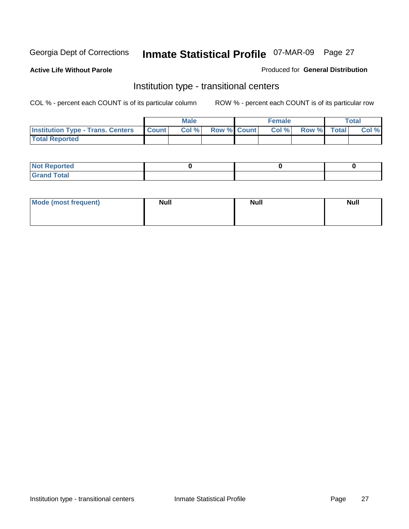**Active Life Without Parole** 

#### Produced for **General Distribution**

#### Institution type - transitional centers

|                                          |              | <b>Male</b> |                    | <b>Female</b> |             | Total |
|------------------------------------------|--------------|-------------|--------------------|---------------|-------------|-------|
| <b>Institution Type - Trans. Centers</b> | <b>Count</b> | Col %       | <b>Row % Count</b> | Col %         | Row % Total | Col % |
| <b>Total Reported</b>                    |              |             |                    |               |             |       |

| <b>Reported</b><br>$\sim$  |  |  |
|----------------------------|--|--|
| ota<br>C.v.<br>-<br>______ |  |  |

| Mode (most frequent) | <b>Null</b> | <b>Null</b> | <b>Null</b> |
|----------------------|-------------|-------------|-------------|
|                      |             |             |             |
|                      |             |             |             |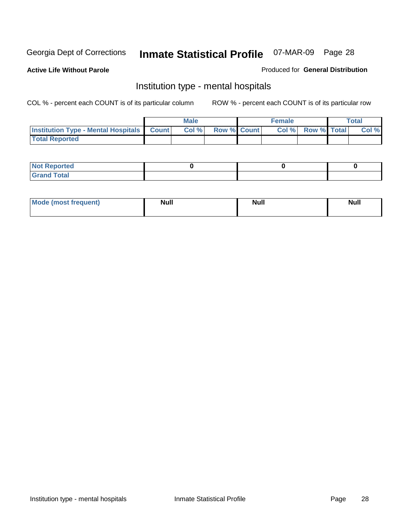**Active Life Without Parole** 

Produced for **General Distribution**

#### Institution type - mental hospitals

|                                                  | <b>Male</b> |                    | <b>Female</b> |                   | <b>Total</b> |
|--------------------------------------------------|-------------|--------------------|---------------|-------------------|--------------|
| <b>Institution Type - Mental Hospitals Count</b> | Col%        | <b>Row % Count</b> |               | Col % Row % Total | Col %        |
| <b>Total Reported</b>                            |             |                    |               |                   |              |

| <b>Not Reported</b> |  |  |
|---------------------|--|--|
| <b>Fotal</b><br>Cro |  |  |

| Mode (most frequent) | <b>Null</b> | <b>Null</b> | <b>Null</b> |
|----------------------|-------------|-------------|-------------|
|                      |             |             |             |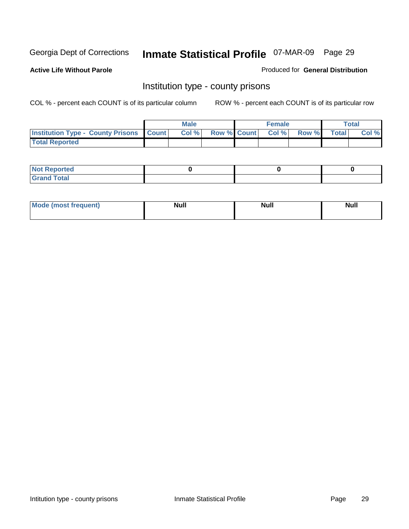**Active Life Without Parole** 

Produced for **General Distribution**

#### Institution type - county prisons

|                                                    | <b>Male</b> |                          | <b>Female</b> |       |              | Total |
|----------------------------------------------------|-------------|--------------------------|---------------|-------|--------------|-------|
| <b>Institution Type - County Prisons   Count  </b> | Col %       | <b>Row % Count Col %</b> |               | Row % | <b>Total</b> | Col % |
| <b>Total Reported</b>                              |             |                          |               |       |              |       |

| <b>Not</b><br><b>Reported</b> |  |  |
|-------------------------------|--|--|
| <b>Grand Total</b>            |  |  |

| <b>Mo</b><br>frequent) | NI. . II<br>1u 11 | <b>Moll</b> | <b>Null</b> |
|------------------------|-------------------|-------------|-------------|
|                        |                   |             |             |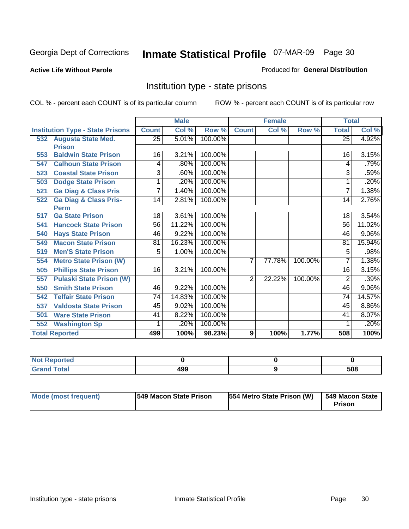**Active Life Without Parole** 

Produced for **General Distribution**

#### Institution type - state prisons

|     |                                         | <b>Male</b>  |        | <b>Female</b> |                |        | <b>Total</b> |              |          |
|-----|-----------------------------------------|--------------|--------|---------------|----------------|--------|--------------|--------------|----------|
|     | <b>Institution Type - State Prisons</b> | <b>Count</b> | Col %  | Row %         | <b>Count</b>   | Col %  | Row %        | <b>Total</b> | Col %    |
| 532 | <b>Augusta State Med.</b>               | 25           | 5.01%  | 100.00%       |                |        |              | 25           | 4.92%    |
|     | <b>Prison</b>                           |              |        |               |                |        |              |              |          |
| 553 | <b>Baldwin State Prison</b>             | 16           | 3.21%  | 100.00%       |                |        |              | 16           | 3.15%    |
| 547 | <b>Calhoun State Prison</b>             | 4            | .80%   | 100.00%       |                |        |              | 4            | .79%     |
| 523 | <b>Coastal State Prison</b>             | 3            | .60%   | 100.00%       |                |        |              | 3            | .59%     |
| 503 | <b>Dodge State Prison</b>               | 1            | .20%   | 100.00%       |                |        |              | 1            | .20%     |
| 521 | <b>Ga Diag &amp; Class Pris</b>         | 7            | 1.40%  | 100.00%       |                |        |              | 7            | 1.38%    |
| 522 | <b>Ga Diag &amp; Class Pris-</b>        | 14           | 2.81%  | 100.00%       |                |        |              | 14           | 2.76%    |
|     | <b>Perm</b>                             |              |        |               |                |        |              |              |          |
| 517 | <b>Ga State Prison</b>                  | 18           | 3.61%  | 100.00%       |                |        |              | 18           | 3.54%    |
| 541 | <b>Hancock State Prison</b>             | 56           | 11.22% | 100.00%       |                |        |              | 56           | 11.02%   |
| 540 | <b>Hays State Prison</b>                | 46           | 9.22%  | 100.00%       |                |        |              | 46           | $9.06\%$ |
| 549 | <b>Macon State Prison</b>               | 81           | 16.23% | 100.00%       |                |        |              | 81           | 15.94%   |
| 519 | <b>Men'S State Prison</b>               | 5            | 1.00%  | 100.00%       |                |        |              | 5            | .98%     |
| 554 | <b>Metro State Prison (W)</b>           |              |        |               | $\overline{7}$ | 77.78% | 100.00%      | 7            | 1.38%    |
| 505 | <b>Phillips State Prison</b>            | 16           | 3.21%  | 100.00%       |                |        |              | 16           | 3.15%    |
| 557 | <b>Pulaski State Prison (W)</b>         |              |        |               | $\overline{2}$ | 22.22% | 100.00%      | 2            | .39%     |
| 550 | <b>Smith State Prison</b>               | 46           | 9.22%  | 100.00%       |                |        |              | 46           | $9.06\%$ |
| 542 | <b>Telfair State Prison</b>             | 74           | 14.83% | 100.00%       |                |        |              | 74           | 14.57%   |
| 537 | <b>Valdosta State Prison</b>            | 45           | 9.02%  | 100.00%       |                |        |              | 45           | 8.86%    |
| 501 | <b>Ware State Prison</b>                | 41           | 8.22%  | 100.00%       |                |        |              | 41           | 8.07%    |
| 552 | <b>Washington Sp</b>                    | 1            | .20%   | 100.00%       |                |        |              |              | .20%     |
|     | <b>Total Reported</b>                   | 499          | 100%   | 98.23%        | 9              | 100%   | 1.77%        | 508          | 100%     |

| ported<br>N                 |     |     |
|-----------------------------|-----|-----|
| <b>Total</b><br><b>CHAN</b> | 499 | 508 |

| Mode (most frequent) | 1549 Macon State Prison | 554 Metro State Prison (W) | 549 Macon State<br>Prison |
|----------------------|-------------------------|----------------------------|---------------------------|
|----------------------|-------------------------|----------------------------|---------------------------|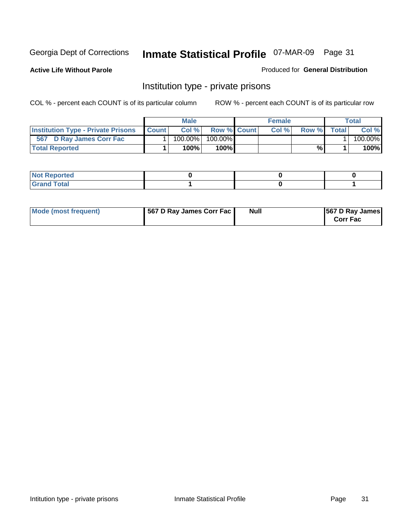**Active Life Without Parole** 

Produced for **General Distribution**

#### Institution type - private prisons

|                                           |              | <b>Male</b> |               | <b>Female</b> |       |       | Total   |
|-------------------------------------------|--------------|-------------|---------------|---------------|-------|-------|---------|
| <b>Institution Type - Private Prisons</b> | <b>Count</b> | Col %       | Row % Count   | Col %         | Row % | Total | Col %   |
| 567 D Ray James Corr Fac                  |              | $100.00\%$  | 100.00%       |               |       |       | 100.00% |
| <b>Total Reported</b>                     |              | 100%        | 100% <b>I</b> |               | %     |       | 100%    |

| <b>Not Reported</b>             |  |  |
|---------------------------------|--|--|
| <b>Total</b><br>Gr2<br>$\sim$ . |  |  |

| Mode (most frequent) | 567 D Ray James Corr Fac | <b>Null</b> | <b>567 D Ray James</b><br><b>Corr Fac</b> |
|----------------------|--------------------------|-------------|-------------------------------------------|
|----------------------|--------------------------|-------------|-------------------------------------------|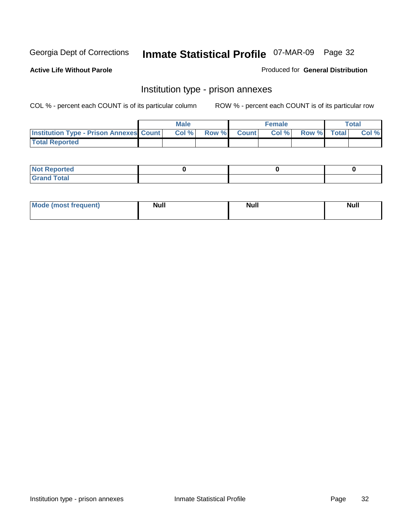**Active Life Without Parole** 

Produced for **General Distribution**

#### Institution type - prison annexes

|                                                | <b>Male</b> |              |                | <b>Female</b> |             | <b>Total</b> |
|------------------------------------------------|-------------|--------------|----------------|---------------|-------------|--------------|
| <b>Institution Type - Prison Annexes Count</b> | Col %       | <b>Row %</b> | <b>Count</b> Ⅰ | Col%          | Row % Total | Col %        |
| <b>Total Reported</b>                          |             |              |                |               |             |              |

| <b>Not</b><br><b>Reported</b>    |  |  |
|----------------------------------|--|--|
| <b>Total</b><br>Gran<br>$\sim$ . |  |  |

| Mode (most frequent) | <b>Null</b> | <b>Null</b> | <b>Null</b> |
|----------------------|-------------|-------------|-------------|
|                      |             |             |             |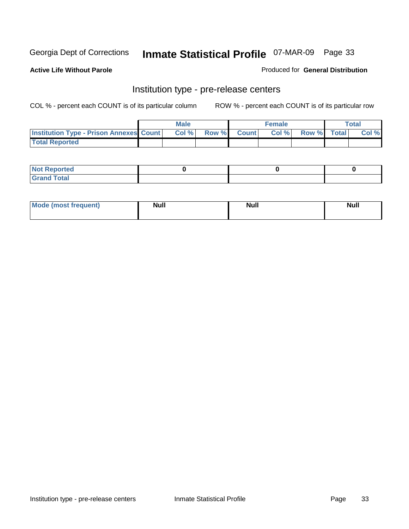**Active Life Without Parole** 

Produced for **General Distribution**

#### Institution type - pre-release centers

|                                                | <b>Male</b> |       |              | <b>Female</b> |             | <b>Total</b> |
|------------------------------------------------|-------------|-------|--------------|---------------|-------------|--------------|
| <b>Institution Type - Prison Annexes Count</b> | Col%        | Row % | <b>Count</b> | Col%          | Row % Total | Col %        |
| <b>Total Reported</b>                          |             |       |              |               |             |              |

| <b>Not</b><br><b>Reported</b>    |  |  |
|----------------------------------|--|--|
| <b>Total</b><br>Gran<br>$\sim$ . |  |  |

| Mode (most frequent) | <b>Null</b> | <b>Null</b><br>_____ | <b>Null</b> |
|----------------------|-------------|----------------------|-------------|
|                      |             |                      |             |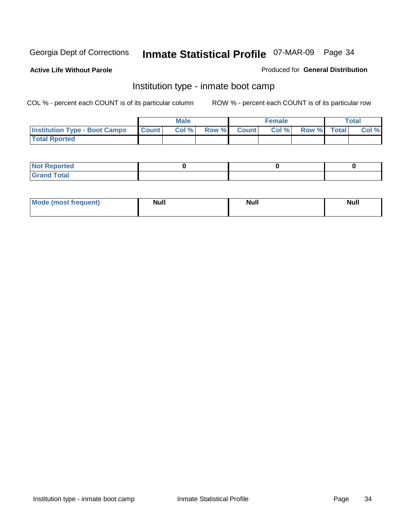**Active Life Without Parole** 

Produced for **General Distribution**

#### Institution type - inmate boot camp

|                                      |              | Male  |             | <b>Female</b> |             | <b>Total</b> |
|--------------------------------------|--------------|-------|-------------|---------------|-------------|--------------|
| <b>Institution Type - Boot Camps</b> | <b>Count</b> | Col % | Row % Count | Col %         | Row % Total | Col %        |
| <b>Total Rported</b>                 |              |       |             |               |             |              |

| <b>Not Reported</b>  |  |  |
|----------------------|--|--|
| <b>Total</b><br>Croy |  |  |

| Mode (most frequent) | <b>Null</b> | <b>Null</b> | <b>Null</b> |
|----------------------|-------------|-------------|-------------|
|                      |             |             |             |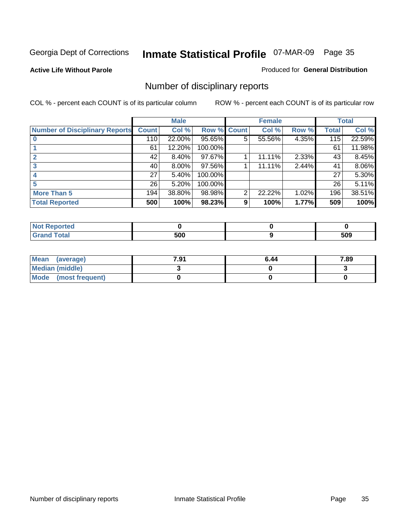**Active Life Without Parole** 

Produced for **General Distribution**

## Number of disciplinary reports

|                                       |              | <b>Male</b> |                    |                | <b>Female</b> |       |       | <b>Total</b> |
|---------------------------------------|--------------|-------------|--------------------|----------------|---------------|-------|-------|--------------|
| <b>Number of Disciplinary Reports</b> | <b>Count</b> | Col %       | <b>Row % Count</b> |                | Col %         | Row % | Total | Col %        |
|                                       | 110          | 22.00%      | 95.65%             | 5 <sup>1</sup> | 55.56%        | 4.35% | 115   | 22.59%       |
|                                       | 61           | 12.20%      | 100.00%            |                |               |       | 61    | 11.98%       |
| 2                                     | 42           | 8.40%       | 97.67%             |                | 11.11%        | 2.33% | 43    | 8.45%        |
| 3                                     | 40           | 8.00%       | 97.56%             |                | 11.11%        | 2.44% | 41    | 8.06%        |
|                                       | 27           | 5.40%       | 100.00%            |                |               |       | 27    | 5.30%        |
|                                       | 26           | 5.20%       | 100.00%            |                |               |       | 26    | 5.11%        |
| <b>More Than 5</b>                    | 194          | 38.80%      | 98.98%             | 2              | 22.22%        | 1.02% | 196   | 38.51%       |
| <b>Total Reported</b>                 | 500          | 100%        | 98.23%             | 9              | 100%          | 1.77% | 509   | 100%         |

| N<br>тес.        |              |                    |
|------------------|--------------|--------------------|
| $\sim$<br>______ | 500<br>- - - | 50C<br>JUJ<br>$ -$ |

| Mean (average)       | 7.91 | 6.44 | 7.89 |
|----------------------|------|------|------|
| Median (middle)      |      |      |      |
| Mode (most frequent) |      |      |      |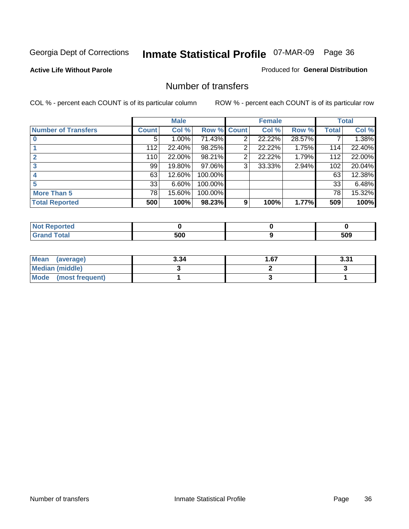#### **Active Life Without Parole**

#### Produced for **General Distribution**

#### Number of transfers

|                            |              | <b>Male</b> |         |       | <b>Female</b> |        |              | <b>Total</b> |
|----------------------------|--------------|-------------|---------|-------|---------------|--------|--------------|--------------|
| <b>Number of Transfers</b> | <b>Count</b> | Col %       | Row %   | Count | Col %         | Row %  | <b>Total</b> | Col %        |
|                            | 5            | $1.00\%$    | 71.43%  | 2     | 22.22%        | 28.57% |              | 1.38%        |
|                            | 112          | 22.40%      | 98.25%  | 2     | 22.22%        | 1.75%  | 114          | 22.40%       |
|                            | 110          | 22.00%      | 98.21%  | 2     | 22.22%        | 1.79%  | 112          | 22.00%       |
|                            | 99           | 19.80%      | 97.06%  | 3     | 33.33%        | 2.94%  | 102          | 20.04%       |
|                            | 63           | 12.60%      | 100.00% |       |               |        | 63           | 12.38%       |
|                            | 33           | 6.60%       | 100.00% |       |               |        | 33           | 6.48%        |
| <b>More Than 5</b>         | 78           | 15.60%      | 100.00% |       |               |        | 78           | 15.32%       |
| <b>Total Reported</b>      | 500          | 100%        | 98.23%  | 9     | 100%          | 1.77%  | 509          | 100%         |

| .<br>N<br>те о               |                |     |
|------------------------------|----------------|-----|
| $T_{\text{total}}$<br>______ | - ^ ^<br>$  -$ | 509 |

| Mean (average)       | 3.34 | 67،، | 221<br>J.J I |
|----------------------|------|------|--------------|
| Median (middle)      |      |      |              |
| Mode (most frequent) |      |      |              |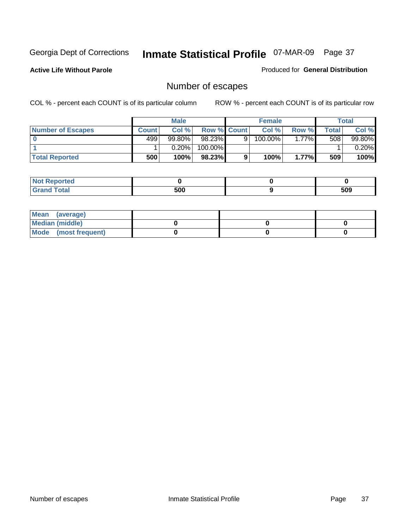**Active Life Without Parole** 

Produced for **General Distribution**

# Number of escapes

|                       |         | <b>Male</b> |                    |   | <b>Female</b> |         |         | <b>Total</b> |
|-----------------------|---------|-------------|--------------------|---|---------------|---------|---------|--------------|
| Number of Escapes     | Count l | Col %       | <b>Row % Count</b> |   | Col %         | Row %   | Total I | Col %        |
|                       | 499     | $99.80\%$   | $98.23\%$          | 9 | 100.00%       | $.77\%$ | 508     | 99.80%       |
|                       |         | 0.20%       | 100.00%            |   |               |         |         | 0.20%        |
| <b>Total Reported</b> | 500     | 100%        | 98.23%             |   | 100%          | 1.77%   | 509     | 100%         |

| المستقصين<br>теа |     |     |
|------------------|-----|-----|
| ---<br>υιαι      | 500 | 509 |

| Mean (average)       |  |  |
|----------------------|--|--|
| Median (middle)      |  |  |
| Mode (most frequent) |  |  |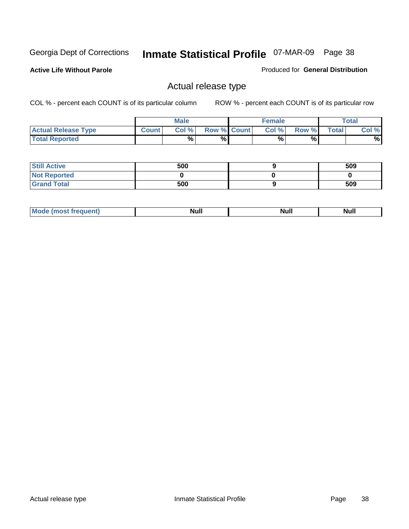**Active Life Without Parole** 

Produced for **General Distribution**

### Actual release type

|                            |              | <b>Male</b> |                    | <b>Female</b> |       |             | Total |
|----------------------------|--------------|-------------|--------------------|---------------|-------|-------------|-------|
| <b>Actual Release Type</b> | <b>Count</b> | Col %       | <b>Row % Count</b> | Col %1        | Row % | $\tau$ otal | Col % |
| <b>Total Reported</b>      |              | %           | %                  | %             | %     |             | %     |

| <b>Still Active</b> | 500 | 509 |
|---------------------|-----|-----|
| <b>Not Reported</b> |     |     |
| <b>Grand Total</b>  | 500 | 509 |

| īМ | м.<br>$-$ - $-$ - $-$ - $-$ | Null | $\cdots$ |
|----|-----------------------------|------|----------|
|    |                             |      |          |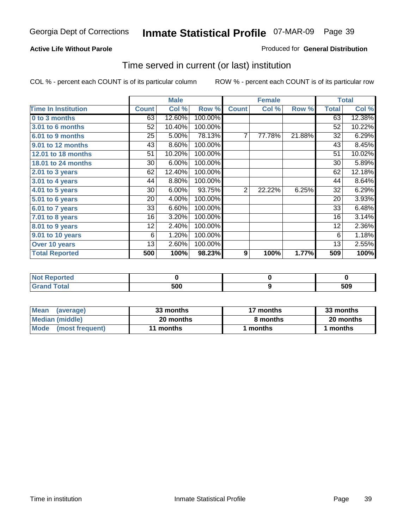#### **Active Life Without Parole**

#### Produced for **General Distribution**

### Time served in current (or last) institution

|                            |              | <b>Male</b> |         |                  | <b>Female</b> |        |              | <b>Total</b> |
|----------------------------|--------------|-------------|---------|------------------|---------------|--------|--------------|--------------|
| <b>Time In Institution</b> | <b>Count</b> | Col %       | Row %   | <b>Count</b>     | Col %         | Row %  | <b>Total</b> | Col %        |
| 0 to 3 months              | 63           | 12.60%      | 100.00% |                  |               |        | 63           | 12.38%       |
| 3.01 to 6 months           | 52           | 10.40%      | 100.00% |                  |               |        | 52           | 10.22%       |
| 6.01 to 9 months           | 25           | 5.00%       | 78.13%  | 7                | 77.78%        | 21.88% | 32           | 6.29%        |
| 9.01 to 12 months          | 43           | 8.60%       | 100.00% |                  |               |        | 43           | 8.45%        |
| 12.01 to 18 months         | 51           | 10.20%      | 100.00% |                  |               |        | 51           | 10.02%       |
| 18.01 to 24 months         | 30           | 6.00%       | 100.00% |                  |               |        | 30           | 5.89%        |
| 2.01 to 3 years            | 62           | 12.40%      | 100.00% |                  |               |        | 62           | 12.18%       |
| 3.01 to 4 years            | 44           | 8.80%       | 100.00% |                  |               |        | 44           | 8.64%        |
| 4.01 to 5 years            | 30           | 6.00%       | 93.75%  | $\overline{2}$   | 22.22%        | 6.25%  | 32           | 6.29%        |
| 5.01 to 6 years            | 20           | 4.00%       | 100.00% |                  |               |        | 20           | 3.93%        |
| 6.01 to 7 years            | 33           | 6.60%       | 100.00% |                  |               |        | 33           | 6.48%        |
| $7.01$ to 8 years          | 16           | 3.20%       | 100.00% |                  |               |        | 16           | 3.14%        |
| 8.01 to 9 years            | 12           | 2.40%       | 100.00% |                  |               |        | 12           | 2.36%        |
| 9.01 to 10 years           | 6            | 1.20%       | 100.00% |                  |               |        | 6            | 1.18%        |
| Over 10 years              | 13           | 2.60%       | 100.00% |                  |               |        | 13           | 2.55%        |
| <b>Total Reported</b>      | 500          | 100%        | 98.23%  | $\boldsymbol{9}$ | 100%          | 1.77%  | 509          | 100%         |

| <b>Not Reported</b> |     |     |
|---------------------|-----|-----|
| <b>Total</b>        | 500 | 509 |

| <b>Mean</b><br>(average) | 33 months | 17 months | 33 months |  |
|--------------------------|-----------|-----------|-----------|--|
| Median (middle)          | 20 months | 8 months  | 20 months |  |
| Mode (most frequent)     | 11 months | ∣ months  | months    |  |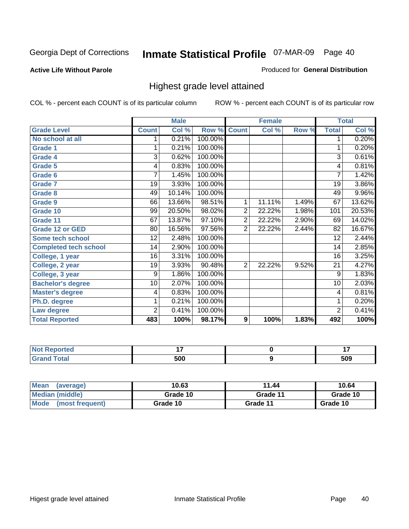#### **Active Life Without Parole**

#### Produced for **General Distribution**

### Highest grade level attained

|                              |                | <b>Male</b> |         |                | <b>Female</b> |       |                | <b>Total</b> |
|------------------------------|----------------|-------------|---------|----------------|---------------|-------|----------------|--------------|
| <b>Grade Level</b>           | <b>Count</b>   | Col %       | Row %   | <b>Count</b>   | Col %         | Row % | <b>Total</b>   | Col %        |
| No school at all             |                | 0.21%       | 100.00% |                |               |       | 1              | 0.20%        |
| <b>Grade 1</b>               | 1              | 0.21%       | 100.00% |                |               |       | 1              | 0.20%        |
| <b>Grade 4</b>               | $\overline{3}$ | 0.62%       | 100.00% |                |               |       | $\overline{3}$ | 0.61%        |
| Grade 5                      | 4              | 0.83%       | 100.00% |                |               |       | 4              | 0.81%        |
| Grade 6                      | 7              | 1.45%       | 100.00% |                |               |       | 7              | 1.42%        |
| <b>Grade 7</b>               | 19             | 3.93%       | 100.00% |                |               |       | 19             | 3.86%        |
| <b>Grade 8</b>               | 49             | 10.14%      | 100.00% |                |               |       | 49             | 9.96%        |
| Grade 9                      | 66             | 13.66%      | 98.51%  | 1              | 11.11%        | 1.49% | 67             | 13.62%       |
| Grade 10                     | 99             | 20.50%      | 98.02%  | $\overline{2}$ | 22.22%        | 1.98% | 101            | 20.53%       |
| Grade 11                     | 67             | 13.87%      | 97.10%  | $\overline{c}$ | 22.22%        | 2.90% | 69             | 14.02%       |
| <b>Grade 12 or GED</b>       | 80             | 16.56%      | 97.56%  | 2              | 22.22%        | 2.44% | 82             | 16.67%       |
| <b>Some tech school</b>      | 12             | 2.48%       | 100.00% |                |               |       | 12             | 2.44%        |
| <b>Completed tech school</b> | 14             | 2.90%       | 100.00% |                |               |       | 14             | 2.85%        |
| College, 1 year              | 16             | 3.31%       | 100.00% |                |               |       | 16             | 3.25%        |
| College, 2 year              | 19             | 3.93%       | 90.48%  | $\overline{2}$ | 22.22%        | 9.52% | 21             | 4.27%        |
| College, 3 year              | 9              | 1.86%       | 100.00% |                |               |       | 9              | 1.83%        |
| <b>Bachelor's degree</b>     | 10             | 2.07%       | 100.00% |                |               |       | 10             | 2.03%        |
| <b>Master's degree</b>       | 4              | 0.83%       | 100.00% |                |               |       | 4              | 0.81%        |
| Ph.D. degree                 | 1              | 0.21%       | 100.00% |                |               |       | 1              | 0.20%        |
| Law degree                   | $\overline{2}$ | 0.41%       | 100.00% |                |               |       | $\overline{2}$ | 0.41%        |
| <b>Total Reported</b>        | 483            | 100%        | 98.17%  | 9              | 100%          | 1.83% | 492            | 100%         |

| <b>Not Reported</b>   | . . | . .<br>. . |
|-----------------------|-----|------------|
| <b>Total</b><br>Grand | 500 | 509        |

| <b>Mean</b><br>(average) | 10.63    | 11.44    | 10.64    |
|--------------------------|----------|----------|----------|
| Median (middle)          | Grade 10 | Grade 11 | Grade 10 |
| Mode<br>(most frequent)  | Grade 10 | Grade 11 | Grade 10 |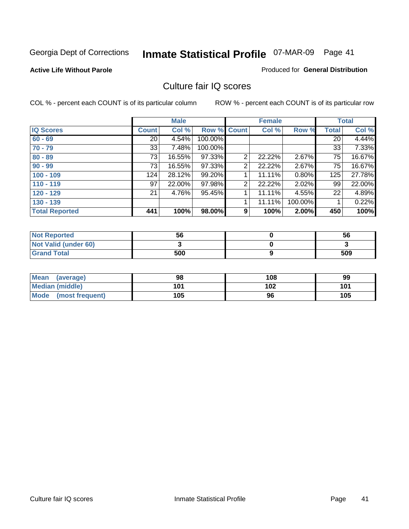**Active Life Without Parole** 

Produced for **General Distribution**

### Culture fair IQ scores

|                       |              | <b>Male</b> |             |                | <b>Female</b> |          |                 | <b>Total</b> |
|-----------------------|--------------|-------------|-------------|----------------|---------------|----------|-----------------|--------------|
| <b>IQ Scores</b>      | <b>Count</b> | Col %       | Row % Count |                | Col %         | Row %    | <b>Total</b>    | Col %        |
| $60 - 69$             | 20           | 4.54%       | 100.00%     |                |               |          | $\overline{20}$ | 4.44%        |
| $70 - 79$             | 33           | 7.48%       | 100.00%     |                |               |          | 33              | 7.33%        |
| $80 - 89$             | 73           | 16.55%      | 97.33%      | $\overline{2}$ | 22.22%        | $2.67\%$ | 75              | 16.67%       |
| $90 - 99$             | 73           | 16.55%      | 97.33%      | 2              | 22.22%        | 2.67%    | 75              | 16.67%       |
| $100 - 109$           | 124          | 28.12%      | 99.20%      |                | 11.11%        | 0.80%    | 125             | 27.78%       |
| $110 - 119$           | 97           | 22.00%      | 97.98%      | 2              | 22.22%        | 2.02%    | 99              | 22.00%       |
| $120 - 129$           | 21           | 4.76%       | 95.45%      | 1              | 11.11%        | 4.55%    | 22              | 4.89%        |
| $130 - 139$           |              |             |             |                | 11.11%        | 100.00%  |                 | 0.22%        |
| <b>Total Reported</b> | 441          | 100%        | 98.00%      | 9              | 100%          | 2.00%    | 450             | 100%         |

| <b>Not Reported</b>  | 56  | 56  |
|----------------------|-----|-----|
| Not Valid (under 60) |     |     |
| <b>Grand Total</b>   | 500 | 509 |

| Mean<br>(average)    | 98  | 108 | 99  |
|----------------------|-----|-----|-----|
| Median (middle)      | 101 | 102 | 101 |
| Mode (most frequent) | 105 | 96  | 105 |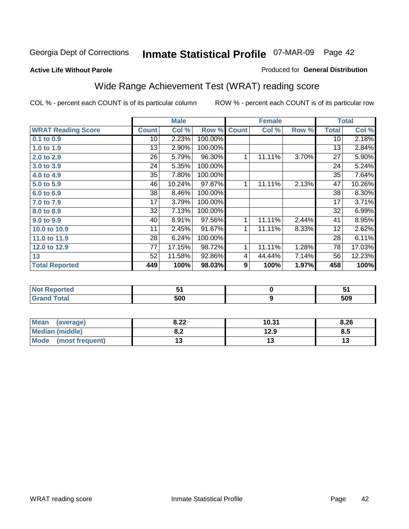#### **Active Life Without Parole**

#### Produced for **General Distribution**

# Wide Range Achievement Test (WRAT) reading score

|                           |              | <b>Male</b> |         |              | <b>Female</b>    |       |                 | <b>Total</b> |
|---------------------------|--------------|-------------|---------|--------------|------------------|-------|-----------------|--------------|
| <b>WRAT Reading Score</b> | <b>Count</b> | Col %       | Row %   | <b>Count</b> | Col %            | Row % | <b>Total</b>    | Col %        |
| 0.1 to 0.9                | 10           | 2.23%       | 100.00% |              |                  |       | 10              | 2.18%        |
| 1.0 to 1.9                | 13           | 2.90%       | 100.00% |              |                  |       | 13              | 2.84%        |
| 2.0 to 2.9                | 26           | 5.79%       | 96.30%  | 1            | 11.11%           | 3.70% | $\overline{27}$ | 5.90%        |
| 3.0 to 3.9                | 24           | 5.35%       | 100.00% |              |                  |       | 24              | 5.24%        |
| 4.0 to 4.9                | 35           | 7.80%       | 100.00% |              |                  |       | 35              | 7.64%        |
| 5.0 to 5.9                | 46           | 10.24%      | 97.87%  | 1            | 11.11%           | 2.13% | 47              | 10.26%       |
| 6.0 to 6.9                | 38           | 8.46%       | 100.00% |              |                  |       | 38              | 8.30%        |
| 7.0 to 7.9                | 17           | 3.79%       | 100.00% |              |                  |       | 17              | 3.71%        |
| 8.0 to 8.9                | 32           | 7.13%       | 100.00% |              |                  |       | 32              | 6.99%        |
| 9.0 to 9.9                | 40           | 8.91%       | 97.56%  | 1            | 11.11%           | 2.44% | 41              | 8.95%        |
| 10.0 to 10.9              | 11           | 2.45%       | 91.67%  | $\mathbf{1}$ | 11.11%           | 8.33% | 12              | 2.62%        |
| 11.0 to 11.9              | 28           | 6.24%       | 100.00% |              |                  |       | 28              | 6.11%        |
| 12.0 to 12.9              | 77           | 17.15%      | 98.72%  | 1            | 11.11%           | 1.28% | 78              | 17.03%       |
| 13                        | 52           | 11.58%      | 92.86%  | 4            | 44.44%           | 7.14% | 56              | 12.23%       |
| <b>Total Reported</b>     | 449          | 100%        | 98.03%  | 9            | 100%             | 1.97% | 458             | 100%         |
|                           |              |             |         |              |                  |       |                 |              |
| <b>Not Reported</b>       |              | 51          |         |              | $\pmb{0}$        |       |                 | 51           |
| <b>Grand Total</b>        |              | 500         |         |              | $\boldsymbol{9}$ |       |                 | 509          |

| <b>Mean</b><br>(average) | 8.22       | 10.31 | 8.26 |
|--------------------------|------------|-------|------|
| Median (middle)          | 0 מ<br>0.Z | 12.9  | 8.5  |
| Mode (most frequent)     | ں ∟        | ט ו   |      |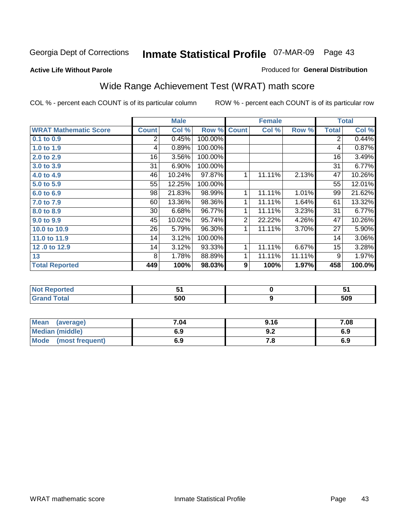### Georgia Dept of Corrections 07-MAR-09 Page **Inmate Statistical Profile** 43

#### **Active Life Without Parole**

#### Produced for **General Distribution**

# Wide Range Achievement Test (WRAT) math score

|                              |                | <b>Male</b> |         |                | <b>Female</b> |        |                 | <b>Total</b> |
|------------------------------|----------------|-------------|---------|----------------|---------------|--------|-----------------|--------------|
| <b>WRAT Mathematic Score</b> | <b>Count</b>   | Col %       | Row %   | <b>Count</b>   | Col %         | Row %  | <b>Total</b>    | Col %        |
| 0.1 to 0.9                   | $\overline{2}$ | 0.45%       | 100.00% |                |               |        | 2               | 0.44%        |
| 1.0 to 1.9                   | 4              | 0.89%       | 100.00% |                |               |        | 4               | 0.87%        |
| 2.0 to 2.9                   | 16             | 3.56%       | 100.00% |                |               |        | 16              | 3.49%        |
| 3.0 to 3.9                   | 31             | 6.90%       | 100.00% |                |               |        | 31              | 6.77%        |
| 4.0 to 4.9                   | 46             | 10.24%      | 97.87%  | 1              | 11.11%        | 2.13%  | 47              | 10.26%       |
| 5.0 to 5.9                   | 55             | 12.25%      | 100.00% |                |               |        | 55              | 12.01%       |
| 6.0 to 6.9                   | 98             | 21.83%      | 98.99%  | 1              | 11.11%        | 1.01%  | 99              | 21.62%       |
| 7.0 to 7.9                   | 60             | 13.36%      | 98.36%  | 1              | 11.11%        | 1.64%  | 61              | 13.32%       |
| 8.0 to 8.9                   | $30$           | 6.68%       | 96.77%  | 1              | 11.11%        | 3.23%  | 31              | 6.77%        |
| 9.0 to 9.9                   | 45             | 10.02%      | 95.74%  | $\overline{2}$ | 22.22%        | 4.26%  | 47              | 10.26%       |
| 10.0 to 10.9                 | 26             | 5.79%       | 96.30%  | 1              | 11.11%        | 3.70%  | 27              | 5.90%        |
| 11.0 to 11.9                 | 14             | 3.12%       | 100.00% |                |               |        | 14              | 3.06%        |
| 12.0 to 12.9                 | 14             | 3.12%       | 93.33%  | 1              | 11.11%        | 6.67%  | 15 <sub>1</sub> | 3.28%        |
| 13                           | 8              | 1.78%       | 88.89%  | $\mathbf{1}$   | 11.11%        | 11.11% | 9               | 1.97%        |
| <b>Total Reported</b>        | 449            | 100%        | 98.03%  | 9              | 100%          | 1.97%  | 458             | 100.0%       |

| <b>Not Reported</b> |     |     |
|---------------------|-----|-----|
| <b>Grand Total</b>  | 500 | 509 |

| Mean (average)       | 7.04 | 9.16 | 7.08 |
|----------------------|------|------|------|
| Median (middle)      | 6.9  | 9.Z  | 6.9  |
| Mode (most frequent) | 6.9  | 7.8  | 6.9  |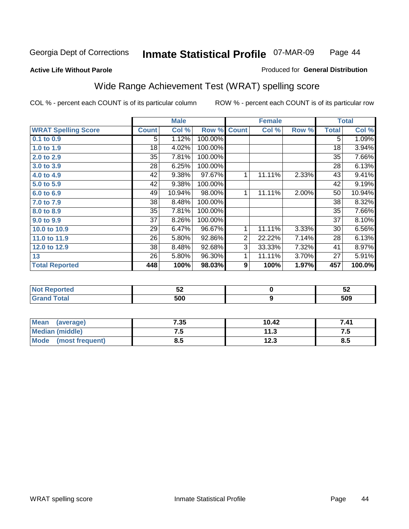**Active Life Without Parole** 

#### Produced for **General Distribution**

# Wide Range Achievement Test (WRAT) spelling score

|                            |              | <b>Male</b> |         |                  | <b>Female</b>    |       |              | <b>Total</b> |
|----------------------------|--------------|-------------|---------|------------------|------------------|-------|--------------|--------------|
| <b>WRAT Spelling Score</b> | <b>Count</b> | Col %       | Row %   | <b>Count</b>     | Col %            | Row % | <b>Total</b> | Col %        |
| 0.1 to 0.9                 | 5            | 1.12%       | 100.00% |                  |                  |       | 5            | 1.09%        |
| 1.0 to 1.9                 | 18           | 4.02%       | 100.00% |                  |                  |       | 18           | 3.94%        |
| 2.0 to 2.9                 | 35           | 7.81%       | 100.00% |                  |                  |       | 35           | 7.66%        |
| 3.0 to 3.9                 | 28           | 6.25%       | 100.00% |                  |                  |       | 28           | 6.13%        |
| 4.0 to 4.9                 | 42           | 9.38%       | 97.67%  | 1                | 11.11%           | 2.33% | 43           | 9.41%        |
| 5.0 to 5.9                 | 42           | 9.38%       | 100.00% |                  |                  |       | 42           | 9.19%        |
| 6.0 to 6.9                 | 49           | 10.94%      | 98.00%  | 1                | 11.11%           | 2.00% | 50           | 10.94%       |
| 7.0 to 7.9                 | 38           | 8.48%       | 100.00% |                  |                  |       | 38           | 8.32%        |
| 8.0 to 8.9                 | 35           | 7.81%       | 100.00% |                  |                  |       | 35           | 7.66%        |
| 9.0 to 9.9                 | 37           | 8.26%       | 100.00% |                  |                  |       | 37           | 8.10%        |
| 10.0 to 10.9               | 29           | 6.47%       | 96.67%  | 1                | 11.11%           | 3.33% | 30           | 6.56%        |
| 11.0 to 11.9               | 26           | 5.80%       | 92.86%  | $\overline{2}$   | 22.22%           | 7.14% | 28           | 6.13%        |
| 12.0 to 12.9               | 38           | 8.48%       | 92.68%  | $\overline{3}$   | 33.33%           | 7.32% | 41           | 8.97%        |
| 13                         | 26           | 5.80%       | 96.30%  | 1                | 11.11%           | 3.70% | 27           | 5.91%        |
| <b>Total Reported</b>      | 448          | 100%        | 98.03%  | $\boldsymbol{9}$ | 100%             | 1.97% | 457          | 100.0%       |
|                            |              |             |         |                  |                  |       |              |              |
| <b>Not Reported</b>        |              | 52          |         |                  | $\pmb{0}$        |       |              | 52           |
| <b>Grand Total</b>         |              | 500         |         |                  | $\boldsymbol{9}$ |       |              | 509          |

| <b>Mean</b><br>(average) | 7.35 | 10.42 | 7.41 |
|--------------------------|------|-------|------|
| Median (middle)          | ن. ا | 11.3  | ن. ا |
| Mode (most frequent)     | 8.5  | 12.3  | 8.5  |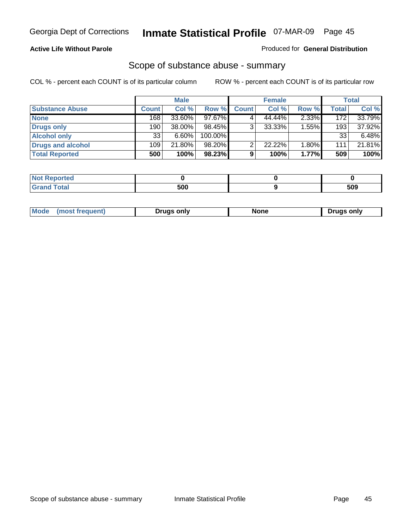### **Active Life Without Parole**

#### Produced for **General Distribution**

### Scope of substance abuse - summary

|                        |              | <b>Male</b> |            |              | <b>Female</b> |       |              | <b>Total</b> |
|------------------------|--------------|-------------|------------|--------------|---------------|-------|--------------|--------------|
| <b>Substance Abuse</b> | <b>Count</b> | Col %       | Row %      | <b>Count</b> | Col %         | Row % | <b>Total</b> | Col %        |
| <b>None</b>            | 168          | $33.60\%$   | 97.67%     |              | 44.44%        | 2.33% | 172          | 33.79%       |
| Drugs only             | 190          | 38.00%      | 98.45%     | 3            | 33.33%        | 1.55% | 193          | 37.92%       |
| <b>Alcohol only</b>    | 33           | $6.60\%$    | $100.00\%$ |              |               |       | 33           | $6.48\%$     |
| Drugs and alcohol      | 109          | 21.80%      | $98.20\%$  | ົ            | 22.22%        | 1.80% | 111          | 21.81%       |
| <b>Total Reported</b>  | 500          | 100%        | 98.23%     | 9            | 100%          | 1.77% | 509          | 100%         |

| <b>Not</b><br><b>Reported</b> |     |     |
|-------------------------------|-----|-----|
| <b>Total</b><br><b>Grand</b>  | 500 | 509 |

|  | Mode | Druas onlv | None | only<br><u>Iruc</u> |
|--|------|------------|------|---------------------|
|--|------|------------|------|---------------------|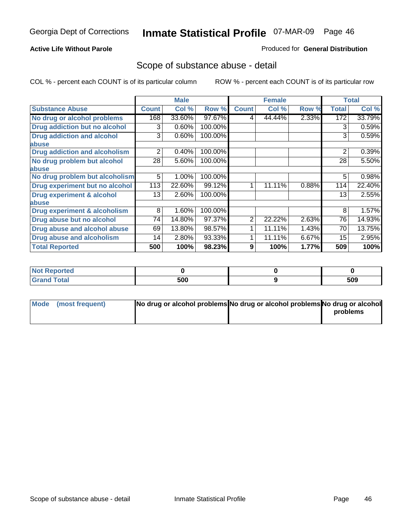#### **Active Life Without Parole**

#### Produced for **General Distribution**

### Scope of substance abuse - detail

|                                         |              | <b>Male</b> |         |              | <b>Female</b> |       |                | <b>Total</b> |
|-----------------------------------------|--------------|-------------|---------|--------------|---------------|-------|----------------|--------------|
| <b>Substance Abuse</b>                  | <b>Count</b> | Col %       | Row %   | <b>Count</b> | Col %         | Row % | <b>Total</b>   | Col %        |
| No drug or alcohol problems             | 168          | 33.60%      | 97.67%  | 4            | 44.44%        | 2.33% | 172            | 33.79%       |
| Drug addiction but no alcohol           | 3            | 0.60%       | 100.00% |              |               |       | 3              | 0.59%        |
| <b>Drug addiction and alcohol</b>       | 3            | 0.60%       | 100.00% |              |               |       | 3              | 0.59%        |
| abuse                                   |              |             |         |              |               |       |                |              |
| <b>Drug addiction and alcoholism</b>    | 2            | 0.40%       | 100.00% |              |               |       | $\overline{2}$ | 0.39%        |
| No drug problem but alcohol             | 28           | 5.60%       | 100.00% |              |               |       | 28             | 5.50%        |
| abuse                                   |              |             |         |              |               |       |                |              |
| No drug problem but alcoholism          | 5            | 1.00%       | 100.00% |              |               |       | 5              | 0.98%        |
| Drug experiment but no alcohol          | 113          | 22.60%      | 99.12%  |              | 11.11%        | 0.88% | 114            | 22.40%       |
| <b>Drug experiment &amp; alcohol</b>    | 13           | 2.60%       | 100.00% |              |               |       | 13             | 2.55%        |
| abuse                                   |              |             |         |              |               |       |                |              |
| <b>Drug experiment &amp; alcoholism</b> | 8            | 1.60%       | 100.00% |              |               |       | 8              | 1.57%        |
| Drug abuse but no alcohol               | 74           | 14.80%      | 97.37%  | 2            | 22.22%        | 2.63% | 76             | 14.93%       |
| Drug abuse and alcohol abuse            | 69           | 13.80%      | 98.57%  |              | 11.11%        | 1.43% | 70             | 13.75%       |
| Drug abuse and alcoholism               | 14           | 2.80%       | 93.33%  | 1            | 11.11%        | 6.67% | 15             | 2.95%        |
| <b>Total Reported</b>                   | 500          | 100%        | 98.23%  | 9            | 100%          | 1.77% | 509            | 100%         |

| <b>Not Reported</b> |     |     |
|---------------------|-----|-----|
| <b>Total</b>        | 500 | 509 |

| Mode (most frequent) | No drug or alcohol problems No drug or alcohol problems No drug or alcohol |          |
|----------------------|----------------------------------------------------------------------------|----------|
|                      |                                                                            | problems |
|                      |                                                                            |          |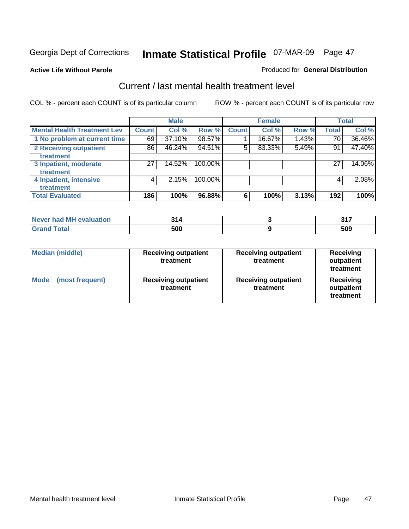**Active Life Without Parole** 

#### Produced for **General Distribution**

### Current / last mental health treatment level

|                                    |              | <b>Male</b> |         |              | <b>Female</b> |       |              | <b>Total</b> |
|------------------------------------|--------------|-------------|---------|--------------|---------------|-------|--------------|--------------|
| <b>Mental Health Treatment Lev</b> | <b>Count</b> | Col %       | Row %   | <b>Count</b> | Col %         | Row % | <b>Total</b> | Col %        |
| 1 No problem at current time       | 69           | 37.10%      | 98.57%  |              | 16.67%        | 1.43% | 70           | 36.46%       |
| 2 Receiving outpatient             | 86           | 46.24%      | 94.51%  | 5            | 83.33%        | 5.49% | 91           | 47.40%       |
| treatment                          |              |             |         |              |               |       |              |              |
| 3 Inpatient, moderate              | 27           | 14.52%      | 100.00% |              |               |       | 27           | 14.06%       |
| treatment                          |              |             |         |              |               |       |              |              |
| 4 Inpatient, intensive             | 4            | 2.15%       | 100.00% |              |               |       | 4            | 2.08%        |
| treatment                          |              |             |         |              |               |       |              |              |
| <b>Total Evaluated</b>             | 186          | 100%        | 96.88%  | 6            | 100%          | 3.13% | 192          | 100%         |

| Never had MH evaluation | A.  | っィフ |
|-------------------------|-----|-----|
| Total                   | 500 | 509 |

| <b>Median (middle)</b>         | <b>Receiving outpatient</b><br>treatment | <b>Receiving outpatient</b><br>treatment | <b>Receiving</b><br>outpatient<br>treatment |
|--------------------------------|------------------------------------------|------------------------------------------|---------------------------------------------|
| <b>Mode</b><br>(most frequent) | <b>Receiving outpatient</b><br>treatment | <b>Receiving outpatient</b><br>treatment | <b>Receiving</b><br>outpatient<br>treatment |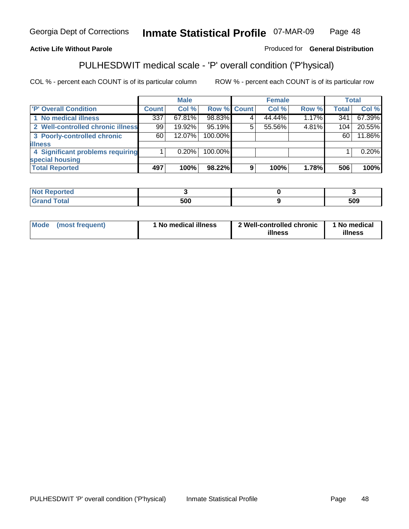### **Active Life Without Parole**

### Produced for **General Distribution**

# PULHESDWIT medical scale - 'P' overall condition ('P'hysical)

|                                   |         | <b>Male</b> |             |   | <b>Female</b> |       |              | <b>Total</b> |
|-----------------------------------|---------|-------------|-------------|---|---------------|-------|--------------|--------------|
| 'P' Overall Condition             | Count l | Col %       | Row % Count |   | Col %         | Row % | <b>Total</b> | Col %        |
| 1 No medical illness              | 337     | 67.81%      | 98.83%      |   | 44.44%        | 1.17% | 341          | 67.39%       |
| 2 Well-controlled chronic illness | 99      | 19.92%      | 95.19%      |   | 55.56%        | 4.81% | 104          | 20.55%       |
| 3 Poorly-controlled chronic       | 60 l    | 12.07%      | 100.00%     |   |               |       | 60           | 11.86%       |
| <b>illness</b>                    |         |             |             |   |               |       |              |              |
| 4 Significant problems requiring  |         | 0.20%       | 100.00%     |   |               |       |              | 0.20%        |
| special housing                   |         |             |             |   |               |       |              |              |
| <b>Total Reported</b>             | 497     | 100%        | 98.22%      | 9 | 100%          | 1.78% | 506          | 100%         |

| Not Reported |     |     |
|--------------|-----|-----|
| <b>Total</b> | 500 | 509 |

| Mode            | ' No medical illness | 2 Well-controlled chronic | 1 No medical |
|-----------------|----------------------|---------------------------|--------------|
| (most frequent) |                      | illness                   | illness      |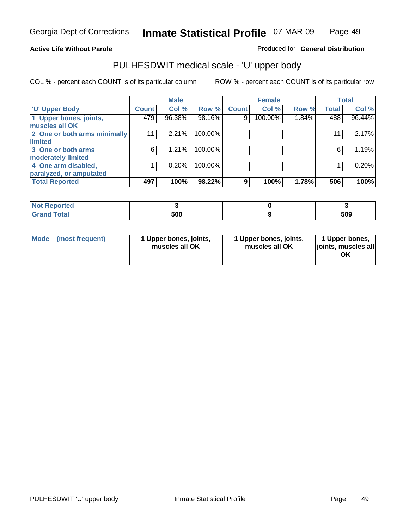### **Active Life Without Parole**

Produced for **General Distribution**

# PULHESDWIT medical scale - 'U' upper body

|                              |                    | <b>Male</b> |         |              | <b>Female</b> |       |              | <b>Total</b> |
|------------------------------|--------------------|-------------|---------|--------------|---------------|-------|--------------|--------------|
| <b>U' Upper Body</b>         | Count <sup>1</sup> | Col %       | Row %   | <b>Count</b> | Col %         | Row % | <b>Total</b> | Col %        |
| 1 Upper bones, joints,       | 479                | 96.38%      | 98.16%  | 9            | 100.00%       | 1.84% | 488          | 96.44%       |
| muscles all OK               |                    |             |         |              |               |       |              |              |
| 2 One or both arms minimally | 11                 | 2.21%       | 100.00% |              |               |       | 11           | 2.17%        |
| limited                      |                    |             |         |              |               |       |              |              |
| 3 One or both arms           | 6                  | 1.21%       | 100.00% |              |               |       | 6            | 1.19%        |
| moderately limited           |                    |             |         |              |               |       |              |              |
| 4 One arm disabled,          |                    | 0.20%       | 100.00% |              |               |       |              | 0.20%        |
| paralyzed, or amputated      |                    |             |         |              |               |       |              |              |
| <b>Total Reported</b>        | 497                | 100%        | 98.22%  | 9            | 100%          | 1.78% | 506          | 100%         |

| <b><i>Contractory</i></b><br>τeα<br>'N 6<br>. |     |     |
|-----------------------------------------------|-----|-----|
| $F0$ tol<br>υιαι                              | 500 | 509 |

| <b>Mode</b> | (most frequent) | 1 Upper bones, joints,<br>muscles all OK | 1 Upper bones, joints,<br>muscles all OK | 1 Upper bones,<br>joints, muscles all<br>OK |
|-------------|-----------------|------------------------------------------|------------------------------------------|---------------------------------------------|
|-------------|-----------------|------------------------------------------|------------------------------------------|---------------------------------------------|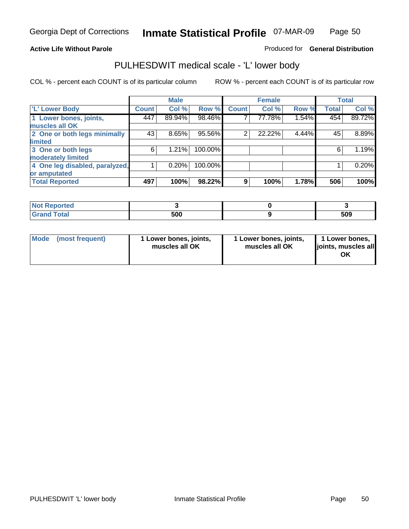#### **Active Life Without Parole**

#### Produced for **General Distribution**

### PULHESDWIT medical scale - 'L' lower body

|                                |              | <b>Male</b> |         |              | <b>Female</b> |       |              | <b>Total</b> |
|--------------------------------|--------------|-------------|---------|--------------|---------------|-------|--------------|--------------|
| 'L' Lower Body                 | <b>Count</b> | Col %       | Row %   | <b>Count</b> | Col %         | Row % | <b>Total</b> | Col %        |
| 1 Lower bones, joints,         | 447          | 89.94%      | 98.46%  |              | 77.78%        | 1.54% | 454          | 89.72%       |
| muscles all OK                 |              |             |         |              |               |       |              |              |
| 2 One or both legs minimally   | 43           | 8.65%       | 95.56%  | 2            | 22.22%        | 4.44% | 45           | 8.89%        |
| limited                        |              |             |         |              |               |       |              |              |
| 3 One or both legs             | 6            | 1.21%       | 100.00% |              |               |       | 6            | 1.19%        |
| moderately limited             |              |             |         |              |               |       |              |              |
| 4 One leg disabled, paralyzed, |              | 0.20%       | 100.00% |              |               |       |              | 0.20%        |
| or amputated                   |              |             |         |              |               |       |              |              |
| <b>Total Reported</b>          | 497          | 100%        | 98.22%  | 9            | 100%          | 1.78% | 506          | 100%         |

| <b>The contract of the Second</b><br>теа<br>NG |     |     |
|------------------------------------------------|-----|-----|
| $T0$ tol<br><b>Oldi</b><br>------              | 500 | 509 |

|  | Mode (most frequent) | 1 Lower bones, joints,<br>muscles all OK | 1 Lower bones, joints,<br>muscles all OK | 1 Lower bones,<br>joints, muscles all<br>OK |
|--|----------------------|------------------------------------------|------------------------------------------|---------------------------------------------|
|--|----------------------|------------------------------------------|------------------------------------------|---------------------------------------------|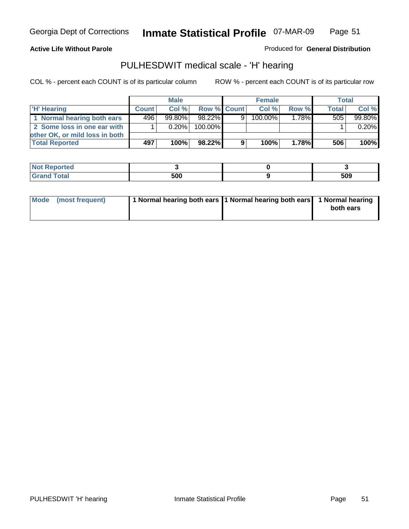#### **Active Life Without Parole**

Produced for **General Distribution**

### PULHESDWIT medical scale - 'H' hearing

|                                |              | <b>Male</b> |             |   | <b>Female</b> |          | <b>Total</b> |        |
|--------------------------------|--------------|-------------|-------------|---|---------------|----------|--------------|--------|
| 'H' Hearing                    | <b>Count</b> | Col%        | Row % Count |   | Col%          | Row %    | <b>Total</b> | Col %  |
| 1 Normal hearing both ears     | 496          | $99.80\%$   | 98.22%      | 9 | 100.00%       | $1.78\%$ | 505          | 99.80% |
| 2 Some loss in one ear with    |              | $0.20\%$    | 100.00%     |   |               |          |              | 0.20%  |
| other OK, or mild loss in both |              |             |             |   |               |          |              |        |
| <b>Total Reported</b>          | 497          | 100%        | 98.22%      | 9 | 100%          | $1.78\%$ | 506          | 100%   |

| тео |            |     |
|-----|------------|-----|
| --- | 500<br>,uu | 509 |

| Mode (most frequent) | 1 Normal hearing both ears 1 Normal hearing both ears 1 Normal hearing | both ears |
|----------------------|------------------------------------------------------------------------|-----------|
|                      |                                                                        |           |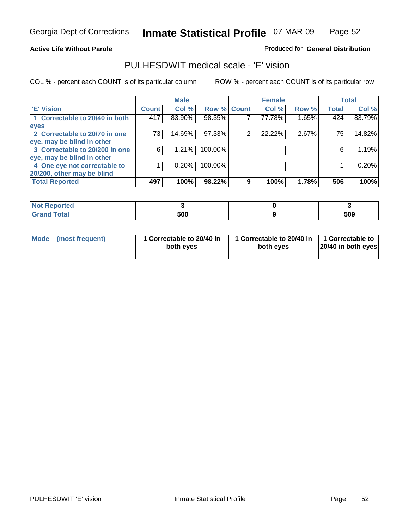#### **Active Life Without Parole**

#### Produced for **General Distribution**

### PULHESDWIT medical scale - 'E' vision

|                                |       | <b>Male</b> |             |   | <b>Female</b> |       |              | <b>Total</b> |
|--------------------------------|-------|-------------|-------------|---|---------------|-------|--------------|--------------|
| <b>E' Vision</b>               | Count | Col %       | Row % Count |   | Col %         | Row % | <b>Total</b> | Col %        |
| 1 Correctable to 20/40 in both | 417   | 83.90%      | 98.35%      |   | 77.78%        | 1.65% | 424          | 83.79%       |
| eyes                           |       |             |             |   |               |       |              |              |
| 2 Correctable to 20/70 in one  | 73    | 14.69%      | 97.33%      | 2 | 22.22%        | 2.67% | 75           | 14.82%       |
| eye, may be blind in other     |       |             |             |   |               |       |              |              |
| 3 Correctable to 20/200 in one | 6     | 1.21%       | 100.00%     |   |               |       | 6            | 1.19%        |
| eye, may be blind in other     |       |             |             |   |               |       |              |              |
| 4 One eye not correctable to   |       | 0.20%       | 100.00%     |   |               |       |              | 0.20%        |
| 20/200, other may be blind     |       |             |             |   |               |       |              |              |
| <b>Total Reported</b>          | 497   | 100%        | 98.22%      | 9 | 100%          | 1.78% | 506          | 100%         |

| <b>Not Reported</b> |     |     |
|---------------------|-----|-----|
| <b>Total</b><br>Gra | 500 | 509 |

| Mode (most frequent) | 1 Correctable to 20/40 in<br>both eves | 1 Correctable to 20/40 in   1 Correctable to  <br>both eves | 20/40 in both eyes |
|----------------------|----------------------------------------|-------------------------------------------------------------|--------------------|
|----------------------|----------------------------------------|-------------------------------------------------------------|--------------------|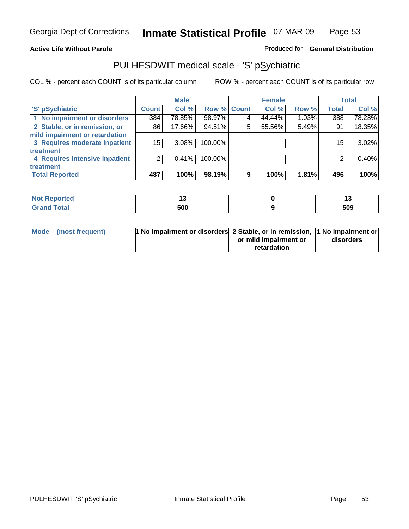### **Active Life Without Parole**

### Produced for **General Distribution**

### PULHESDWIT medical scale - 'S' pSychiatric

|                                |              | <b>Male</b> |             |   | <b>Female</b> |       |              | <b>Total</b> |
|--------------------------------|--------------|-------------|-------------|---|---------------|-------|--------------|--------------|
| 'S' pSychiatric                | <b>Count</b> | Col %       | Row % Count |   | Col %         | Row % | <b>Total</b> | Col %        |
| 1 No impairment or disorders   | 384          | 78.85%      | 98.97%      |   | 44.44%        | 1.03% | 388          | 78.23%       |
| 2 Stable, or in remission, or  | 86           | 17.66%      | 94.51%      | 5 | 55.56%        | 5.49% | 91           | 18.35%       |
| mild impairment or retardation |              |             |             |   |               |       |              |              |
| 3 Requires moderate inpatient  | 15           | $3.08\%$    | 100.00%     |   |               |       | 15           | $3.02\%$     |
| treatment                      |              |             |             |   |               |       |              |              |
| 4 Requires intensive inpatient |              | 0.41%       | 100.00%     |   |               |       |              | 0.40%        |
| treatment                      |              |             |             |   |               |       |              |              |
| <b>Total Reported</b>          | 487          | 100%        | 98.19%      | 9 | 100%          | 1.81% | 496          | 100%         |

| <b>Not</b><br>Reported | . . | יי  |
|------------------------|-----|-----|
| <b>Total</b>           | 500 | 509 |

| Mode (most frequent) | 1 No impairment or disorders 2 Stable, or in remission, 11 No impairment or |                       |           |
|----------------------|-----------------------------------------------------------------------------|-----------------------|-----------|
|                      |                                                                             | or mild impairment or | disorders |
|                      |                                                                             | retardation           |           |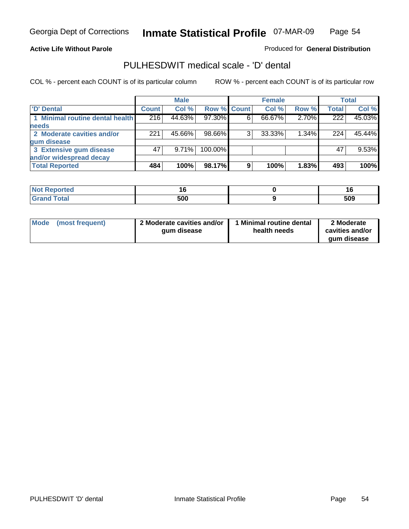#### **Active Life Without Parole**

Produced for **General Distribution**

### PULHESDWIT medical scale - 'D' dental

|                                 |       | <b>Male</b> |             |   | <b>Female</b> |       |              | <b>Total</b> |
|---------------------------------|-------|-------------|-------------|---|---------------|-------|--------------|--------------|
| <b>D'</b> Dental                | Count | Col %       | Row % Count |   | Col %         | Row % | <b>Total</b> | Col %        |
| 1 Minimal routine dental health | 216   | 44.63%      | 97.30%      |   | 66.67%        | 2.70% | 222          | 45.03%       |
| <b>needs</b>                    |       |             |             |   |               |       |              |              |
| 2 Moderate cavities and/or      | 221   | 45.66%      | 98.66%      |   | 33.33%        | 1.34% | 224          | 45.44%       |
| gum disease                     |       |             |             |   |               |       |              |              |
| 3 Extensive gum disease         | 47    | 9.71%       | 100.00%     |   |               |       | 47           | 9.53%        |
| and/or widespread decay         |       |             |             |   |               |       |              |              |
| <b>Total Reported</b>           | 484   | 100%        | 98.17%      | 9 | 100%          | 1.83% | 493          | 100%         |

| reo | $\sim$ |     |
|-----|--------|-----|
|     | 500    | 509 |

| 2 Moderate cavities and/or<br>l Mode<br>(most frequent)<br>qum disease | <b>Minimal routine dental</b><br>health needs | 2 Moderate<br>cavities and/or<br>gum disease |
|------------------------------------------------------------------------|-----------------------------------------------|----------------------------------------------|
|------------------------------------------------------------------------|-----------------------------------------------|----------------------------------------------|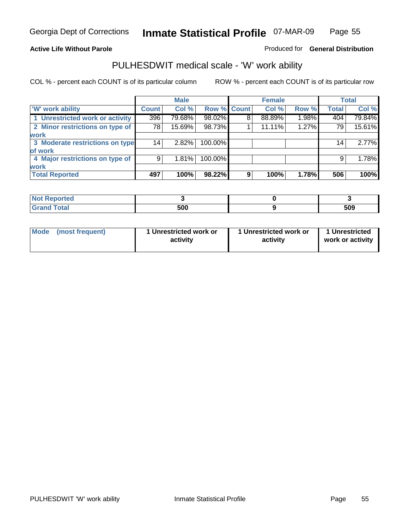### **Active Life Without Parole**

### Produced for **General Distribution**

### PULHESDWIT medical scale - 'W' work ability

|                                 |              | <b>Male</b> |             |   | <b>Female</b> |       |                 | <b>Total</b> |
|---------------------------------|--------------|-------------|-------------|---|---------------|-------|-----------------|--------------|
| <b>W' work ability</b>          | <b>Count</b> | Col %       | Row % Count |   | Col %         | Row % | <b>Total</b>    | Col %        |
| 1 Unrestricted work or activity | 396          | 79.68%      | 98.02%      | 8 | 88.89%        | 1.98% | 404             | 79.84%       |
| 2 Minor restrictions on type of | 78           | 15.69%      | 98.73%      |   | 11.11%        | 1.27% | 79              | 15.61%       |
| <b>work</b>                     |              |             |             |   |               |       |                 |              |
| 3 Moderate restrictions on type | 14           | 2.82%       | 100.00%     |   |               |       | 14 <sub>1</sub> | 2.77%        |
| of work                         |              |             |             |   |               |       |                 |              |
| 4 Major restrictions on type of | 9            | 1.81%       | 100.00%     |   |               |       | 9               | 1.78%        |
| <b>work</b>                     |              |             |             |   |               |       |                 |              |
| <b>Total Reported</b>           | 497          | 100%        | 98.22%      | 9 | 100%          | 1.78% | 506             | 100%         |

| <b>Not k</b><br>Reported |     |     |
|--------------------------|-----|-----|
| <b>Total</b><br>Gra      | 500 | 509 |

| Mode            | 1 Unrestricted work or | 1 Unrestricted work or | 1 Unrestricted   |
|-----------------|------------------------|------------------------|------------------|
| (most frequent) | activity               | activity               | work or activity |
|                 |                        |                        |                  |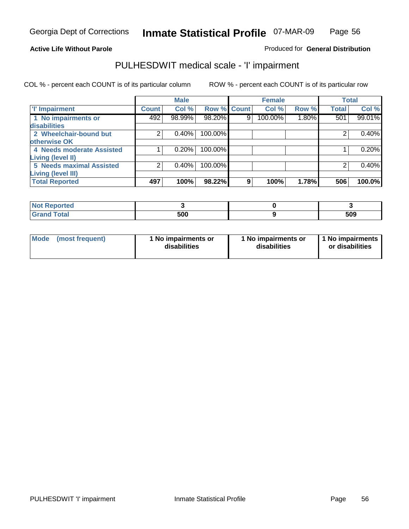#### **Active Life Without Parole**

### Produced for **General Distribution**

### PULHESDWIT medical scale - 'I' impairment

|                                 |              | <b>Male</b> |                    |   | <b>Female</b> |          |              | <b>Total</b> |
|---------------------------------|--------------|-------------|--------------------|---|---------------|----------|--------------|--------------|
| <b>T' Impairment</b>            | <b>Count</b> | Col %       | <b>Row % Count</b> |   | Col %         | Row %    | <b>Total</b> | Col %        |
| 1 No impairments or             | 492          | 98.99%      | 98.20%             | 9 | 100.00%       | $1.80\%$ | 501          | 99.01%       |
| disabilities                    |              |             |                    |   |               |          |              |              |
| 2 Wheelchair-bound but          |              | 0.40%       | 100.00%            |   |               |          |              | 0.40%        |
| otherwise OK                    |              |             |                    |   |               |          |              |              |
| 4 Needs moderate Assisted       |              | 0.20%       | 100.00%            |   |               |          |              | 0.20%        |
| Living (level II)               |              |             |                    |   |               |          |              |              |
| <b>5 Needs maximal Assisted</b> |              | 0.40%       | 100.00%            |   |               |          |              | 0.40%        |
| <b>Living (level III)</b>       |              |             |                    |   |               |          |              |              |
| <b>Total Reported</b>           | 497          | 100%        | 98.22%             | 9 | 100%          | 1.78%    | 506          | 100.0%       |

| Reported<br>NOT F       |     |     |
|-------------------------|-----|-----|
| <b>Total</b><br>' Grand | 500 | 509 |

| <b>Mode</b> | (most frequent) | 1 No impairments or<br>disabilities | 1 No impairments or<br>disabilities | 1 No impairments  <br>or disabilities |
|-------------|-----------------|-------------------------------------|-------------------------------------|---------------------------------------|
|-------------|-----------------|-------------------------------------|-------------------------------------|---------------------------------------|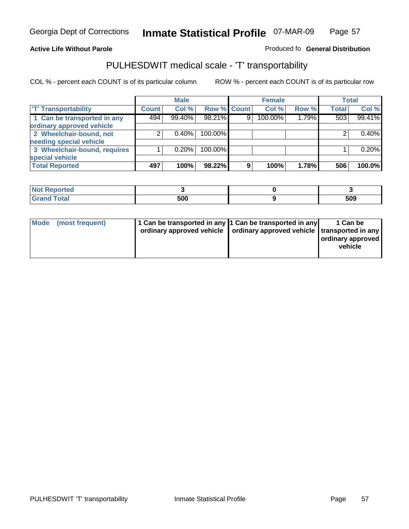#### **Inmate Statistical Profile** 07-MAR-09 Page Page 57

### **Active Life Without Parole Produced fo Seneral Distribution**

### PULHESDWIT medical scale - 'T' transportability

|                              |              | <b>Male</b> |             |   | <b>Female</b> |       |              | <b>Total</b> |
|------------------------------|--------------|-------------|-------------|---|---------------|-------|--------------|--------------|
| <b>T' Transportability</b>   | <b>Count</b> | Col %       | Row % Count |   | Col %         | Row % | <b>Total</b> | Col %        |
| 1 Can be transported in any  | 494          | 99.40%      | 98.21%      | 9 | 100.00%       | 1.79% | 503          | 99.41%       |
| ordinary approved vehicle    |              |             |             |   |               |       |              |              |
| 2 Wheelchair-bound, not      |              | 0.40%       | 100.00%     |   |               |       |              | 0.40%        |
| needing special vehicle      |              |             |             |   |               |       |              |              |
| 3 Wheelchair-bound, requires |              | 0.20%       | 100.00%     |   |               |       |              | 0.20%        |
| special vehicle              |              |             |             |   |               |       |              |              |
| <b>Total Reported</b>        | 497          | 100%        | 98.22%      | 9 | 100%          | 1.78% | 506          | 100.0%       |

| <b>Reported</b><br>' NOT |     |     |
|--------------------------|-----|-----|
| <b>Total</b>             | 500 | 509 |

| Mode (most frequent) | 1 Can be transported in any 1 Can be transported in any<br>ordinary approved vehicle   ordinary approved vehicle   transported in any | 1 Can be<br>  ordinary approved  <br>vehicle |
|----------------------|---------------------------------------------------------------------------------------------------------------------------------------|----------------------------------------------|
|----------------------|---------------------------------------------------------------------------------------------------------------------------------------|----------------------------------------------|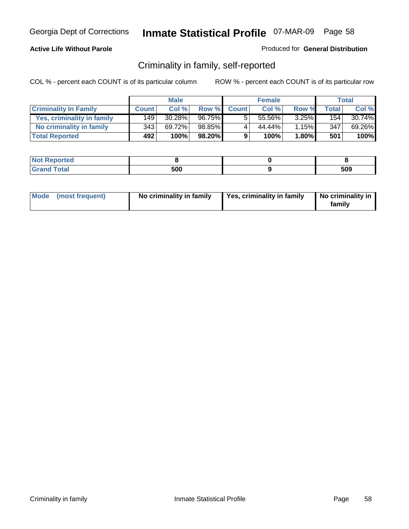### **Active Life Without Parole**

#### Produced for **General Distribution**

### Criminality in family, self-reported

|                              |              | <b>Male</b> |        |              | <b>Female</b> |       |       | Total  |
|------------------------------|--------------|-------------|--------|--------------|---------------|-------|-------|--------|
| <b>Criminality In Family</b> | <b>Count</b> | Col %       | Row %  | <b>Count</b> | Col %         | Row % | Total | Col %  |
| Yes, criminality in family   | 149          | 30.28%      | 96.75% | -5           | 55.56%        | 3.25% | 154   | 30.74% |
| No criminality in family     | 343          | 69.72%      | 98.85% | 4            | 44.44%        | 1.15% | 347   | 69.26% |
| <b>Total Reported</b>        | 492          | 100%        | 98.20% | 9            | 100%          | 1.80% | 501   | 100%   |

| ported<br><b>NOT</b><br>- IZGE |     |     |
|--------------------------------|-----|-----|
| $\sim$<br>Grar<br>--           | 500 | 509 |

| Mode (most frequent) |  | No criminality in family | Yes, criminality in family | No criminality in<br>family |
|----------------------|--|--------------------------|----------------------------|-----------------------------|
|----------------------|--|--------------------------|----------------------------|-----------------------------|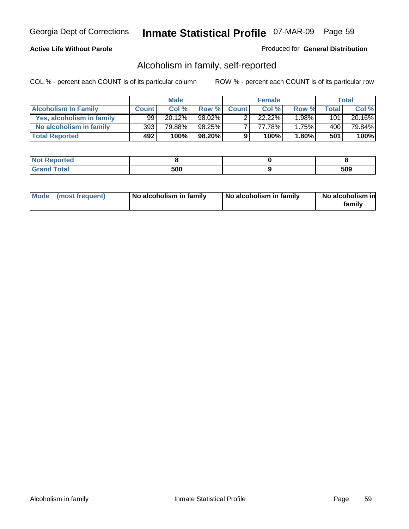#### **Active Life Without Parole**

#### Produced for **General Distribution**

### Alcoholism in family, self-reported

|                             |              | <b>Male</b> |        |              | <b>Female</b> |          |       | Total     |
|-----------------------------|--------------|-------------|--------|--------------|---------------|----------|-------|-----------|
| <b>Alcoholism In Family</b> | <b>Count</b> | Col %       | Row %  | <b>Count</b> | Col %         | Row %    | Total | Col %     |
| Yes, alcoholism in family   | 99           | 20.12%      | 98.02% |              | 22.22%        | $1.98\%$ | 101   | $20.16\%$ |
| No alcoholism in family     | 393          | 79.88%      | 98.25% |              | 77.78%        | 1.75%    | 400   | 79.84%    |
| <b>Total Reported</b>       | 492          | 100%        | 98.20% | 9            | 100%          | $1.80\%$ | 501   | 100%      |

| <b>Not</b><br>oorted<br><b>NGI</b> |     |            |
|------------------------------------|-----|------------|
| <b>c</b> otal<br>Gran<br>--        | 500 | EAN<br>JUí |

|  | Mode (most frequent) | No alcoholism in family | No alcoholism in family | No alcoholism in<br>family |
|--|----------------------|-------------------------|-------------------------|----------------------------|
|--|----------------------|-------------------------|-------------------------|----------------------------|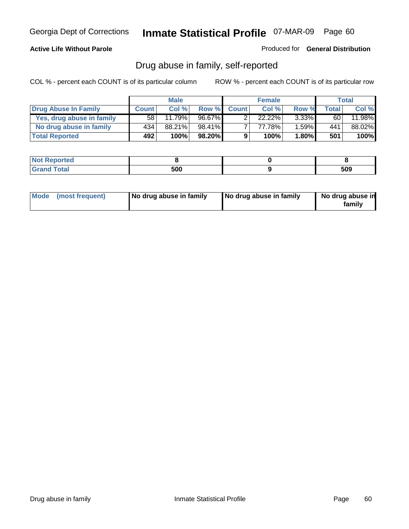### **Active Life Without Parole**

Produced for **General Distribution**

### Drug abuse in family, self-reported

|                           |              | <b>Male</b> |        |              | <b>Female</b> |          |              | Total  |
|---------------------------|--------------|-------------|--------|--------------|---------------|----------|--------------|--------|
| Drug Abuse In Family      | <b>Count</b> | Col%        | Row %  | <b>Count</b> | Col %         | Row %    | <b>Total</b> | Col %  |
| Yes, drug abuse in family | 58 l         | 11.79%      | 96.67% |              | 22.22%        | $3.33\%$ | 60           | 11.98% |
| No drug abuse in family   | 434          | 88.21%      | 98.41% |              | 77.78%        | 1.59%    | 441          | 88.02% |
| <b>Total Reported</b>     | 492          | 100%        | 98.20% | 9            | 100%          | $1.80\%$ | 501          | 100%   |

| <b>Not</b><br>oorted<br><b>NGI</b> |     |            |
|------------------------------------|-----|------------|
| <b>c</b> otal<br>Gran<br>--        | 500 | EAN<br>JUí |

|  | Mode (most frequent) | No drug abuse in family | No drug abuse in family | No drug abuse in<br>family |
|--|----------------------|-------------------------|-------------------------|----------------------------|
|--|----------------------|-------------------------|-------------------------|----------------------------|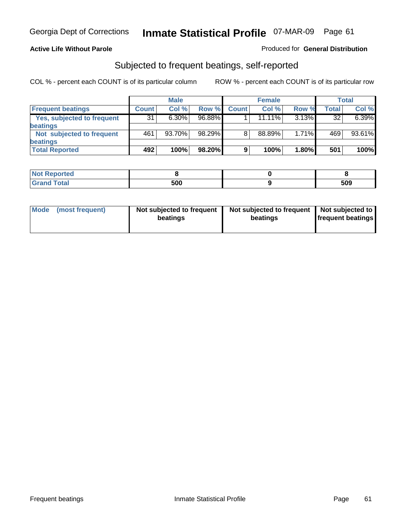#### **Active Life Without Parole**

#### Produced for **General Distribution**

### Subjected to frequent beatings, self-reported

|                                   |              | <b>Male</b> |        |              | <b>Female</b> |          |       | Total  |
|-----------------------------------|--------------|-------------|--------|--------------|---------------|----------|-------|--------|
| <b>Frequent beatings</b>          | <b>Count</b> | Col%        | Row %  | <b>Count</b> | Col%          | Row %    | Total | Col %  |
| <b>Yes, subjected to frequent</b> | 31           | $6.30\%$    | 96.88% |              | $11.11\%$     | 3.13%    | 32    | 6.39%  |
| <b>beatings</b>                   |              |             |        |              |               |          |       |        |
| Not subjected to frequent         | 461          | 93.70%      | 98.29% | 8            | 88.89%        | 1.71%    | 469   | 93.61% |
| <b>beatings</b>                   |              |             |        |              |               |          |       |        |
| <b>Total Reported</b>             | 492          | 100%        | 98.20% | 9            | 100%          | $1.80\%$ | 501   | 100%   |

| <b>Not Reported</b>   |     |     |
|-----------------------|-----|-----|
| <b>Total</b><br>Crond | 500 | 509 |

| Mode<br>(most frequent) | beatings | Not subjected to frequent | Not subjected to frequent<br>beatings | Not subjected to<br><b>frequent beatings</b> |  |
|-------------------------|----------|---------------------------|---------------------------------------|----------------------------------------------|--|
|                         |          |                           |                                       |                                              |  |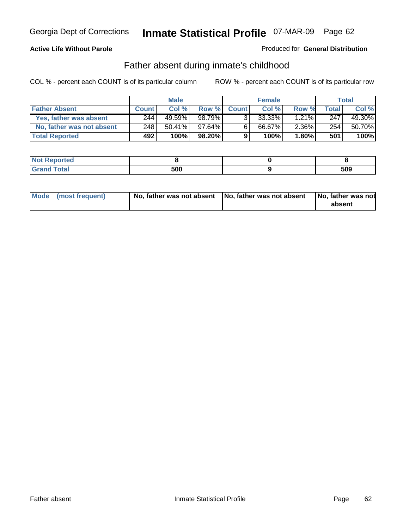#### **Active Life Without Parole**

#### Produced for **General Distribution**

### Father absent during inmate's childhood

|                           |              | <b>Male</b> |        |              | <b>Female</b> |                     |       | Total  |
|---------------------------|--------------|-------------|--------|--------------|---------------|---------------------|-------|--------|
| <b>Father Absent</b>      | <b>Count</b> | Col %       | Row %  | <b>Count</b> | Col %         | Row %               | Total | Col %  |
| Yes, father was absent    | 244          | 49.59%      | 98.79% | 3.           | 33.33%        | $1.2\overline{1\%}$ | 247   | 49.30% |
| No, father was not absent | 248          | $50.41\%$   | 97.64% | 6            | 66.67%        | $2.36\%$            | 254   | 50.70% |
| <b>Total Reported</b>     | 492          | 100%        | 98.20% | 9            | 100%          | $1.80\%$            | 501   | 100%   |

| <b>Not Reported</b> |     |     |
|---------------------|-----|-----|
| Гоtal<br>Grano      | 500 | 509 |

| Mode (most frequent) | ! No, father was not absent 【No, father was not absent 【No, father was not | absent |
|----------------------|----------------------------------------------------------------------------|--------|
|----------------------|----------------------------------------------------------------------------|--------|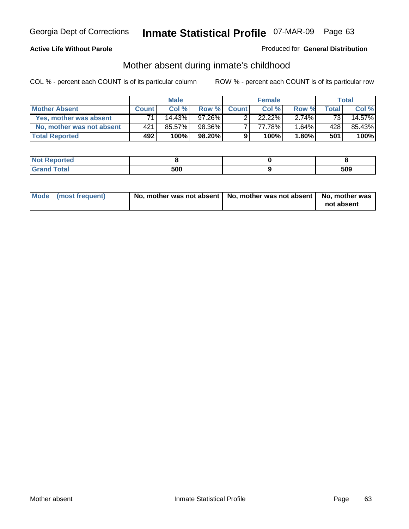#### **Active Life Without Parole**

#### Produced for **General Distribution**

# Mother absent during inmate's childhood

|                           |              | <b>Male</b> |           |              | <b>Female</b> |          |       | Total  |
|---------------------------|--------------|-------------|-----------|--------------|---------------|----------|-------|--------|
| <b>Mother Absent</b>      | <b>Count</b> | Col%        | Row %     | <b>Count</b> | Col %         | Row %    | Total | Col %  |
| Yes, mother was absent    | 74           | $14.43\%$   | 97.26%    |              | $22.22\%$     | $2.74\%$ | 731   | 14.57% |
| No, mother was not absent | 421          | 85.57%      | 98.36%    |              | 77.78%        | $1.64\%$ | 428   | 85.43% |
| <b>Total Reported</b>     | 492          | 100%        | $98.20\%$ | 9            | 100%          | $1.80\%$ | 501   | 100%   |

| <b>Reported</b> |     |     |
|-----------------|-----|-----|
| <b>Total</b>    | 500 | 509 |

| Mode (most frequent) | No, mother was not absent   No, mother was not absent   No, mother was | not absent |
|----------------------|------------------------------------------------------------------------|------------|
|----------------------|------------------------------------------------------------------------|------------|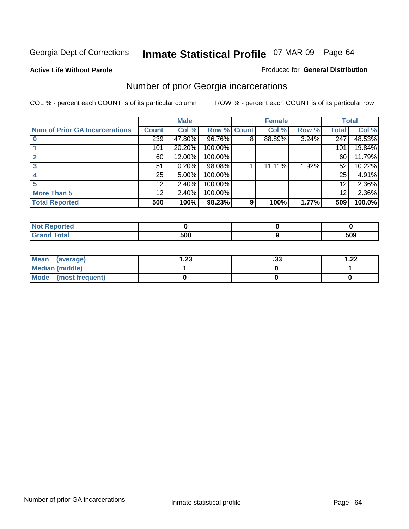**Active Life Without Parole** 

#### Produced for **General Distribution**

### Number of prior Georgia incarcerations

|                                |                 | <b>Male</b> |                    |   | <b>Female</b> |       |       | <b>Total</b> |
|--------------------------------|-----------------|-------------|--------------------|---|---------------|-------|-------|--------------|
| Num of Prior GA Incarcerations | <b>Count</b>    | Col %       | <b>Row % Count</b> |   | Col %         | Row % | Total | Col %        |
|                                | 239             | 47.80%      | 96.76%             | 8 | 88.89%        | 3.24% | 247   | 48.53%       |
|                                | 101             | 20.20%      | 100.00%            |   |               |       | 101   | 19.84%       |
|                                | 60              | 12.00%      | 100.00%            |   |               |       | 60    | 11.79%       |
|                                | 51              | 10.20%      | 98.08%             |   | 11.11%        | 1.92% | 52    | 10.22%       |
|                                | 25              | 5.00%       | 100.00%            |   |               |       | 25    | 4.91%        |
|                                | 12 <sup>2</sup> | 2.40%       | 100.00%            |   |               |       | 12    | 2.36%        |
| <b>More Than 5</b>             | 12              | 2.40%       | 100.00%            |   |               |       | 12    | 2.36%        |
| <b>Total Reported</b>          | 500             | 100%        | 98.23%             | 9 | 100%          | 1.77% | 509   | 100.0%       |

| <b>Reported</b><br><b>NOT</b><br> |     |     |
|-----------------------------------|-----|-----|
| <b>otal</b>                       | 500 | 509 |

| Mean (average)       | 23. ا | . JJ | 1.22 |
|----------------------|-------|------|------|
| Median (middle)      |       |      |      |
| Mode (most frequent) |       |      |      |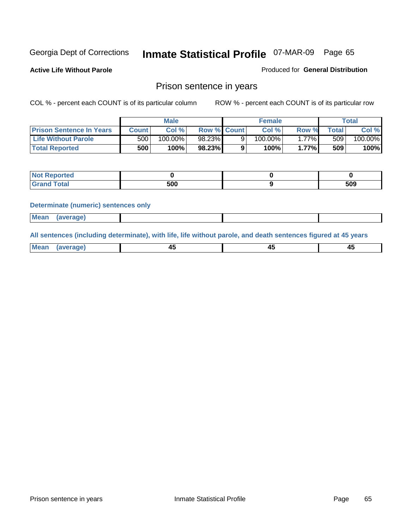**Active Life Without Parole** 

Produced for **General Distribution**

### Prison sentence in years

COL % - percent each COUNT is of its particular column ROW % - percent each COUNT is of its particular row

|                                 |                  | Male    |                    | <b>Female</b> |       |                  | Total   |
|---------------------------------|------------------|---------|--------------------|---------------|-------|------------------|---------|
| <b>Prison Sentence In Years</b> | Count⊺           | Col %   | <b>Row % Count</b> | Col %         | Row % | <b>Total</b>     | Col %   |
| <b>Life Without Parole</b>      | 500 <sub>1</sub> | 100.00% | 98.23%             | $100.00\%$    | .77%I | 509 <sub>1</sub> | 100.00% |
| <b>Total Reported</b>           | 500              | 100%    | 98.23%             | 100%          | 1.77% | 509              | 100%    |

| Reported              |     |     |
|-----------------------|-----|-----|
| <b>Total</b><br>Grand | 500 | 509 |

#### **Determinate (numeric) sentences only**

| Mean | (average) |  |  |
|------|-----------|--|--|

**All sentences (including determinate), with life, life without parole, and death sentences figured at 45 years**

| Me:<br>апет<br>.<br>᠇<br>$\sim$ | -- | т.<br>$\sim$ |
|---------------------------------|----|--------------|
|---------------------------------|----|--------------|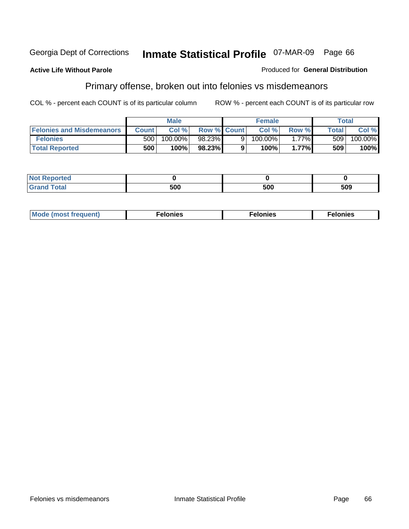#### **Active Life Without Parole**

#### Produced for **General Distribution**

### Primary offense, broken out into felonies vs misdemeanors

|                                  | <b>Male</b>  |         |                    | <b>Female</b> | Total    |              |         |
|----------------------------------|--------------|---------|--------------------|---------------|----------|--------------|---------|
| <b>Felonies and Misdemeanors</b> | <b>Count</b> | Col %   | <b>Row % Count</b> | Col %         | Row %    | <b>Total</b> | Col %   |
| <b>Felonies</b>                  | 500          | 100.00% | 98.23%             | $100.00\%$    | $1.77\%$ | 509          | 100.00% |
| <b>Total Reported</b>            | 500          | 100%    | 98.23%             | 100%          | 1.77%    | 509          | 100%    |

| <b>Not Reported</b>          |     |     |     |
|------------------------------|-----|-----|-----|
| <b>Total</b><br><b>Granc</b> | 'nr | 500 | 509 |

| M <sub>0</sub><br>. | צאור<br>. | . |
|---------------------|-----------|---|
|---------------------|-----------|---|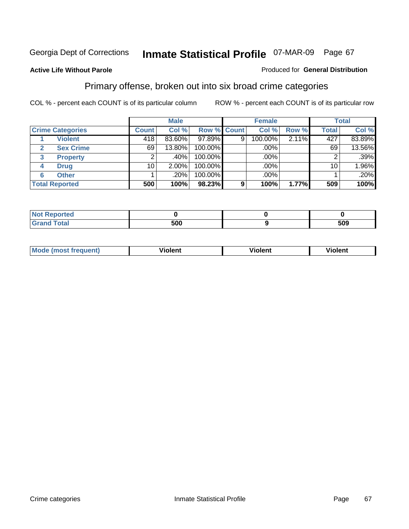#### **Active Life Without Parole**

#### Produced for **General Distribution**

### Primary offense, broken out into six broad crime categories

|                         | <b>Male</b>      |          | <b>Female</b> |   |         | <b>Total</b> |              |        |
|-------------------------|------------------|----------|---------------|---|---------|--------------|--------------|--------|
| <b>Crime Categories</b> | <b>Count</b>     | Col %    | Row % Count   |   | Col %   | Row %        | <b>Total</b> | Col %  |
| <b>Violent</b>          | $\overline{418}$ | 83.60%   | $97.89\%$     | 9 | 100.00% | 2.11%        | 427          | 83.89% |
| <b>Sex Crime</b>        | 69               | 13.80%   | 100.00%       |   | .00%    |              | 69           | 13.56% |
| <b>Property</b><br>3    |                  | $.40\%$  | 100.00%       |   | .00%    |              |              | .39%   |
| <b>Drug</b><br>4        | 10               | $2.00\%$ | 100.00%       |   | .00%    |              | 10           | 1.96%  |
| <b>Other</b><br>6       |                  | .20%     | 100.00%       |   | .00%    |              |              | .20%   |
| <b>Total Reported</b>   | 500              | 100%     | 98.23%        | 9 | 100%    | 1.77%        | 509          | 100%   |

| <b>Not Reported</b>  |     |     |
|----------------------|-----|-----|
| <b>Total</b><br>Gran | 500 | 509 |

| Mc | - - | 'חםור |  |
|----|-----|-------|--|
|    |     |       |  |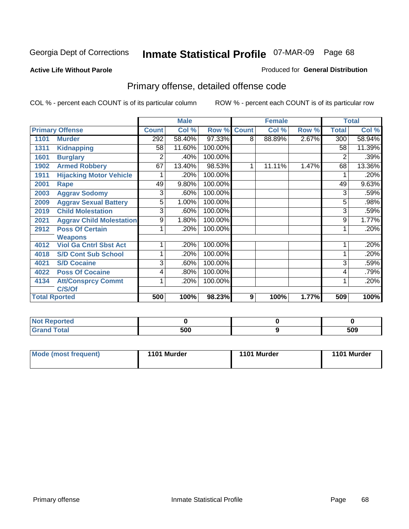#### **Active Life Without Parole**

#### Produced for **General Distribution**

# Primary offense, detailed offense code

|                        |                                 |              | <b>Male</b> |         |              | <b>Female</b> |       |              | <b>Total</b> |
|------------------------|---------------------------------|--------------|-------------|---------|--------------|---------------|-------|--------------|--------------|
| <b>Primary Offense</b> |                                 | <b>Count</b> | Col %       | Row %   | <b>Count</b> | Col %         | Row % | <b>Total</b> | Col %        |
| 1101                   | <b>Murder</b>                   | 292          | 58.40%      | 97.33%  | 8            | 88.89%        | 2.67% | 300          | 58.94%       |
| 1311                   | <b>Kidnapping</b>               | 58           | 11.60%      | 100.00% |              |               |       | 58           | 11.39%       |
| 1601                   | <b>Burglary</b>                 | 2            | .40%        | 100.00% |              |               |       | 2            | .39%         |
| 1902                   | <b>Armed Robbery</b>            | 67           | 13.40%      | 98.53%  | 1            | 11.11%        | 1.47% | 68           | 13.36%       |
| 1911                   | <b>Hijacking Motor Vehicle</b>  |              | .20%        | 100.00% |              |               |       |              | .20%         |
| 2001                   | Rape                            | 49           | 9.80%       | 100.00% |              |               |       | 49           | 9.63%        |
| 2003                   | <b>Aggrav Sodomy</b>            | 3            | .60%        | 100.00% |              |               |       | 3            | .59%         |
| 2009                   | <b>Aggrav Sexual Battery</b>    | 5            | 1.00%       | 100.00% |              |               |       | 5            | .98%         |
| 2019                   | <b>Child Molestation</b>        | 3            | .60%        | 100.00% |              |               |       | 3            | .59%         |
| 2021                   | <b>Aggrav Child Molestation</b> | 9            | 1.80%       | 100.00% |              |               |       | 9            | 1.77%        |
| 2912                   | <b>Poss Of Certain</b>          |              | .20%        | 100.00% |              |               |       |              | .20%         |
|                        | <b>Weapons</b>                  |              |             |         |              |               |       |              |              |
| 4012                   | <b>Viol Ga Cntrl Sbst Act</b>   | 1            | .20%        | 100.00% |              |               |       |              | .20%         |
| 4018                   | <b>S/D Cont Sub School</b>      |              | .20%        | 100.00% |              |               |       |              | .20%         |
| 4021                   | <b>S/D Cocaine</b>              | 3            | .60%        | 100.00% |              |               |       | 3            | .59%         |
| 4022                   | <b>Poss Of Cocaine</b>          | 4            | .80%        | 100.00% |              |               |       | 4            | .79%         |
| 4134                   | <b>Att/Consprcy Commt</b>       | 1            | .20%        | 100.00% |              |               |       |              | .20%         |
|                        | C/S/Of                          |              |             |         |              |               |       |              |              |
| <b>Total Rported</b>   |                                 | 500          | 100%        | 98.23%  | 9            | 100%          | 1.77% | 509          | 100%         |

| Reported              |     |     |
|-----------------------|-----|-----|
| <b>Total</b><br>----- | 500 | 509 |

| Mode (most frequent) | 1101 Murder | 1101 Murder | 1101 Murder |
|----------------------|-------------|-------------|-------------|
|----------------------|-------------|-------------|-------------|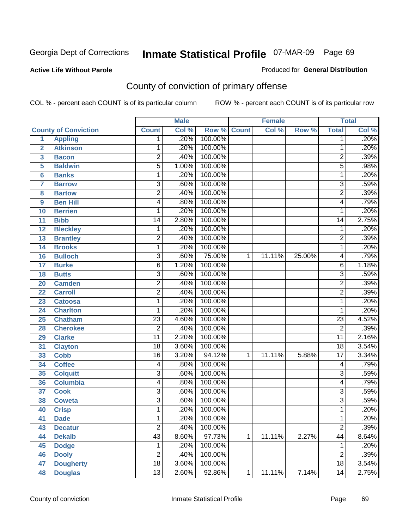#### **Active Life Without Parole**

#### Produced for **General Distribution**

# County of conviction of primary offense

|                         |                             |                 | <b>Male</b> |         |              | <b>Female</b> |        |                 | <b>Total</b> |
|-------------------------|-----------------------------|-----------------|-------------|---------|--------------|---------------|--------|-----------------|--------------|
|                         | <b>County of Conviction</b> | <b>Count</b>    | Col %       | Row %   | <b>Count</b> | Col %         | Row %  | <b>Total</b>    | Col %        |
| 1                       | <b>Appling</b>              | 1               | .20%        | 100.00% |              |               |        | 1               | .20%         |
| $\overline{2}$          | <b>Atkinson</b>             | 1               | .20%        | 100.00% |              |               |        | 1               | .20%         |
| $\overline{\mathbf{3}}$ | <b>Bacon</b>                | $\overline{2}$  | .40%        | 100.00% |              |               |        | $\overline{2}$  | .39%         |
| 5                       | <b>Baldwin</b>              | $\overline{5}$  | 1.00%       | 100.00% |              |               |        | $\overline{5}$  | .98%         |
| 6                       | <b>Banks</b>                | 1               | .20%        | 100.00% |              |               |        | 1               | .20%         |
| $\overline{7}$          | <b>Barrow</b>               | $\overline{3}$  | .60%        | 100.00% |              |               |        | $\overline{3}$  | .59%         |
| 8                       | <b>Bartow</b>               | $\overline{2}$  | .40%        | 100.00% |              |               |        | $\overline{2}$  | .39%         |
| 9                       | <b>Ben Hill</b>             | 4               | .80%        | 100.00% |              |               |        | 4               | .79%         |
| 10                      | <b>Berrien</b>              | 1               | .20%        | 100.00% |              |               |        | 1               | .20%         |
| 11                      | <b>Bibb</b>                 | $\overline{14}$ | 2.80%       | 100.00% |              |               |        | 14              | 2.75%        |
| 12                      | <b>Bleckley</b>             | 1               | .20%        | 100.00% |              |               |        | 1               | .20%         |
| 13                      | <b>Brantley</b>             | $\overline{2}$  | .40%        | 100.00% |              |               |        | $\overline{2}$  | .39%         |
| 14                      | <b>Brooks</b>               | 1               | .20%        | 100.00% |              |               |        | 1               | .20%         |
| 16                      | <b>Bulloch</b>              | $\overline{3}$  | .60%        | 75.00%  | 1            | 11.11%        | 25.00% | 4               | .79%         |
| 17                      | <b>Burke</b>                | 6               | 1.20%       | 100.00% |              |               |        | 6               | 1.18%        |
| 18                      | <b>Butts</b>                | $\overline{3}$  | .60%        | 100.00% |              |               |        | $\overline{3}$  | .59%         |
| 20                      | <b>Camden</b>               | $\overline{2}$  | .40%        | 100.00% |              |               |        | $\overline{2}$  | .39%         |
| 22                      | <b>Carroll</b>              | $\overline{2}$  | .40%        | 100.00% |              |               |        | $\overline{2}$  | .39%         |
| 23                      | <b>Catoosa</b>              | 1               | .20%        | 100.00% |              |               |        | 1               | .20%         |
| 24                      | <b>Charlton</b>             | 1               | .20%        | 100.00% |              |               |        | 1               | .20%         |
| 25                      | <b>Chatham</b>              | $\overline{23}$ | 4.60%       | 100.00% |              |               |        | $\overline{23}$ | 4.52%        |
| 28                      | <b>Cherokee</b>             | $\overline{2}$  | .40%        | 100.00% |              |               |        | $\overline{2}$  | .39%         |
| 29                      | <b>Clarke</b>               | $\overline{11}$ | 2.20%       | 100.00% |              |               |        | $\overline{11}$ | 2.16%        |
| 31                      | <b>Clayton</b>              | $\overline{18}$ | 3.60%       | 100.00% |              |               |        | $\overline{18}$ | 3.54%        |
| 33                      | <b>Cobb</b>                 | $\overline{16}$ | 3.20%       | 94.12%  | 1            | 11.11%        | 5.88%  | $\overline{17}$ | 3.34%        |
| 34                      | <b>Coffee</b>               | 4               | .80%        | 100.00% |              |               |        | 4               | .79%         |
| 35                      | <b>Colquitt</b>             | $\overline{3}$  | .60%        | 100.00% |              |               |        | 3               | .59%         |
| 36                      | <b>Columbia</b>             | 4               | .80%        | 100.00% |              |               |        | 4               | .79%         |
| 37                      | <b>Cook</b>                 | 3               | .60%        | 100.00% |              |               |        | $\overline{3}$  | .59%         |
| 38                      | <b>Coweta</b>               | $\overline{3}$  | .60%        | 100.00% |              |               |        | $\overline{3}$  | .59%         |
| 40                      | <b>Crisp</b>                | 1               | .20%        | 100.00% |              |               |        | 1               | .20%         |
| 41                      | <b>Dade</b>                 | 1               | .20%        | 100.00% |              |               |        | 1               | .20%         |
| 43                      | <b>Decatur</b>              | $\overline{2}$  | .40%        | 100.00% |              |               |        | $\overline{2}$  | .39%         |
| 44                      | <b>Dekalb</b>               | $\overline{43}$ | 8.60%       | 97.73%  | 1            | 11.11%        | 2.27%  | $\overline{44}$ | 8.64%        |
| 45                      | <b>Dodge</b>                | 1               | .20%        | 100.00% |              |               |        | 1               | .20%         |
| 46                      | <b>Dooly</b>                | $\overline{2}$  | .40%        | 100.00% |              |               |        | $\overline{2}$  | .39%         |
| 47                      | <b>Dougherty</b>            | $\overline{18}$ | 3.60%       | 100.00% |              |               |        | 18              | 3.54%        |
| 48                      | <b>Douglas</b>              | $\overline{13}$ | 2.60%       | 92.86%  | 1            | 11.11%        | 7.14%  | $\overline{14}$ | 2.75%        |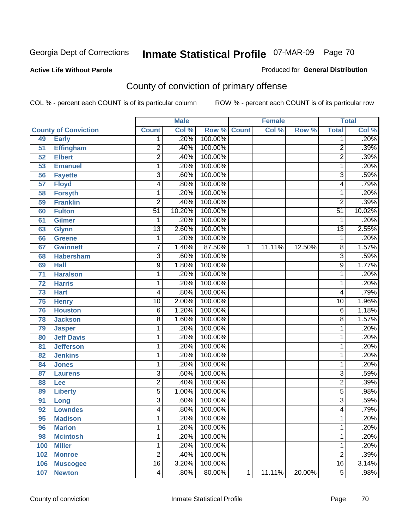#### **Active Life Without Parole**

#### Produced for **General Distribution**

# County of conviction of primary offense

|                 |                             |                 | <b>Male</b> |         | <b>Female</b> |        | <b>Total</b> |                 |                            |
|-----------------|-----------------------------|-----------------|-------------|---------|---------------|--------|--------------|-----------------|----------------------------|
|                 | <b>County of Conviction</b> | <b>Count</b>    | Col %       | Row %   | <b>Count</b>  | Col %  | Row %        | <b>Total</b>    | $\overline{\text{Col }\%}$ |
| 49              | <b>Early</b>                | 1               | .20%        | 100.00% |               |        |              | 1               | .20%                       |
| 51              | <b>Effingham</b>            | $\overline{2}$  | .40%        | 100.00% |               |        |              | $\overline{2}$  | .39%                       |
| 52              | <b>Elbert</b>               | $\overline{2}$  | .40%        | 100.00% |               |        |              | $\overline{2}$  | .39%                       |
| 53              | <b>Emanuel</b>              | 1               | .20%        | 100.00% |               |        |              | 1               | .20%                       |
| 56              | <b>Fayette</b>              | 3               | .60%        | 100.00% |               |        |              | $\overline{3}$  | .59%                       |
| $\overline{57}$ | <b>Floyd</b>                | 4               | .80%        | 100.00% |               |        |              | 4               | .79%                       |
| 58              | <b>Forsyth</b>              | 1               | .20%        | 100.00% |               |        |              | 1               | .20%                       |
| 59              | <b>Franklin</b>             | $\overline{2}$  | .40%        | 100.00% |               |        |              | $\overline{2}$  | .39%                       |
| 60              | <b>Fulton</b>               | $\overline{51}$ | 10.20%      | 100.00% |               |        |              | $\overline{51}$ | 10.02%                     |
| 61              | Gilmer                      | 1               | .20%        | 100.00% |               |        |              | 1               | .20%                       |
| 63              | <b>Glynn</b>                | $\overline{13}$ | 2.60%       | 100.00% |               |        |              | $\overline{13}$ | 2.55%                      |
| 66              | <b>Greene</b>               | 1               | .20%        | 100.00% |               |        |              | 1               | .20%                       |
| 67              | <b>Gwinnett</b>             | 7               | 1.40%       | 87.50%  | 1             | 11.11% | 12.50%       | 8               | 1.57%                      |
| 68              | <b>Habersham</b>            | $\overline{3}$  | .60%        | 100.00% |               |        |              | $\overline{3}$  | .59%                       |
| 69              | <b>Hall</b>                 | 9               | 1.80%       | 100.00% |               |        |              | $\overline{9}$  | 1.77%                      |
| 71              | <b>Haralson</b>             | 1               | .20%        | 100.00% |               |        |              | 1               | .20%                       |
| $\overline{72}$ | <b>Harris</b>               | 1               | .20%        | 100.00% |               |        |              | 1               | .20%                       |
| 73              | <b>Hart</b>                 | 4               | .80%        | 100.00% |               |        |              | 4               | .79%                       |
| 75              | <b>Henry</b>                | $\overline{10}$ | 2.00%       | 100.00% |               |        |              | $\overline{10}$ | 1.96%                      |
| 76              | <b>Houston</b>              | $\overline{6}$  | 1.20%       | 100.00% |               |        |              | 6               | 1.18%                      |
| 78              | <b>Jackson</b>              | 8               | 1.60%       | 100.00% |               |        |              | $\overline{8}$  | 1.57%                      |
| 79              | <b>Jasper</b>               | 1               | .20%        | 100.00% |               |        |              | 1               | .20%                       |
| 80              | <b>Jeff Davis</b>           | 1               | .20%        | 100.00% |               |        |              | 1               | .20%                       |
| 81              | <b>Jefferson</b>            | 1               | .20%        | 100.00% |               |        |              | 1               | .20%                       |
| 82              | <b>Jenkins</b>              | 1               | .20%        | 100.00% |               |        |              | 1               | .20%                       |
| 84              | <b>Jones</b>                | 1               | .20%        | 100.00% |               |        |              | 1               | .20%                       |
| 87              | <b>Laurens</b>              | $\overline{3}$  | .60%        | 100.00% |               |        |              | $\overline{3}$  | .59%                       |
| 88              | Lee                         | $\overline{2}$  | .40%        | 100.00% |               |        |              | $\overline{2}$  | .39%                       |
| 89              | <b>Liberty</b>              | 5               | 1.00%       | 100.00% |               |        |              | 5               | .98%                       |
| 91              | Long                        | 3               | .60%        | 100.00% |               |        |              | $\overline{3}$  | .59%                       |
| 92              | <b>Lowndes</b>              | 4               | .80%        | 100.00% |               |        |              | 4               | .79%                       |
| 95              | <b>Madison</b>              | 1               | .20%        | 100.00% |               |        |              | 1               | .20%                       |
| 96              | <b>Marion</b>               | 1               | .20%        | 100.00% |               |        |              | 1               | .20%                       |
| 98              | <b>Mcintosh</b>             | 1               | .20%        | 100.00% |               |        |              | 1               | .20%                       |
| 100             | <b>Miller</b>               | 1               | .20%        | 100.00% |               |        |              | 1               | .20%                       |
| 102             | <b>Monroe</b>               | $\overline{2}$  | .40%        | 100.00% |               |        |              | $\overline{2}$  | .39%                       |
| 106             | <b>Muscogee</b>             | $\overline{16}$ | 3.20%       | 100.00% |               |        |              | 16              | 3.14%                      |
| 107             | <b>Newton</b>               | $\overline{4}$  | .80%        | 80.00%  | 1             | 11.11% | 20.00%       | $\overline{5}$  | .98%                       |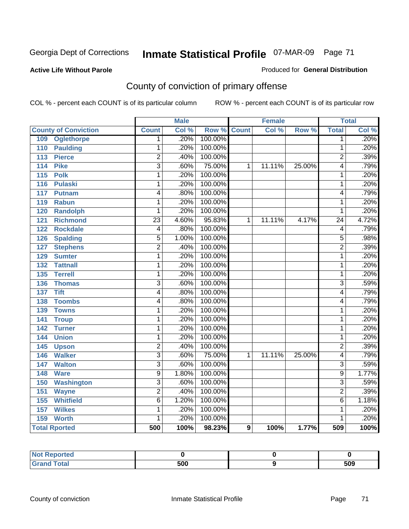#### **Active Life Without Parole**

#### Produced for **General Distribution**

# County of conviction of primary offense

|                                 |                         | <b>Male</b> |         | <b>Female</b> |        | <b>Total</b> |                           |       |
|---------------------------------|-------------------------|-------------|---------|---------------|--------|--------------|---------------------------|-------|
| <b>County of Conviction</b>     | <b>Count</b>            | Col %       | Row %   | <b>Count</b>  | Col %  | Row %        | <b>Total</b>              | Col % |
| 109<br><b>Oglethorpe</b>        | 1                       | .20%        | 100.00% |               |        |              | 1                         | .20%  |
| <b>Paulding</b><br>110          | 1                       | .20%        | 100.00% |               |        |              | 1                         | .20%  |
| 113<br><b>Pierce</b>            | $\overline{2}$          | .40%        | 100.00% |               |        |              | $\overline{2}$            | .39%  |
| 114<br><b>Pike</b>              | $\overline{\mathbf{3}}$ | .60%        | 75.00%  | 1             | 11.11% | 25.00%       | 4                         | .79%  |
| $\overline{115}$<br><b>Polk</b> | 1                       | .20%        | 100.00% |               |        |              | 1                         | .20%  |
| 116<br><b>Pulaski</b>           | 1                       | .20%        | 100.00% |               |        |              | 1                         | .20%  |
| 117<br><b>Putnam</b>            | 4                       | .80%        | 100.00% |               |        |              | 4                         | .79%  |
| <b>Rabun</b><br>119             | 1                       | .20%        | 100.00% |               |        |              | 1                         | .20%  |
| 120<br><b>Randolph</b>          | 1                       | .20%        | 100.00% |               |        |              | 1                         | .20%  |
| <b>Richmond</b><br>121          | $\overline{23}$         | 4.60%       | 95.83%  | 1             | 11.11% | 4.17%        | $\overline{24}$           | 4.72% |
| <b>Rockdale</b><br>122          | $\overline{4}$          | .80%        | 100.00% |               |        |              | 4                         | .79%  |
| 126<br><b>Spalding</b>          | $\overline{5}$          | 1.00%       | 100.00% |               |        |              | $\overline{5}$            | .98%  |
| <b>Stephens</b><br>127          | $\overline{2}$          | .40%        | 100.00% |               |        |              | $\overline{2}$            | .39%  |
| 129<br><b>Sumter</b>            | 1                       | .20%        | 100.00% |               |        |              | $\overline{1}$            | .20%  |
| <b>Tattnall</b><br>132          | 1                       | .20%        | 100.00% |               |        |              | 1                         | .20%  |
| <b>Terrell</b><br>135           | 1                       | .20%        | 100.00% |               |        |              | 1                         | .20%  |
| 136<br><b>Thomas</b>            | $\overline{3}$          | .60%        | 100.00% |               |        |              | $\overline{3}$            | .59%  |
| <b>Tift</b><br>137              | 4                       | .80%        | 100.00% |               |        |              | 4                         | .79%  |
| <b>Toombs</b><br>138            | 4                       | .80%        | 100.00% |               |        |              | 4                         | .79%  |
| <b>Towns</b><br>139             | 1                       | .20%        | 100.00% |               |        |              | 1                         | .20%  |
| 141<br><b>Troup</b>             | 1                       | .20%        | 100.00% |               |        |              | 1                         | .20%  |
| <b>Turner</b><br>142            | 1                       | .20%        | 100.00% |               |        |              | $\mathbf{1}$              | .20%  |
| <b>Union</b><br>144             | 1                       | .20%        | 100.00% |               |        |              | 1                         | .20%  |
| 145<br><b>Upson</b>             | $\overline{2}$          | .40%        | 100.00% |               |        |              | $\overline{2}$            | .39%  |
| <b>Walker</b><br>146            | $\overline{3}$          | .60%        | 75.00%  | 1             | 11.11% | 25.00%       | 4                         | .79%  |
| <b>Walton</b><br>147            | $\overline{\mathbf{3}}$ | .60%        | 100.00% |               |        |              | $\overline{3}$            | .59%  |
| <b>Ware</b><br>148              | $\overline{9}$          | 1.80%       | 100.00% |               |        |              | $\overline{9}$            | 1.77% |
| <b>Washington</b><br>150        | $\overline{\mathbf{3}}$ | .60%        | 100.00% |               |        |              | $\overline{\overline{3}}$ | .59%  |
| 151<br><b>Wayne</b>             | $\overline{2}$          | .40%        | 100.00% |               |        |              | $\overline{2}$            | .39%  |
| <b>Whitfield</b><br>155         | $\overline{6}$          | 1.20%       | 100.00% |               |        |              | $\overline{6}$            | 1.18% |
| <b>Wilkes</b><br>157            | 1                       | .20%        | 100.00% |               |        |              | 1                         | .20%  |
| 159<br><b>Worth</b>             | 1                       | .20%        | 100.00% |               |        |              | 1                         | .20%  |
| <b>Total Rported</b>            | 500                     | 100%        | 98.23%  | 9             | 100%   | 1.77%        | 509                       | 100%  |

| reo.         |     |     |
|--------------|-----|-----|
| <b>Total</b> | 500 | 509 |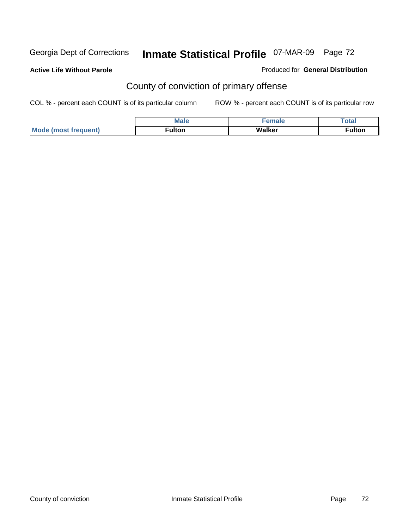#### **Active Life Without Parole**

Produced for **General Distribution**

# County of conviction of primary offense

|              | M ><br>___ |        | `ota⊾        |
|--------------|------------|--------|--------------|
| <b>Mo</b>    | ·ulton     | Walker | <b>ulton</b> |
| $f$ requent) |            |        |              |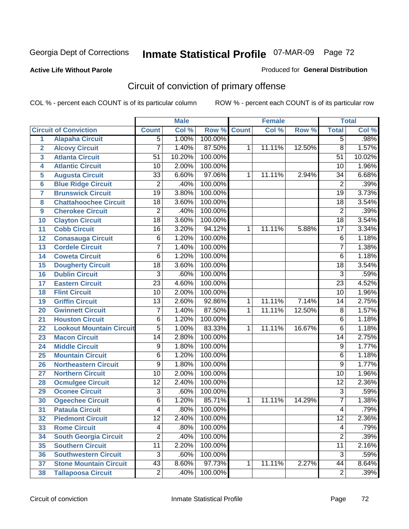#### **Active Life Without Parole**

#### Produced for **General Distribution**

# Circuit of conviction of primary offense

|                         |                                 |                 | <b>Male</b> |         |              | <b>Female</b> |        |                 | <b>Total</b> |
|-------------------------|---------------------------------|-----------------|-------------|---------|--------------|---------------|--------|-----------------|--------------|
|                         | <b>Circuit of Conviction</b>    | <b>Count</b>    | Col %       | Row %   | <b>Count</b> | Col %         | Row %  | <b>Total</b>    | Col %        |
| $\overline{1}$          | <b>Alapaha Circuit</b>          | $\overline{5}$  | 1.00%       | 100.00% |              |               |        | $\overline{5}$  | .98%         |
| $\overline{2}$          | <b>Alcovy Circuit</b>           | $\overline{7}$  | 1.40%       | 87.50%  | 1            | 11.11%        | 12.50% | $\overline{8}$  | 1.57%        |
| $\overline{\mathbf{3}}$ | <b>Atlanta Circuit</b>          | 51              | 10.20%      | 100.00% |              |               |        | $\overline{51}$ | 10.02%       |
| 4                       | <b>Atlantic Circuit</b>         | 10              | 2.00%       | 100.00% |              |               |        | 10              | 1.96%        |
| 5                       | <b>Augusta Circuit</b>          | $\overline{33}$ | 6.60%       | 97.06%  | 1            | 11.11%        | 2.94%  | $\overline{34}$ | 6.68%        |
| $\overline{6}$          | <b>Blue Ridge Circuit</b>       | $\overline{2}$  | .40%        | 100.00% |              |               |        | $\overline{2}$  | .39%         |
| $\overline{7}$          | <b>Brunswick Circuit</b>        | $\overline{19}$ | 3.80%       | 100.00% |              |               |        | $\overline{19}$ | 3.73%        |
| 8                       | <b>Chattahoochee Circuit</b>    | $\overline{18}$ | 3.60%       | 100.00% |              |               |        | $\overline{18}$ | 3.54%        |
| 9                       | <b>Cherokee Circuit</b>         | $\overline{2}$  | .40%        | 100.00% |              |               |        | $\overline{2}$  | .39%         |
| 10                      | <b>Clayton Circuit</b>          | $\overline{18}$ | 3.60%       | 100.00% |              |               |        | $\overline{18}$ | 3.54%        |
| 11                      | <b>Cobb Circuit</b>             | $\overline{16}$ | 3.20%       | 94.12%  | 1            | 11.11%        | 5.88%  | $\overline{17}$ | 3.34%        |
| 12                      | <b>Conasauga Circuit</b>        | 6               | 1.20%       | 100.00% |              |               |        | $\overline{6}$  | 1.18%        |
| 13                      | <b>Cordele Circuit</b>          | 7               | 1.40%       | 100.00% |              |               |        | $\overline{7}$  | 1.38%        |
| 14                      | <b>Coweta Circuit</b>           | 6               | 1.20%       | 100.00% |              |               |        | $\overline{6}$  | 1.18%        |
| 15                      | <b>Dougherty Circuit</b>        | $\overline{18}$ | 3.60%       | 100.00% |              |               |        | $\overline{18}$ | 3.54%        |
| 16                      | <b>Dublin Circuit</b>           | $\overline{3}$  | .60%        | 100.00% |              |               |        | $\overline{3}$  | .59%         |
| 17                      | <b>Eastern Circuit</b>          | $\overline{23}$ | 4.60%       | 100.00% |              |               |        | $\overline{23}$ | 4.52%        |
| 18                      | <b>Flint Circuit</b>            | $\overline{10}$ | 2.00%       | 100.00% |              |               |        | $\overline{10}$ | 1.96%        |
| 19                      | <b>Griffin Circuit</b>          | $\overline{13}$ | 2.60%       | 92.86%  | 1            | 11.11%        | 7.14%  | 14              | 2.75%        |
| 20                      | <b>Gwinnett Circuit</b>         | $\overline{7}$  | 1.40%       | 87.50%  | 1            | 11.11%        | 12.50% | $\overline{8}$  | 1.57%        |
| 21                      | <b>Houston Circuit</b>          | 6               | 1.20%       | 100.00% |              |               |        | $\overline{6}$  | 1.18%        |
| 22                      | <b>Lookout Mountain Circuit</b> | $\overline{5}$  | 1.00%       | 83.33%  | 1            | 11.11%        | 16.67% | $\overline{6}$  | 1.18%        |
| 23                      | <b>Macon Circuit</b>            | $\overline{14}$ | 2.80%       | 100.00% |              |               |        | 14              | 2.75%        |
| 24                      | <b>Middle Circuit</b>           | 9               | 1.80%       | 100.00% |              |               |        | $\overline{9}$  | 1.77%        |
| 25                      | <b>Mountain Circuit</b>         | 6               | 1.20%       | 100.00% |              |               |        | 6               | 1.18%        |
| 26                      | <b>Northeastern Circuit</b>     | 9               | 1.80%       | 100.00% |              |               |        | $\overline{9}$  | 1.77%        |
| 27                      | <b>Northern Circuit</b>         | $\overline{10}$ | 2.00%       | 100.00% |              |               |        | $\overline{10}$ | 1.96%        |
| 28                      | <b>Ocmulgee Circuit</b>         | $\overline{12}$ | 2.40%       | 100.00% |              |               |        | $\overline{12}$ | 2.36%        |
| 29                      | <b>Oconee Circuit</b>           | $\overline{3}$  | .60%        | 100.00% |              |               |        | $\overline{3}$  | .59%         |
| 30                      | <b>Ogeechee Circuit</b>         | 6               | 1.20%       | 85.71%  | 1            | 11.11%        | 14.29% | $\overline{7}$  | 1.38%        |
| $\overline{31}$         | <b>Pataula Circuit</b>          | 4               | .80%        | 100.00% |              |               |        | 4               | .79%         |
| 32                      | <b>Piedmont Circuit</b>         | 12              | 2.40%       | 100.00% |              |               |        | 12              | 2.36%        |
| 33                      | <b>Rome Circuit</b>             | 4               | .80%        | 100.00% |              |               |        | 4               | .79%         |
| 34                      | <b>South Georgia Circuit</b>    | $\overline{2}$  | .40%        | 100.00% |              |               |        | $\overline{2}$  | .39%         |
| 35                      | <b>Southern Circuit</b>         | $\overline{11}$ | 2.20%       | 100.00% |              |               |        | $\overline{11}$ | 2.16%        |
| 36                      | <b>Southwestern Circuit</b>     | $\overline{3}$  | .60%        | 100.00% |              |               |        | $\overline{3}$  | .59%         |
| 37                      | <b>Stone Mountain Circuit</b>   | $\overline{43}$ | 8.60%       | 97.73%  | 1            | 11.11%        | 2.27%  | 44              | 8.64%        |
| 38                      | <b>Tallapoosa Circuit</b>       | $\overline{2}$  | .40%        | 100.00% |              |               |        | $\overline{2}$  | .39%         |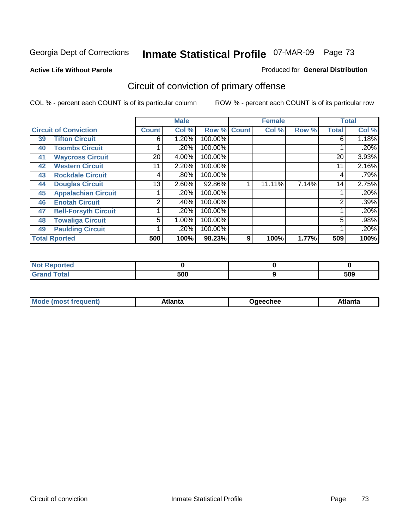**Active Life Without Parole** 

#### Produced for **General Distribution**

# Circuit of conviction of primary offense

|    |                              |                | <b>Male</b> |         |              | <b>Female</b> |       |              | <b>Total</b> |
|----|------------------------------|----------------|-------------|---------|--------------|---------------|-------|--------------|--------------|
|    | <b>Circuit of Conviction</b> | <b>Count</b>   | Col %       | Row %   | <b>Count</b> | Col %         | Row % | <b>Total</b> | Col %        |
| 39 | <b>Tifton Circuit</b>        | 6              | 1.20%       | 100.00% |              |               |       | 6            | 1.18%        |
| 40 | <b>Toombs Circuit</b>        |                | .20%        | 100.00% |              |               |       |              | .20%         |
| 41 | <b>Waycross Circuit</b>      | 20             | 4.00%       | 100.00% |              |               |       | 20           | 3.93%        |
| 42 | <b>Western Circuit</b>       | 11             | 2.20%       | 100.00% |              |               |       | 11           | 2.16%        |
| 43 | <b>Rockdale Circuit</b>      | 4              | $.80\%$     | 100.00% |              |               |       | 4            | .79%         |
| 44 | <b>Douglas Circuit</b>       | 13             | $2.60\%$    | 92.86%  |              | 11.11%        | 7.14% | 14           | 2.75%        |
| 45 | <b>Appalachian Circuit</b>   |                | .20%        | 100.00% |              |               |       |              | .20%         |
| 46 | <b>Enotah Circuit</b>        | $\overline{2}$ | .40%        | 100.00% |              |               |       | 2            | .39%         |
| 47 | <b>Bell-Forsyth Circuit</b>  |                | .20%        | 100.00% |              |               |       |              | .20%         |
| 48 | <b>Towaliga Circuit</b>      | 5              | 1.00%       | 100.00% |              |               |       | 5            | .98%         |
| 49 | <b>Paulding Circuit</b>      |                | .20%        | 100.00% |              |               |       |              | .20%         |
|    | <b>Total Rported</b>         | 500            | 100%        | 98.23%  | 9            | 100%          | 1.77% | 509          | 100%         |

| <b>eported</b>                          |     |     |
|-----------------------------------------|-----|-----|
| <b>otal</b><br>$\sim$ . $\sim$ . $\sim$ | 500 | 509 |

|  | M | *****<br>⊡alilu | chee | .<br>''ILC |
|--|---|-----------------|------|------------|
|--|---|-----------------|------|------------|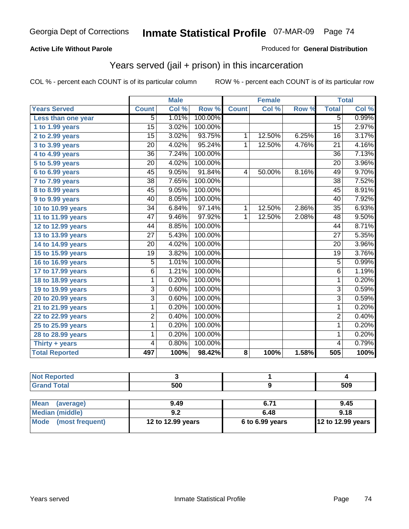#### **Active Life Without Parole**

#### Produced for **General Distribution**

## Years served (jail + prison) in this incarceration

|                       |                 | <b>Male</b> |         |              | <b>Female</b> |                  |                 | <b>Total</b> |
|-----------------------|-----------------|-------------|---------|--------------|---------------|------------------|-----------------|--------------|
| <b>Years Served</b>   | <b>Count</b>    | Col %       | Row %   | <b>Count</b> | Col %         | Row <sup>7</sup> | <b>Total</b>    | Col %        |
| Less than one year    | 5               | 1.01%       | 100.00% |              |               |                  | 5               | 0.99%        |
| 1 to 1.99 years       | $\overline{15}$ | 3.02%       | 100.00% |              |               |                  | $\overline{15}$ | 2.97%        |
| 2 to 2.99 years       | $\overline{15}$ | 3.02%       | 93.75%  | $\mathbf{1}$ | 12.50%        | 6.25%            | $\overline{16}$ | 3.17%        |
| 3 to 3.99 years       | 20              | 4.02%       | 95.24%  | $\mathbf{1}$ | 12.50%        | 4.76%            | $\overline{21}$ | 4.16%        |
| 4 to 4.99 years       | $\overline{36}$ | 7.24%       | 100.00% |              |               |                  | $\overline{36}$ | 7.13%        |
| 5 to 5.99 years       | $\overline{20}$ | 4.02%       | 100.00% |              |               |                  | $\overline{20}$ | 3.96%        |
| 6 to 6.99 years       | $\overline{45}$ | 9.05%       | 91.84%  | 4            | 50.00%        | 8.16%            | 49              | 9.70%        |
| $7$ to $7.99$ years   | $\overline{38}$ | 7.65%       | 100.00% |              |               |                  | $\overline{38}$ | 7.52%        |
| 8 to 8.99 years       | $\overline{45}$ | 9.05%       | 100.00% |              |               |                  | $\overline{45}$ | 8.91%        |
| 9 to 9.99 years       | 40              | 8.05%       | 100.00% |              |               |                  | 40              | 7.92%        |
| 10 to 10.99 years     | 34              | 6.84%       | 97.14%  | $\mathbf{1}$ | 12.50%        | 2.86%            | 35              | 6.93%        |
| 11 to 11.99 years     | $\overline{47}$ | 9.46%       | 97.92%  | $\mathbf{1}$ | 12.50%        | 2.08%            | 48              | 9.50%        |
| 12 to 12.99 years     | 44              | 8.85%       | 100.00% |              |               |                  | 44              | 8.71%        |
| 13 to 13.99 years     | $\overline{27}$ | 5.43%       | 100.00% |              |               |                  | $\overline{27}$ | 5.35%        |
| 14 to 14.99 years     | $\overline{20}$ | 4.02%       | 100.00% |              |               |                  | 20              | 3.96%        |
| 15 to 15.99 years     | $\overline{19}$ | 3.82%       | 100.00% |              |               |                  | $\overline{19}$ | 3.76%        |
| 16 to 16.99 years     | 5               | 1.01%       | 100.00% |              |               |                  | $\overline{5}$  | 0.99%        |
| 17 to 17.99 years     | 6               | 1.21%       | 100.00% |              |               |                  | $\overline{6}$  | 1.19%        |
| 18 to 18.99 years     | $\overline{1}$  | 0.20%       | 100.00% |              |               |                  | $\overline{1}$  | 0.20%        |
| 19 to 19.99 years     | $\overline{3}$  | 0.60%       | 100.00% |              |               |                  | $\overline{3}$  | 0.59%        |
| 20 to 20.99 years     | $\overline{3}$  | 0.60%       | 100.00% |              |               |                  | $\overline{3}$  | 0.59%        |
| 21 to 21.99 years     | 1               | 0.20%       | 100.00% |              |               |                  | $\mathbf{1}$    | 0.20%        |
| 22 to 22.99 years     | $\overline{2}$  | 0.40%       | 100.00% |              |               |                  | $\overline{2}$  | 0.40%        |
| 25 to 25.99 years     | 1               | 0.20%       | 100.00% |              |               |                  | 1               | 0.20%        |
| 28 to 28.99 years     | 1               | 0.20%       | 100.00% |              |               |                  | 1               | 0.20%        |
| Thirty + years        | 4               | 0.80%       | 100.00% |              |               |                  | $\overline{4}$  | 0.79%        |
| <b>Total Reported</b> | 497             | 100%        | 98.42%  | 8            | 100%          | 1.58%            | 505             | 100%         |

| <b>Not Reported</b>            |                   |                 |                   |
|--------------------------------|-------------------|-----------------|-------------------|
| <b>Grand Total</b>             | 500               |                 | 509               |
|                                |                   |                 |                   |
| <b>Mean</b><br>(average)       | 9.49              | 6.71            | 9.45              |
| <b>Median (middle)</b>         | 9.2               | 6.48            | 9.18              |
| <b>Mode</b><br>(most frequent) | 12 to 12.99 years | 6 to 6.99 years | 12 to 12.99 years |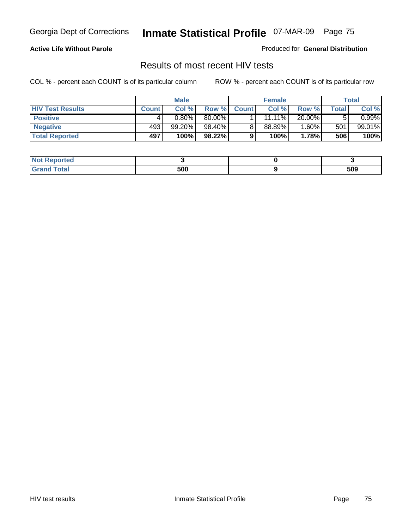### **Active Life Without Parole**

Produced for **General Distribution**

### Results of most recent HIV tests

|                         |              | <b>Male</b> |        |              | <b>Female</b> |          |       | Total     |
|-------------------------|--------------|-------------|--------|--------------|---------------|----------|-------|-----------|
| <b>HIV Test Results</b> | <b>Count</b> | Col %       | Row %  | <b>Count</b> | Col %         | Row %    | Total | Col %     |
| <b>Positive</b>         | 4            | $0.80\%$    | 80.00% |              | $11.11\%$     | 20.00%   |       | $0.99\%$  |
| <b>Negative</b>         | 493          | 99.20%      | 98.40% |              | 88.89%        | $1.60\%$ | 501   | $99.01\%$ |
| <b>Total Reported</b>   | 497          | 100%        | 98.22% |              | 100%          | 1.78%    | 506   | 100%      |

| <b>Not Reported</b> |     |     |
|---------------------|-----|-----|
| <b>Grand Total</b>  | 500 | 509 |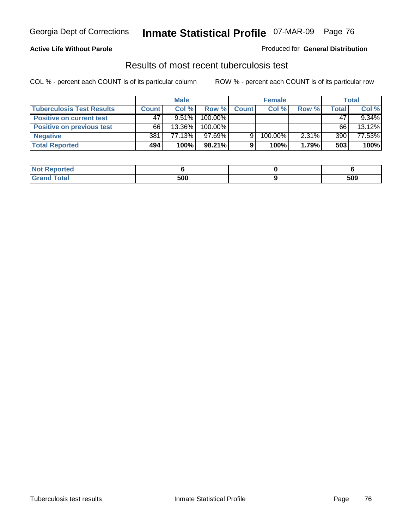### **Active Life Without Parole**

#### Produced for **General Distribution**

### Results of most recent tuberculosis test

|                                  |              | <b>Male</b> |         |              | <b>Female</b> |       |       | Total    |
|----------------------------------|--------------|-------------|---------|--------------|---------------|-------|-------|----------|
| <b>Tuberculosis Test Results</b> | <b>Count</b> | Col%        | Row %   | <b>Count</b> | Col%          | Row % | Total | Col %    |
| <b>Positive on current test</b>  | 47           | $9.51\%$    | 100.00% |              |               |       | 47    | $9.34\%$ |
| <b>Positive on previous test</b> | 66           | 13.36%      | 100.00% |              |               |       | 66    | 13.12%   |
| <b>Negative</b>                  | 381          | 77.13%      | 97.69%  | 9            | 100.00%       | 2.31% | 390   | 77.53%   |
| <b>Total Reported</b>            | 494          | 100%        | 98.21%  |              | 100%          | 1.79% | 503   | 100%     |

| <b>Not Reported</b> |     |     |
|---------------------|-----|-----|
| <b>Total</b>        | 500 | 509 |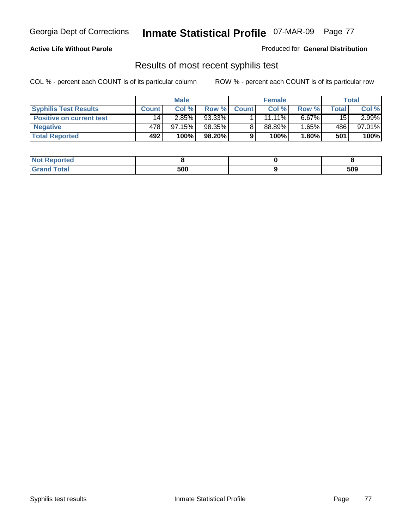### **Active Life Without Parole**

Produced for **General Distribution**

## Results of most recent syphilis test

|                                 |              | <b>Male</b> |        |              | <b>Female</b> |          |       | Total    |
|---------------------------------|--------------|-------------|--------|--------------|---------------|----------|-------|----------|
| <b>Syphilis Test Results</b>    | <b>Count</b> | Col %       | Row %  | <b>Count</b> | Col%          | Row %    | Total | Col %    |
| <b>Positive on current test</b> | 14           | 2.85%       | 93.33% |              | $11.11\%$     | $6.67\%$ | 15    | $2.99\%$ |
| <b>Negative</b>                 | 478          | 97.15%      | 98.35% |              | 88.89%        | $1.65\%$ | 486   | 97.01%   |
| <b>Total Reported</b>           | 492          | 100%        | 98.20% |              | 100%          | 1.80%    | 501   | 100%     |

| <b>Not Reported</b> |     |     |
|---------------------|-----|-----|
| <b>Grand Total</b>  | 500 | 509 |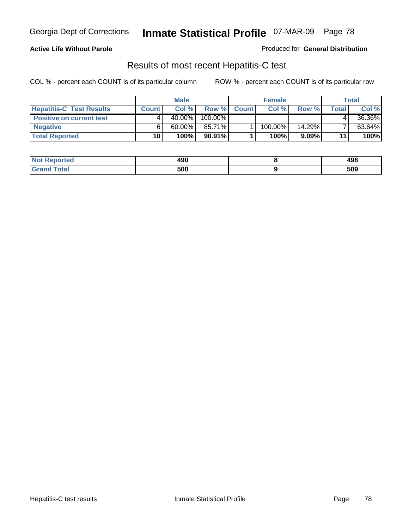#### **Active Life Without Parole**

Produced for **General Distribution**

## Results of most recent Hepatitis-C test

|                                 | <b>Male</b>  |           | <b>Female</b> |              |         | Total     |       |        |
|---------------------------------|--------------|-----------|---------------|--------------|---------|-----------|-------|--------|
| <b>Hepatitis-C Test Results</b> | <b>Count</b> | Col %     | Row %         | <b>Count</b> | Col %   | Row %     | Total | Col %  |
| <b>Positive on current test</b> |              | $40.00\%$ | 100.00%       |              |         |           |       | 36.36% |
| <b>Negative</b>                 |              | $60.00\%$ | 85.71%        |              | 100.00% | $14.29\%$ |       | 63.64% |
| <b>Total Reported</b>           | 10           | 100%      | $90.91\%$     |              | 100%    | $9.09\%$  | 11    | 100%   |

| <b>Not Reported</b> | 490 | 498 |
|---------------------|-----|-----|
| <b>Grand Total</b>  | 500 | 509 |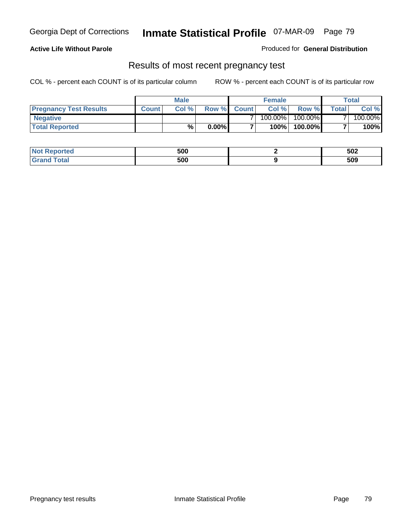### **Active Life Without Parole**

Produced for **General Distribution**

### Results of most recent pregnancy test

|                               | <b>Male</b>  |      | <b>Female</b> |                |            | <b>Total</b> |                |         |
|-------------------------------|--------------|------|---------------|----------------|------------|--------------|----------------|---------|
| <b>Pregnancy Test Results</b> | <b>Count</b> | Col% | Row %         | <b>Count</b> Ⅰ | Col %      | Row %        | <b>Total</b> I | Col %   |
| <b>Negative</b>               |              |      |               |                | $100.00\%$ | 100.00%      |                | 100.00% |
| <b>Total Reported</b>         |              | %    | $0.00\%$      |                | 100%       | 100.00%      |                | 100%    |

| <b>Not Reported</b> | 500 | 502 |
|---------------------|-----|-----|
| <b>Grand Total</b>  | 500 | 509 |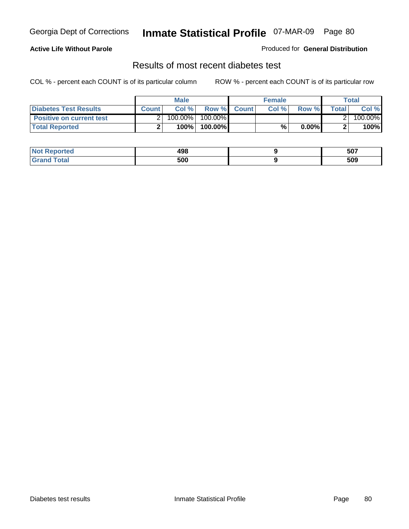### **Active Life Without Parole**

#### Produced for **General Distribution**

## Results of most recent diabetes test

|                                 |              | <b>Male</b> |                    | <b>Female</b> |              |         | Total   |
|---------------------------------|--------------|-------------|--------------------|---------------|--------------|---------|---------|
| <b>Diabetes Test Results</b>    | <b>Count</b> | Col%        | <b>Row %</b> Count | Col%          | <b>Row %</b> | Total I | Col %   |
| <b>Positive on current test</b> |              | 100.00%     | $100.00\%$         |               |              |         | 100.00% |
| <b>Total Reported</b>           |              | 100%        | 100.00%            | %             | $0.00\%$     |         | 100%    |

| <b>Reported</b> | 498 | 507 |
|-----------------|-----|-----|
| <i>i</i> otal   | 500 | 509 |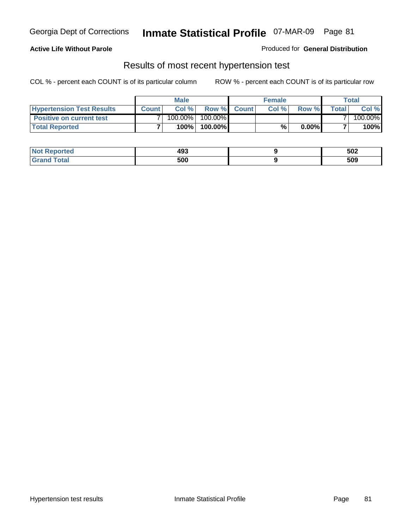### **Active Life Without Parole**

#### Produced for **General Distribution**

### Results of most recent hypertension test

|                                  |              | <b>Male</b> |            |             | <b>Female</b> |          |        | <b>Total</b> |
|----------------------------------|--------------|-------------|------------|-------------|---------------|----------|--------|--------------|
| <b>Hypertension Test Results</b> | <b>Count</b> | Col %       |            | Row % Count | Col%          | Row %    | Totall | Col %        |
| <b>Positive on current test</b>  |              | 100.00%     | $100.00\%$ |             |               |          |        | 100.00%      |
| <b>Total Reported</b>            |              | 100%        | 100.00%    |             | %             | $0.00\%$ |        | 100%         |

| <b>Reported</b> | 493 | 502 |
|-----------------|-----|-----|
| <b>Total</b>    | 500 | 509 |